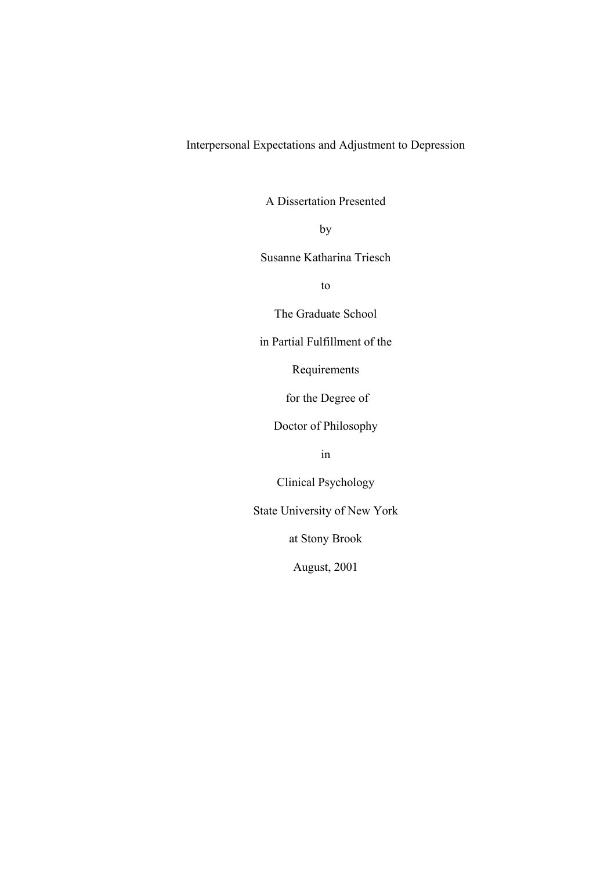Interpersonal Expectations and Adjustment to Depression

A Dissertation Presented

**by** 

Susanne Katharina Triesch

to

The Graduate School

in Partial Fulfillment of the

Requirements

for the Degree of

Doctor of Philosophy

in

Clinical Psychology

State University of New York

at Stony Brook

August, 2001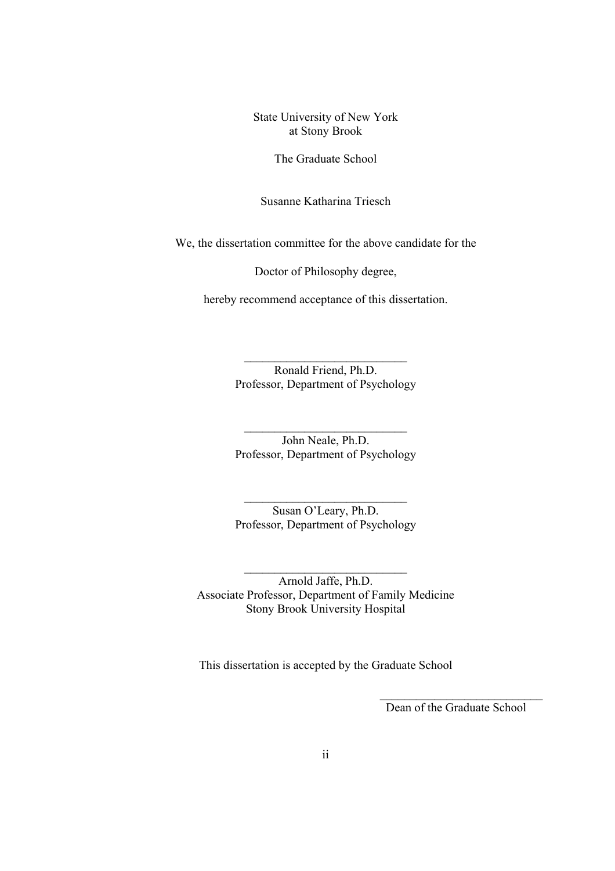State University of New York at Stony Brook

The Graduate School

Susanne Katharina Triesch

We, the dissertation committee for the above candidate for the

Doctor of Philosophy degree,

hereby recommend acceptance of this dissertation.

 Ronald Friend, Ph.D. Professor, Department of Psychology

 $\mathcal{L}_\text{max}$  and  $\mathcal{L}_\text{max}$  and  $\mathcal{L}_\text{max}$  and  $\mathcal{L}_\text{max}$  and  $\mathcal{L}_\text{max}$ 

 $\mathcal{L}_\text{max}$  and  $\mathcal{L}_\text{max}$  and  $\mathcal{L}_\text{max}$  and  $\mathcal{L}_\text{max}$  and  $\mathcal{L}_\text{max}$ 

 $\mathcal{L}_\text{max}$  and  $\mathcal{L}_\text{max}$  and  $\mathcal{L}_\text{max}$  and  $\mathcal{L}_\text{max}$ 

 $\mathcal{L}_\text{max}$  and  $\mathcal{L}_\text{max}$  and  $\mathcal{L}_\text{max}$  and  $\mathcal{L}_\text{max}$  and  $\mathcal{L}_\text{max}$ 

 John Neale, Ph.D. Professor, Department of Psychology

 Susan O'Leary, Ph.D. Professor, Department of Psychology

 Arnold Jaffe, Ph.D. Associate Professor, Department of Family Medicine Stony Brook University Hospital

This dissertation is accepted by the Graduate School

 $\mathcal{L}_\text{max}$  and  $\mathcal{L}_\text{max}$  and  $\mathcal{L}_\text{max}$  and  $\mathcal{L}_\text{max}$  and  $\mathcal{L}_\text{max}$  and  $\mathcal{L}_\text{max}$ 

Dean of the Graduate School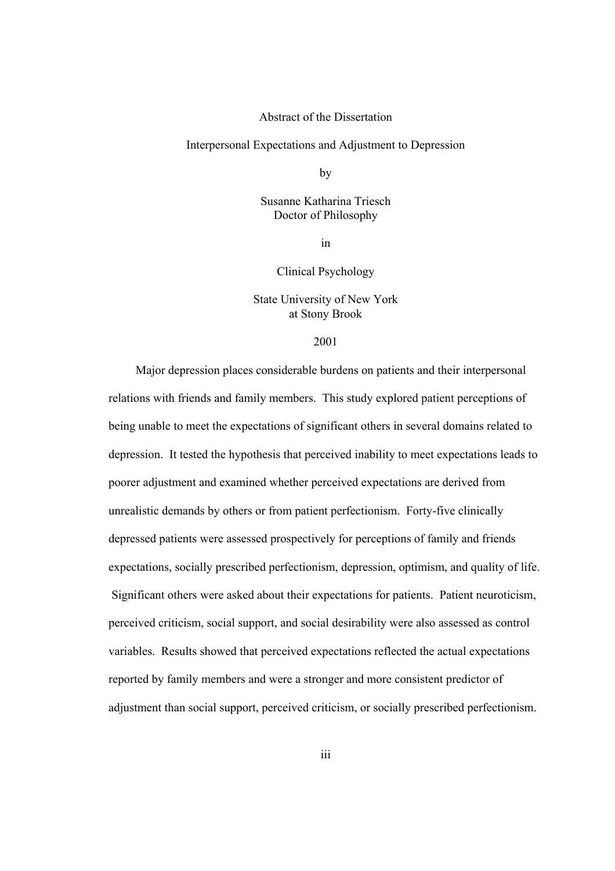# Abstract of the Dissertation

Interpersonal Expectations and Adjustment to Depression

**by** 

 Susanne Katharina Triesch Doctor of Philosophy

in

Clinical Psychology

 State University of New York at Stony Brook

#### 2001

Major depression places considerable burdens on patients and their interpersonal relations with friends and family members. This study explored patient perceptions of being unable to meet the expectations of significant others in several domains related to depression. It tested the hypothesis that perceived inability to meet expectations leads to poorer adjustment and examined whether perceived expectations are derived from unrealistic demands by others or from patient perfectionism. Forty-five clinically depressed patients were assessed prospectively for perceptions of family and friends expectations, socially prescribed perfectionism, depression, optimism, and quality of life. Significant others were asked about their expectations for patients. Patient neuroticism, perceived criticism, social support, and social desirability were also assessed as control variables. Results showed that perceived expectations reflected the actual expectations reported by family members and were a stronger and more consistent predictor of adjustment than social support, perceived criticism, or socially prescribed perfectionism.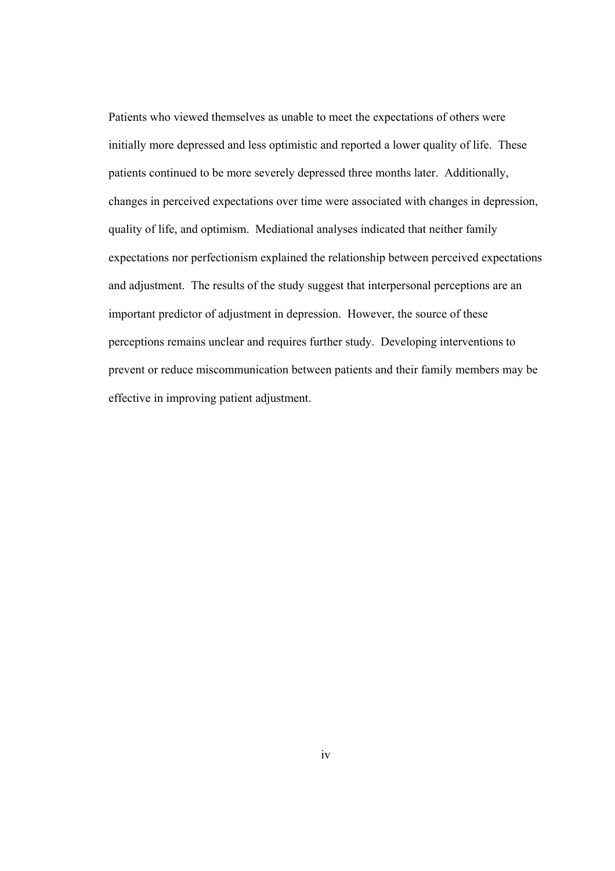Patients who viewed themselves as unable to meet the expectations of others were initially more depressed and less optimistic and reported a lower quality of life. These patients continued to be more severely depressed three months later. Additionally, changes in perceived expectations over time were associated with changes in depression, quality of life, and optimism. Mediational analyses indicated that neither family expectations nor perfectionism explained the relationship between perceived expectations and adjustment. The results of the study suggest that interpersonal perceptions are an important predictor of adjustment in depression. However, the source of these perceptions remains unclear and requires further study. Developing interventions to prevent or reduce miscommunication between patients and their family members may be effective in improving patient adjustment.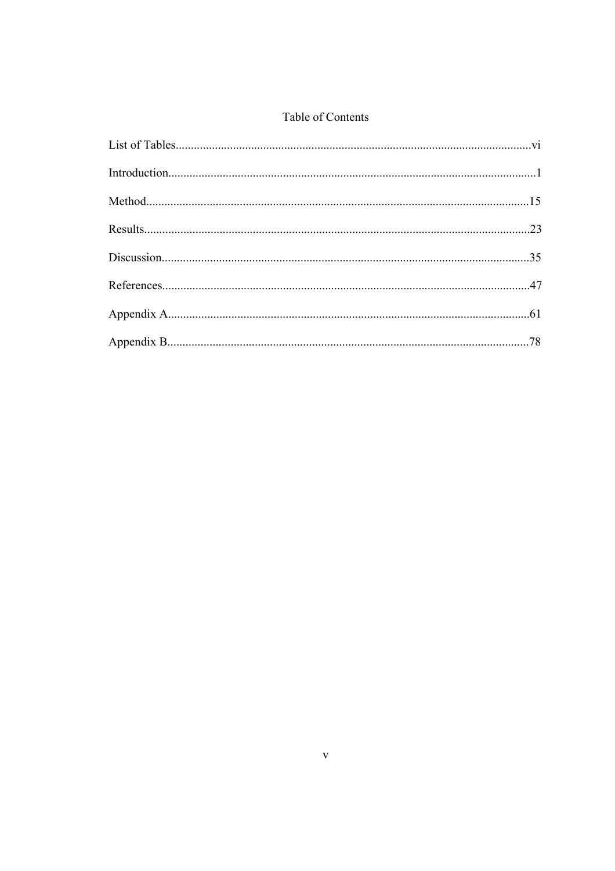# Table of Contents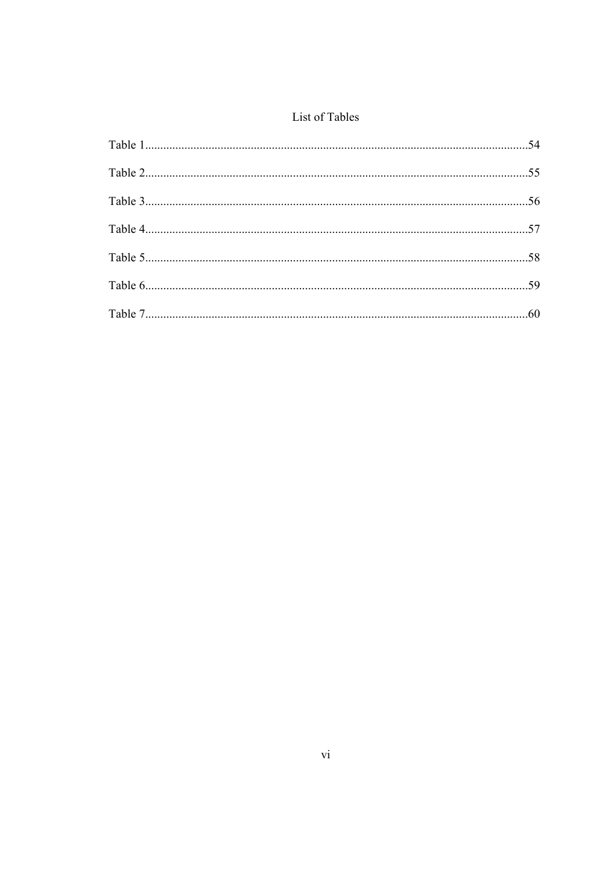# List of Tables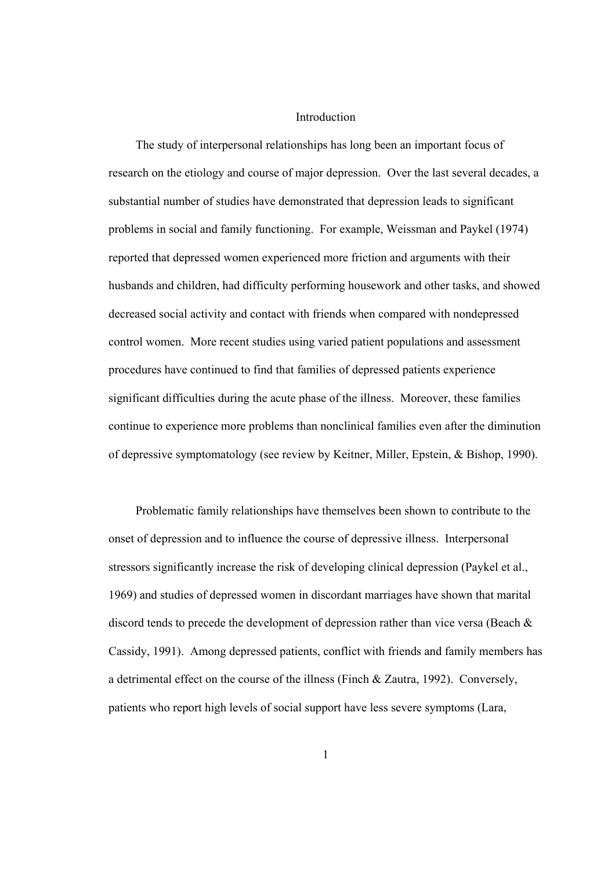#### Introduction

The study of interpersonal relationships has long been an important focus of research on the etiology and course of major depression. Over the last several decades, a substantial number of studies have demonstrated that depression leads to significant problems in social and family functioning. For example, Weissman and Paykel (1974) reported that depressed women experienced more friction and arguments with their husbands and children, had difficulty performing housework and other tasks, and showed decreased social activity and contact with friends when compared with nondepressed control women. More recent studies using varied patient populations and assessment procedures have continued to find that families of depressed patients experience significant difficulties during the acute phase of the illness. Moreover, these families continue to experience more problems than nonclinical families even after the diminution of depressive symptomatology (see review by Keitner, Miller, Epstein, & Bishop, 1990).

Problematic family relationships have themselves been shown to contribute to the onset of depression and to influence the course of depressive illness. Interpersonal stressors significantly increase the risk of developing clinical depression (Paykel et al., 1969) and studies of depressed women in discordant marriages have shown that marital discord tends to precede the development of depression rather than vice versa (Beach & Cassidy, 1991). Among depressed patients, conflict with friends and family members has a detrimental effect on the course of the illness (Finch & Zautra, 1992). Conversely, patients who report high levels of social support have less severe symptoms (Lara,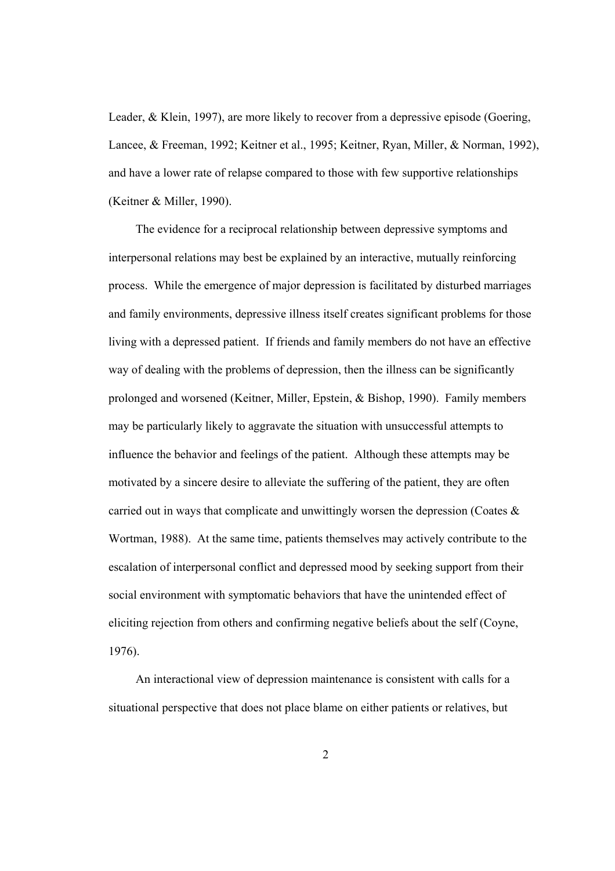Leader, & Klein, 1997), are more likely to recover from a depressive episode (Goering, Lancee, & Freeman, 1992; Keitner et al., 1995; Keitner, Ryan, Miller, & Norman, 1992), and have a lower rate of relapse compared to those with few supportive relationships (Keitner & Miller, 1990).

The evidence for a reciprocal relationship between depressive symptoms and interpersonal relations may best be explained by an interactive, mutually reinforcing process. While the emergence of major depression is facilitated by disturbed marriages and family environments, depressive illness itself creates significant problems for those living with a depressed patient. If friends and family members do not have an effective way of dealing with the problems of depression, then the illness can be significantly prolonged and worsened (Keitner, Miller, Epstein, & Bishop, 1990). Family members may be particularly likely to aggravate the situation with unsuccessful attempts to influence the behavior and feelings of the patient. Although these attempts may be motivated by a sincere desire to alleviate the suffering of the patient, they are often carried out in ways that complicate and unwittingly worsen the depression (Coates  $\&$ Wortman, 1988). At the same time, patients themselves may actively contribute to the escalation of interpersonal conflict and depressed mood by seeking support from their social environment with symptomatic behaviors that have the unintended effect of eliciting rejection from others and confirming negative beliefs about the self (Coyne, 1976).

An interactional view of depression maintenance is consistent with calls for a situational perspective that does not place blame on either patients or relatives, but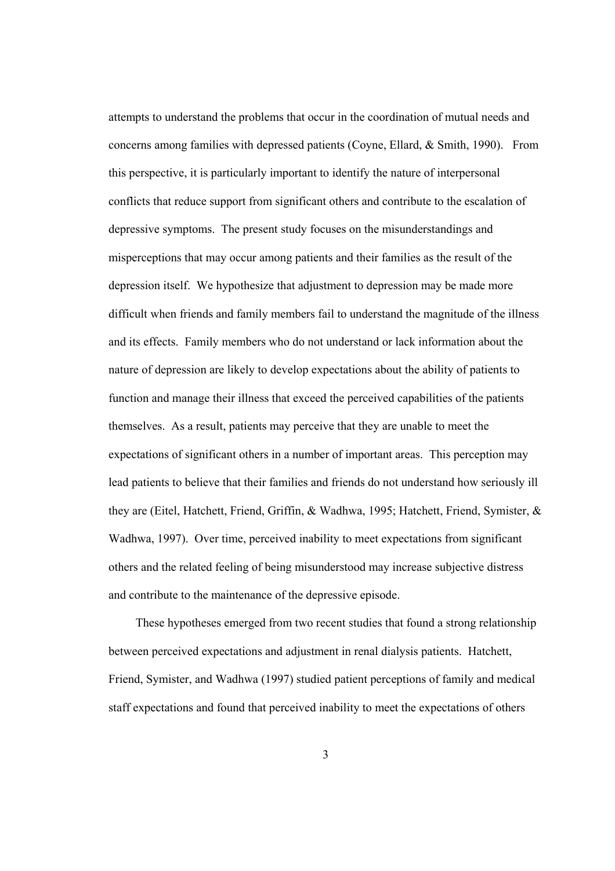attempts to understand the problems that occur in the coordination of mutual needs and concerns among families with depressed patients (Coyne, Ellard, & Smith, 1990). From this perspective, it is particularly important to identify the nature of interpersonal conflicts that reduce support from significant others and contribute to the escalation of depressive symptoms. The present study focuses on the misunderstandings and misperceptions that may occur among patients and their families as the result of the depression itself. We hypothesize that adjustment to depression may be made more difficult when friends and family members fail to understand the magnitude of the illness and its effects. Family members who do not understand or lack information about the nature of depression are likely to develop expectations about the ability of patients to function and manage their illness that exceed the perceived capabilities of the patients themselves. As a result, patients may perceive that they are unable to meet the expectations of significant others in a number of important areas. This perception may lead patients to believe that their families and friends do not understand how seriously ill they are (Eitel, Hatchett, Friend, Griffin, & Wadhwa, 1995; Hatchett, Friend, Symister, & Wadhwa, 1997). Over time, perceived inability to meet expectations from significant others and the related feeling of being misunderstood may increase subjective distress and contribute to the maintenance of the depressive episode.

These hypotheses emerged from two recent studies that found a strong relationship between perceived expectations and adjustment in renal dialysis patients. Hatchett, Friend, Symister, and Wadhwa (1997) studied patient perceptions of family and medical staff expectations and found that perceived inability to meet the expectations of others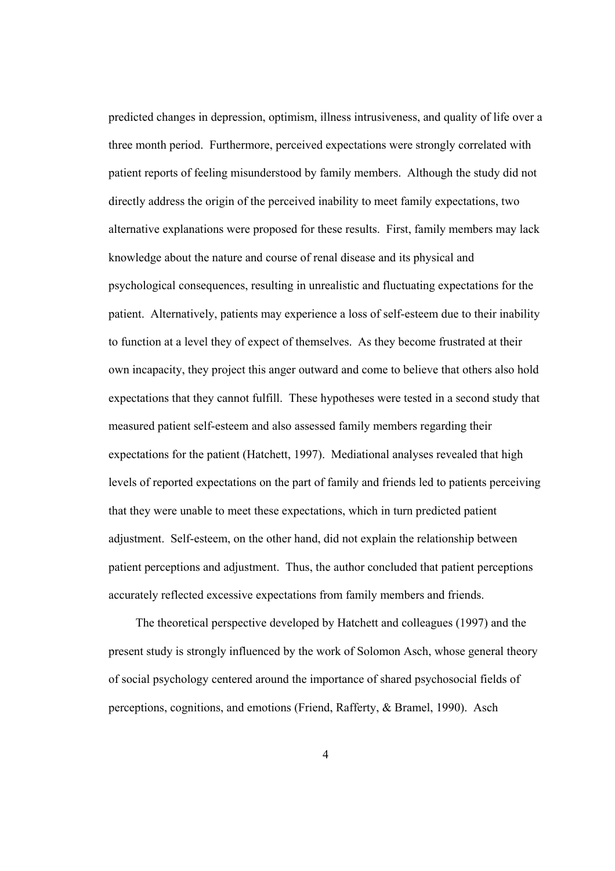predicted changes in depression, optimism, illness intrusiveness, and quality of life over a three month period. Furthermore, perceived expectations were strongly correlated with patient reports of feeling misunderstood by family members. Although the study did not directly address the origin of the perceived inability to meet family expectations, two alternative explanations were proposed for these results. First, family members may lack knowledge about the nature and course of renal disease and its physical and psychological consequences, resulting in unrealistic and fluctuating expectations for the patient. Alternatively, patients may experience a loss of self-esteem due to their inability to function at a level they of expect of themselves. As they become frustrated at their own incapacity, they project this anger outward and come to believe that others also hold expectations that they cannot fulfill. These hypotheses were tested in a second study that measured patient self-esteem and also assessed family members regarding their expectations for the patient (Hatchett, 1997). Mediational analyses revealed that high levels of reported expectations on the part of family and friends led to patients perceiving that they were unable to meet these expectations, which in turn predicted patient adjustment. Self-esteem, on the other hand, did not explain the relationship between patient perceptions and adjustment. Thus, the author concluded that patient perceptions accurately reflected excessive expectations from family members and friends.

The theoretical perspective developed by Hatchett and colleagues (1997) and the present study is strongly influenced by the work of Solomon Asch, whose general theory of social psychology centered around the importance of shared psychosocial fields of perceptions, cognitions, and emotions (Friend, Rafferty, & Bramel, 1990). Asch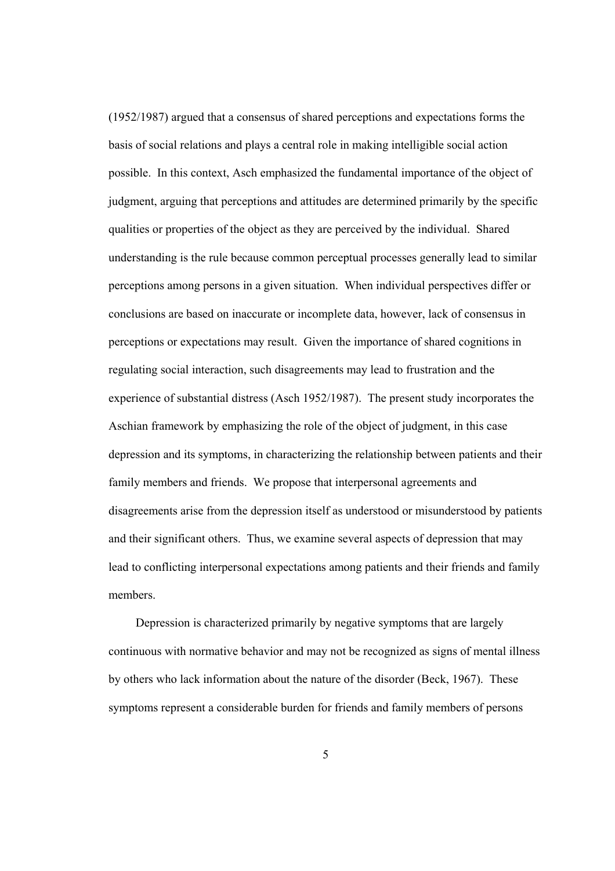(1952/1987) argued that a consensus of shared perceptions and expectations forms the basis of social relations and plays a central role in making intelligible social action possible. In this context, Asch emphasized the fundamental importance of the object of judgment, arguing that perceptions and attitudes are determined primarily by the specific qualities or properties of the object as they are perceived by the individual. Shared understanding is the rule because common perceptual processes generally lead to similar perceptions among persons in a given situation. When individual perspectives differ or conclusions are based on inaccurate or incomplete data, however, lack of consensus in perceptions or expectations may result. Given the importance of shared cognitions in regulating social interaction, such disagreements may lead to frustration and the experience of substantial distress (Asch 1952/1987). The present study incorporates the Aschian framework by emphasizing the role of the object of judgment, in this case depression and its symptoms, in characterizing the relationship between patients and their family members and friends. We propose that interpersonal agreements and disagreements arise from the depression itself as understood or misunderstood by patients and their significant others. Thus, we examine several aspects of depression that may lead to conflicting interpersonal expectations among patients and their friends and family members.

Depression is characterized primarily by negative symptoms that are largely continuous with normative behavior and may not be recognized as signs of mental illness by others who lack information about the nature of the disorder (Beck, 1967). These symptoms represent a considerable burden for friends and family members of persons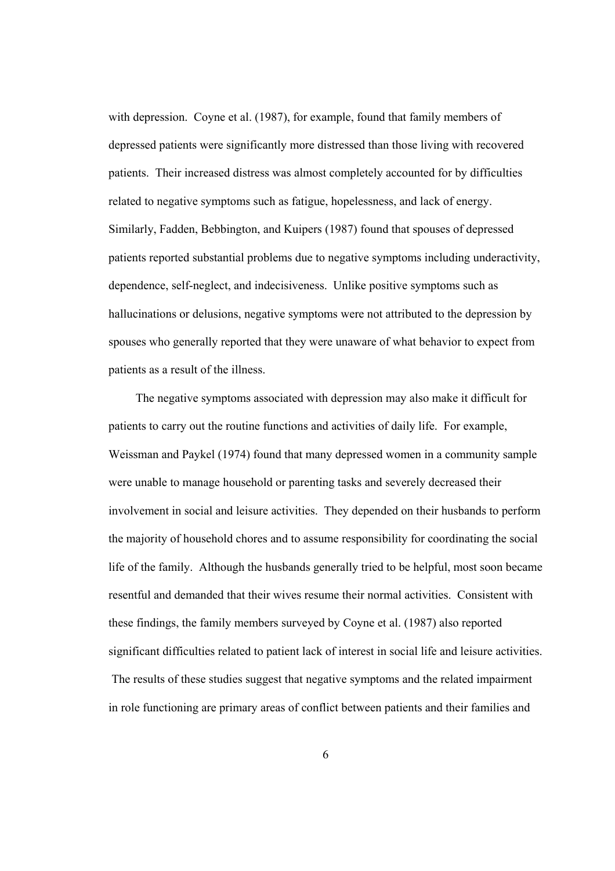with depression. Coyne et al. (1987), for example, found that family members of depressed patients were significantly more distressed than those living with recovered patients. Their increased distress was almost completely accounted for by difficulties related to negative symptoms such as fatigue, hopelessness, and lack of energy. Similarly, Fadden, Bebbington, and Kuipers (1987) found that spouses of depressed patients reported substantial problems due to negative symptoms including underactivity, dependence, self-neglect, and indecisiveness. Unlike positive symptoms such as hallucinations or delusions, negative symptoms were not attributed to the depression by spouses who generally reported that they were unaware of what behavior to expect from patients as a result of the illness.

The negative symptoms associated with depression may also make it difficult for patients to carry out the routine functions and activities of daily life. For example, Weissman and Paykel (1974) found that many depressed women in a community sample were unable to manage household or parenting tasks and severely decreased their involvement in social and leisure activities. They depended on their husbands to perform the majority of household chores and to assume responsibility for coordinating the social life of the family. Although the husbands generally tried to be helpful, most soon became resentful and demanded that their wives resume their normal activities. Consistent with these findings, the family members surveyed by Coyne et al. (1987) also reported significant difficulties related to patient lack of interest in social life and leisure activities. The results of these studies suggest that negative symptoms and the related impairment in role functioning are primary areas of conflict between patients and their families and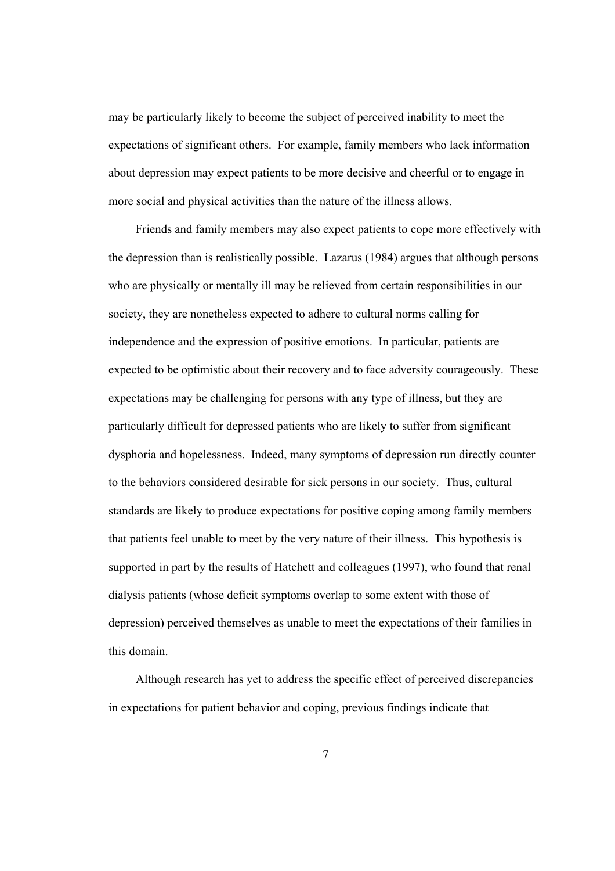may be particularly likely to become the subject of perceived inability to meet the expectations of significant others. For example, family members who lack information about depression may expect patients to be more decisive and cheerful or to engage in more social and physical activities than the nature of the illness allows.

Friends and family members may also expect patients to cope more effectively with the depression than is realistically possible. Lazarus (1984) argues that although persons who are physically or mentally ill may be relieved from certain responsibilities in our society, they are nonetheless expected to adhere to cultural norms calling for independence and the expression of positive emotions. In particular, patients are expected to be optimistic about their recovery and to face adversity courageously. These expectations may be challenging for persons with any type of illness, but they are particularly difficult for depressed patients who are likely to suffer from significant dysphoria and hopelessness. Indeed, many symptoms of depression run directly counter to the behaviors considered desirable for sick persons in our society. Thus, cultural standards are likely to produce expectations for positive coping among family members that patients feel unable to meet by the very nature of their illness. This hypothesis is supported in part by the results of Hatchett and colleagues (1997), who found that renal dialysis patients (whose deficit symptoms overlap to some extent with those of depression) perceived themselves as unable to meet the expectations of their families in this domain.

Although research has yet to address the specific effect of perceived discrepancies in expectations for patient behavior and coping, previous findings indicate that

7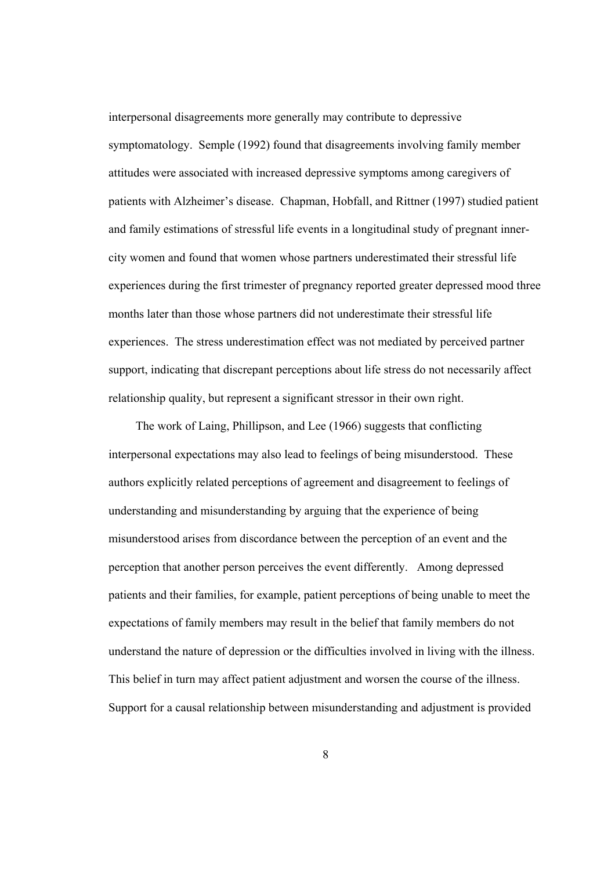interpersonal disagreements more generally may contribute to depressive symptomatology. Semple (1992) found that disagreements involving family member attitudes were associated with increased depressive symptoms among caregivers of patients with Alzheimer's disease. Chapman, Hobfall, and Rittner (1997) studied patient and family estimations of stressful life events in a longitudinal study of pregnant innercity women and found that women whose partners underestimated their stressful life experiences during the first trimester of pregnancy reported greater depressed mood three months later than those whose partners did not underestimate their stressful life experiences. The stress underestimation effect was not mediated by perceived partner support, indicating that discrepant perceptions about life stress do not necessarily affect relationship quality, but represent a significant stressor in their own right.

The work of Laing, Phillipson, and Lee (1966) suggests that conflicting interpersonal expectations may also lead to feelings of being misunderstood. These authors explicitly related perceptions of agreement and disagreement to feelings of understanding and misunderstanding by arguing that the experience of being misunderstood arises from discordance between the perception of an event and the perception that another person perceives the event differently. Among depressed patients and their families, for example, patient perceptions of being unable to meet the expectations of family members may result in the belief that family members do not understand the nature of depression or the difficulties involved in living with the illness. This belief in turn may affect patient adjustment and worsen the course of the illness. Support for a causal relationship between misunderstanding and adjustment is provided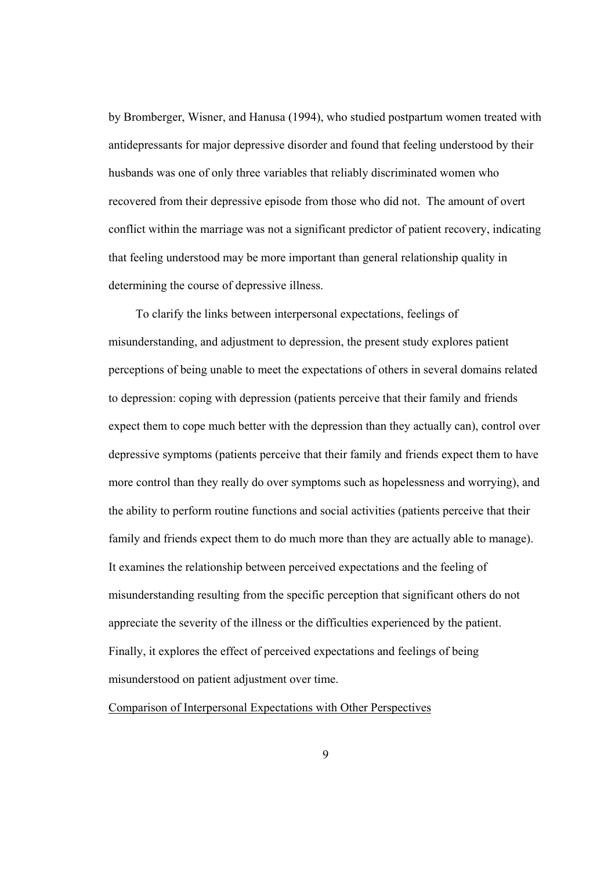by Bromberger, Wisner, and Hanusa (1994), who studied postpartum women treated with antidepressants for major depressive disorder and found that feeling understood by their husbands was one of only three variables that reliably discriminated women who recovered from their depressive episode from those who did not. The amount of overt conflict within the marriage was not a significant predictor of patient recovery, indicating that feeling understood may be more important than general relationship quality in determining the course of depressive illness.

To clarify the links between interpersonal expectations, feelings of misunderstanding, and adjustment to depression, the present study explores patient perceptions of being unable to meet the expectations of others in several domains related to depression: coping with depression (patients perceive that their family and friends expect them to cope much better with the depression than they actually can), control over depressive symptoms (patients perceive that their family and friends expect them to have more control than they really do over symptoms such as hopelessness and worrying), and the ability to perform routine functions and social activities (patients perceive that their family and friends expect them to do much more than they are actually able to manage). It examines the relationship between perceived expectations and the feeling of misunderstanding resulting from the specific perception that significant others do not appreciate the severity of the illness or the difficulties experienced by the patient. Finally, it explores the effect of perceived expectations and feelings of being misunderstood on patient adjustment over time.

Comparison of Interpersonal Expectations with Other Perspectives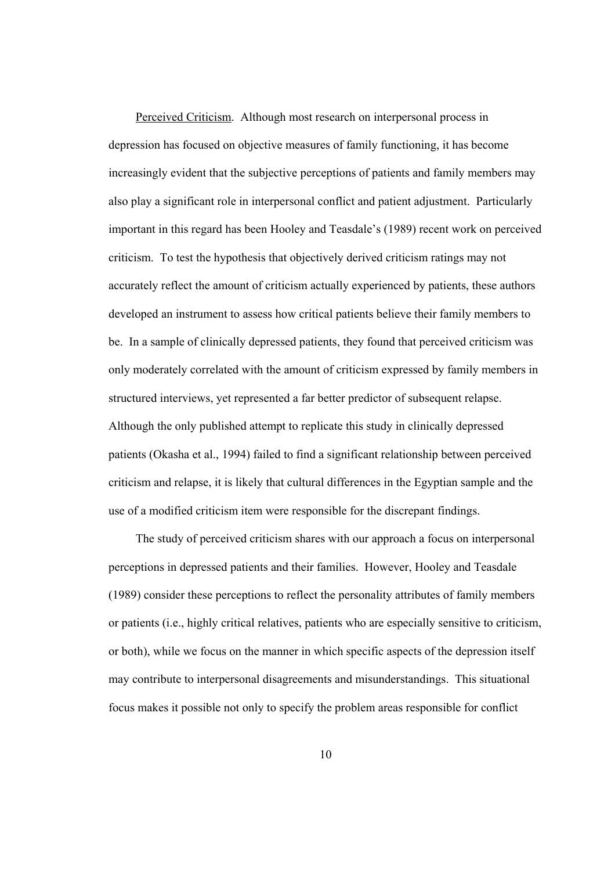Perceived Criticism. Although most research on interpersonal process in depression has focused on objective measures of family functioning, it has become increasingly evident that the subjective perceptions of patients and family members may also play a significant role in interpersonal conflict and patient adjustment. Particularly important in this regard has been Hooley and Teasdale's (1989) recent work on perceived criticism. To test the hypothesis that objectively derived criticism ratings may not accurately reflect the amount of criticism actually experienced by patients, these authors developed an instrument to assess how critical patients believe their family members to be. In a sample of clinically depressed patients, they found that perceived criticism was only moderately correlated with the amount of criticism expressed by family members in structured interviews, yet represented a far better predictor of subsequent relapse. Although the only published attempt to replicate this study in clinically depressed patients (Okasha et al., 1994) failed to find a significant relationship between perceived criticism and relapse, it is likely that cultural differences in the Egyptian sample and the use of a modified criticism item were responsible for the discrepant findings.

The study of perceived criticism shares with our approach a focus on interpersonal perceptions in depressed patients and their families. However, Hooley and Teasdale (1989) consider these perceptions to reflect the personality attributes of family members or patients (i.e., highly critical relatives, patients who are especially sensitive to criticism, or both), while we focus on the manner in which specific aspects of the depression itself may contribute to interpersonal disagreements and misunderstandings. This situational focus makes it possible not only to specify the problem areas responsible for conflict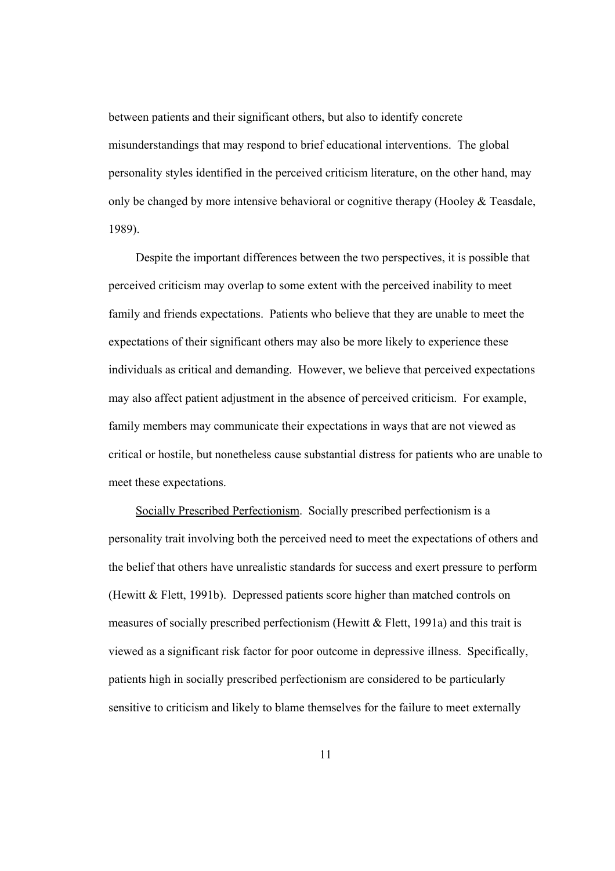between patients and their significant others, but also to identify concrete misunderstandings that may respond to brief educational interventions. The global personality styles identified in the perceived criticism literature, on the other hand, may only be changed by more intensive behavioral or cognitive therapy (Hooley  $&$  Teasdale, 1989).

 Despite the important differences between the two perspectives, it is possible that perceived criticism may overlap to some extent with the perceived inability to meet family and friends expectations. Patients who believe that they are unable to meet the expectations of their significant others may also be more likely to experience these individuals as critical and demanding. However, we believe that perceived expectations may also affect patient adjustment in the absence of perceived criticism. For example, family members may communicate their expectations in ways that are not viewed as critical or hostile, but nonetheless cause substantial distress for patients who are unable to meet these expectations.

Socially Prescribed Perfectionism. Socially prescribed perfectionism is a personality trait involving both the perceived need to meet the expectations of others and the belief that others have unrealistic standards for success and exert pressure to perform (Hewitt & Flett, 1991b). Depressed patients score higher than matched controls on measures of socially prescribed perfectionism (Hewitt & Flett, 1991a) and this trait is viewed as a significant risk factor for poor outcome in depressive illness. Specifically, patients high in socially prescribed perfectionism are considered to be particularly sensitive to criticism and likely to blame themselves for the failure to meet externally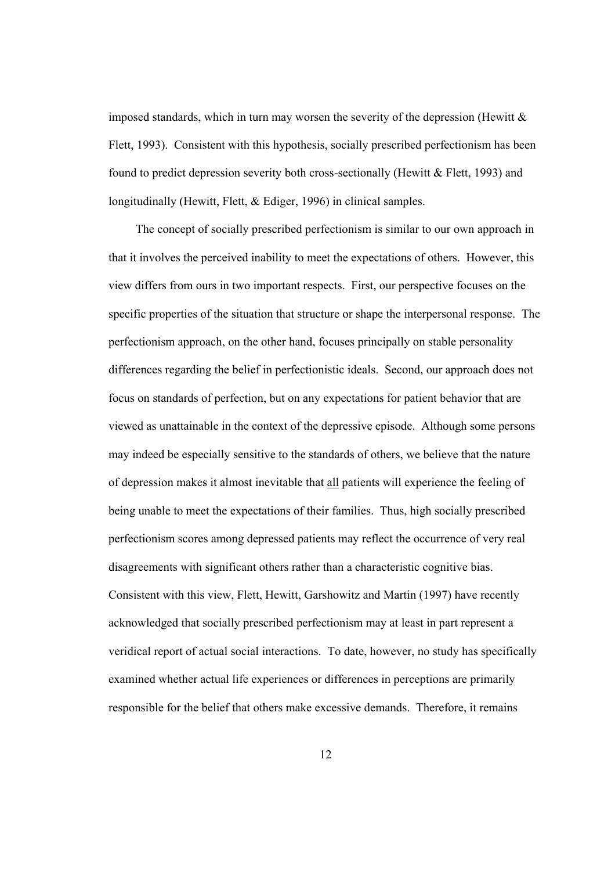imposed standards, which in turn may worsen the severity of the depression (Hewitt  $\&$ Flett, 1993). Consistent with this hypothesis, socially prescribed perfectionism has been found to predict depression severity both cross-sectionally (Hewitt  $& Flett, 1993$ ) and longitudinally (Hewitt, Flett, & Ediger, 1996) in clinical samples.

The concept of socially prescribed perfectionism is similar to our own approach in that it involves the perceived inability to meet the expectations of others. However, this view differs from ours in two important respects. First, our perspective focuses on the specific properties of the situation that structure or shape the interpersonal response. The perfectionism approach, on the other hand, focuses principally on stable personality differences regarding the belief in perfectionistic ideals. Second, our approach does not focus on standards of perfection, but on any expectations for patient behavior that are viewed as unattainable in the context of the depressive episode. Although some persons may indeed be especially sensitive to the standards of others, we believe that the nature of depression makes it almost inevitable that all patients will experience the feeling of being unable to meet the expectations of their families. Thus, high socially prescribed perfectionism scores among depressed patients may reflect the occurrence of very real disagreements with significant others rather than a characteristic cognitive bias. Consistent with this view, Flett, Hewitt, Garshowitz and Martin (1997) have recently acknowledged that socially prescribed perfectionism may at least in part represent a veridical report of actual social interactions. To date, however, no study has specifically examined whether actual life experiences or differences in perceptions are primarily responsible for the belief that others make excessive demands. Therefore, it remains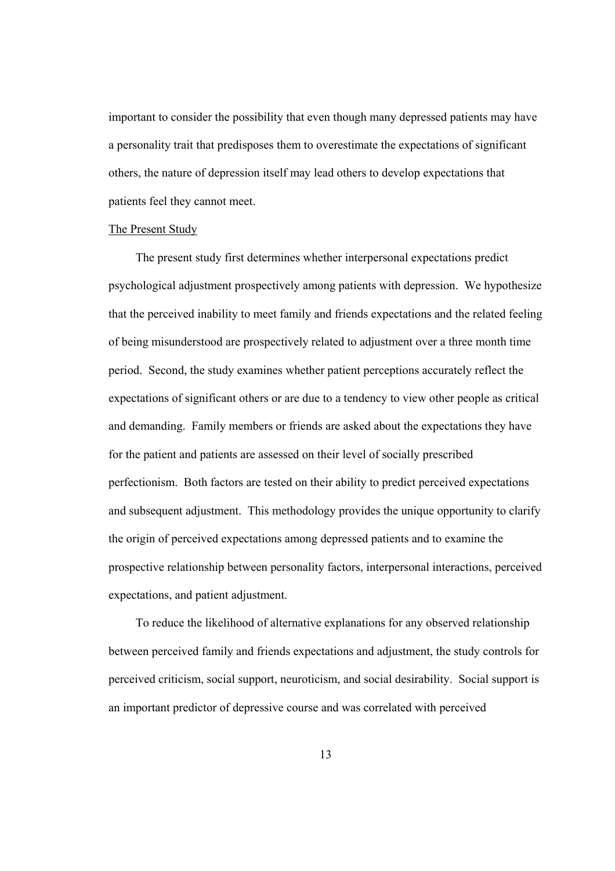important to consider the possibility that even though many depressed patients may have a personality trait that predisposes them to overestimate the expectations of significant others, the nature of depression itself may lead others to develop expectations that patients feel they cannot meet.

#### The Present Study

The present study first determines whether interpersonal expectations predict psychological adjustment prospectively among patients with depression. We hypothesize that the perceived inability to meet family and friends expectations and the related feeling of being misunderstood are prospectively related to adjustment over a three month time period. Second, the study examines whether patient perceptions accurately reflect the expectations of significant others or are due to a tendency to view other people as critical and demanding. Family members or friends are asked about the expectations they have for the patient and patients are assessed on their level of socially prescribed perfectionism. Both factors are tested on their ability to predict perceived expectations and subsequent adjustment. This methodology provides the unique opportunity to clarify the origin of perceived expectations among depressed patients and to examine the prospective relationship between personality factors, interpersonal interactions, perceived expectations, and patient adjustment.

To reduce the likelihood of alternative explanations for any observed relationship between perceived family and friends expectations and adjustment, the study controls for perceived criticism, social support, neuroticism, and social desirability. Social support is an important predictor of depressive course and was correlated with perceived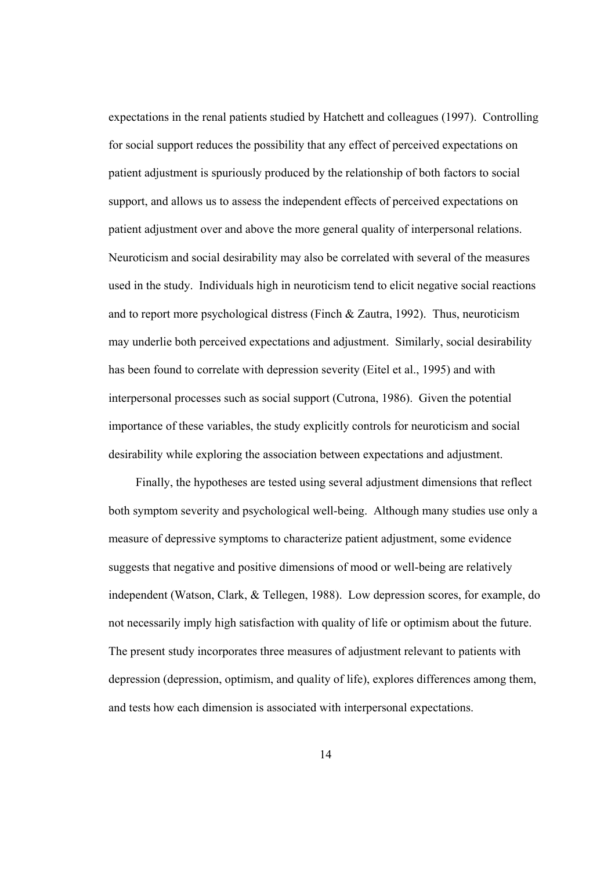expectations in the renal patients studied by Hatchett and colleagues (1997). Controlling for social support reduces the possibility that any effect of perceived expectations on patient adjustment is spuriously produced by the relationship of both factors to social support, and allows us to assess the independent effects of perceived expectations on patient adjustment over and above the more general quality of interpersonal relations. Neuroticism and social desirability may also be correlated with several of the measures used in the study. Individuals high in neuroticism tend to elicit negative social reactions and to report more psychological distress (Finch & Zautra, 1992). Thus, neuroticism may underlie both perceived expectations and adjustment. Similarly, social desirability has been found to correlate with depression severity (Eitel et al., 1995) and with interpersonal processes such as social support (Cutrona, 1986). Given the potential importance of these variables, the study explicitly controls for neuroticism and social desirability while exploring the association between expectations and adjustment.

Finally, the hypotheses are tested using several adjustment dimensions that reflect both symptom severity and psychological well-being. Although many studies use only a measure of depressive symptoms to characterize patient adjustment, some evidence suggests that negative and positive dimensions of mood or well-being are relatively independent (Watson, Clark, & Tellegen, 1988). Low depression scores, for example, do not necessarily imply high satisfaction with quality of life or optimism about the future. The present study incorporates three measures of adjustment relevant to patients with depression (depression, optimism, and quality of life), explores differences among them, and tests how each dimension is associated with interpersonal expectations.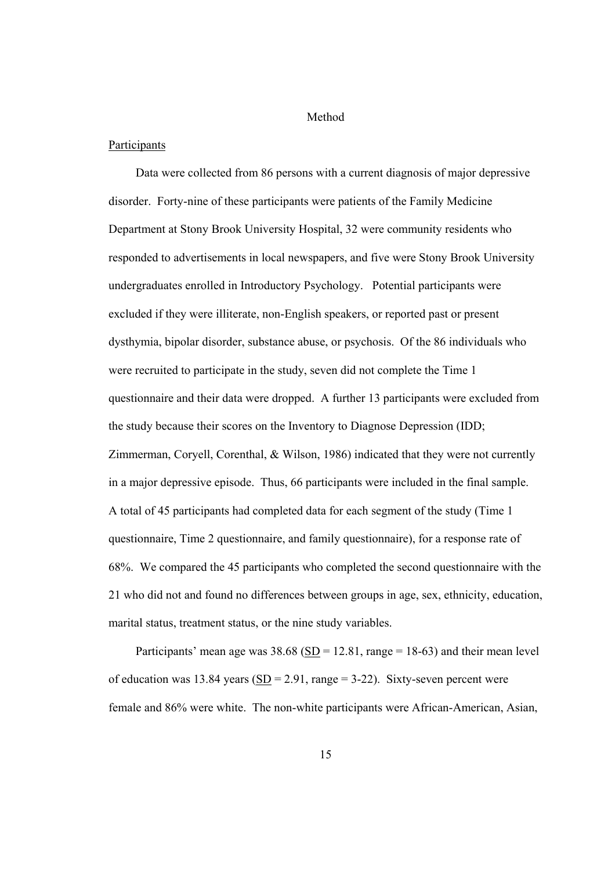# Method

# Participants

Data were collected from 86 persons with a current diagnosis of major depressive disorder. Forty-nine of these participants were patients of the Family Medicine Department at Stony Brook University Hospital, 32 were community residents who responded to advertisements in local newspapers, and five were Stony Brook University undergraduates enrolled in Introductory Psychology. Potential participants were excluded if they were illiterate, non-English speakers, or reported past or present dysthymia, bipolar disorder, substance abuse, or psychosis. Of the 86 individuals who were recruited to participate in the study, seven did not complete the Time 1 questionnaire and their data were dropped. A further 13 participants were excluded from the study because their scores on the Inventory to Diagnose Depression (IDD; Zimmerman, Coryell, Corenthal, & Wilson, 1986) indicated that they were not currently in a major depressive episode. Thus, 66 participants were included in the final sample. A total of 45 participants had completed data for each segment of the study (Time 1 questionnaire, Time 2 questionnaire, and family questionnaire), for a response rate of 68%. We compared the 45 participants who completed the second questionnaire with the 21 who did not and found no differences between groups in age, sex, ethnicity, education, marital status, treatment status, or the nine study variables.

Participants' mean age was  $38.68$  (SD = 12.81, range = 18-63) and their mean level of education was 13.84 years  $(SD = 2.91, \text{range} = 3-22)$ . Sixty-seven percent were female and 86% were white. The non-white participants were African-American, Asian,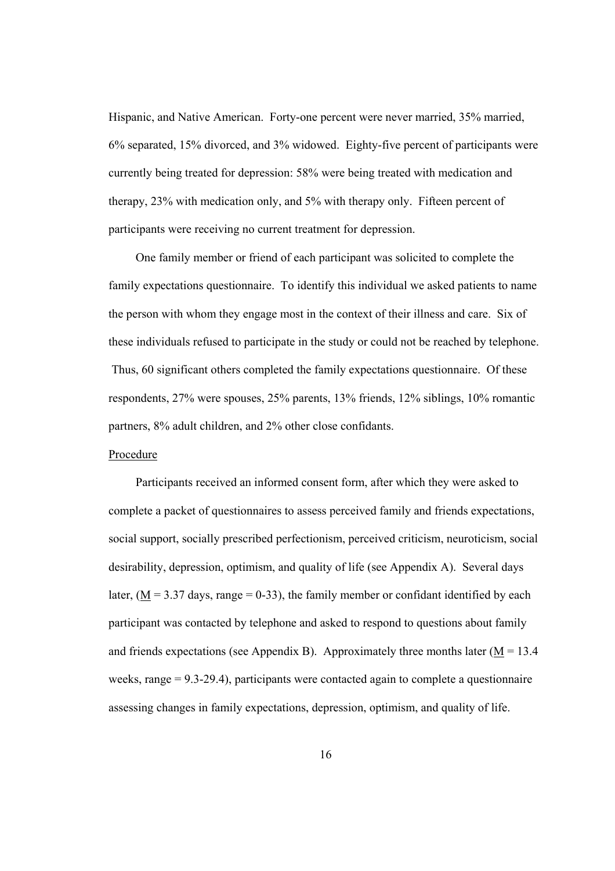Hispanic, and Native American. Forty-one percent were never married, 35% married, 6% separated, 15% divorced, and 3% widowed. Eighty-five percent of participants were currently being treated for depression: 58% were being treated with medication and therapy, 23% with medication only, and 5% with therapy only. Fifteen percent of participants were receiving no current treatment for depression.

One family member or friend of each participant was solicited to complete the family expectations questionnaire. To identify this individual we asked patients to name the person with whom they engage most in the context of their illness and care. Six of these individuals refused to participate in the study or could not be reached by telephone. Thus, 60 significant others completed the family expectations questionnaire. Of these respondents, 27% were spouses, 25% parents, 13% friends, 12% siblings, 10% romantic partners, 8% adult children, and 2% other close confidants.

# Procedure

Participants received an informed consent form, after which they were asked to complete a packet of questionnaires to assess perceived family and friends expectations, social support, socially prescribed perfectionism, perceived criticism, neuroticism, social desirability, depression, optimism, and quality of life (see Appendix A). Several days later,  $(M = 3.37$  days, range = 0-33), the family member or confidant identified by each participant was contacted by telephone and asked to respond to questions about family and friends expectations (see Appendix B). Approximately three months later ( $M = 13.4$ ) weeks, range = 9.3-29.4), participants were contacted again to complete a questionnaire assessing changes in family expectations, depression, optimism, and quality of life.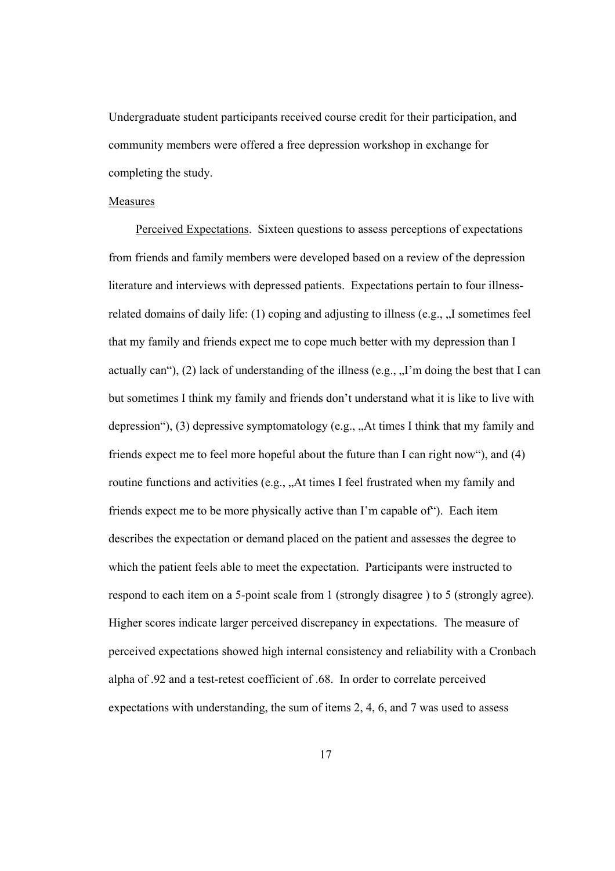Undergraduate student participants received course credit for their participation, and community members were offered a free depression workshop in exchange for completing the study.

# Measures

Perceived Expectations. Sixteen questions to assess perceptions of expectations from friends and family members were developed based on a review of the depression literature and interviews with depressed patients. Expectations pertain to four illnessrelated domains of daily life: (1) coping and adjusting to illness (e.g., ,,I sometimes feel that my family and friends expect me to cope much better with my depression than I actually can"), (2) lack of understanding of the illness (e.g.,  $\pi$ ) in doing the best that I can but sometimes I think my family and friends don't understand what it is like to live with depression"), (3) depressive symptomatology (e.g.,  $A$ t times I think that my family and friends expect me to feel more hopeful about the future than I can right now"), and (4) routine functions and activities (e.g., "At times I feel frustrated when my family and friends expect me to be more physically active than I'm capable of"). Each item describes the expectation or demand placed on the patient and assesses the degree to which the patient feels able to meet the expectation. Participants were instructed to respond to each item on a 5-point scale from 1 (strongly disagree ) to 5 (strongly agree). Higher scores indicate larger perceived discrepancy in expectations. The measure of perceived expectations showed high internal consistency and reliability with a Cronbach alpha of .92 and a test-retest coefficient of .68. In order to correlate perceived expectations with understanding, the sum of items 2, 4, 6, and 7 was used to assess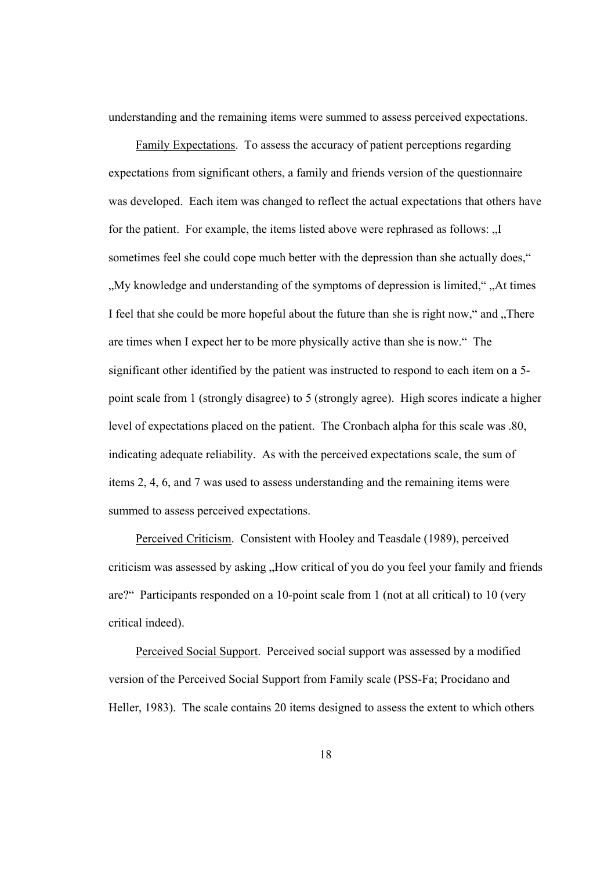understanding and the remaining items were summed to assess perceived expectations.

Family Expectations. To assess the accuracy of patient perceptions regarding expectations from significant others, a family and friends version of the questionnaire was developed. Each item was changed to reflect the actual expectations that others have for the patient. For example, the items listed above were rephrased as follows: "I sometimes feel she could cope much better with the depression than she actually does," ". My knowledge and understanding of the symptoms of depression is limited," "At times" I feel that she could be more hopeful about the future than she is right now," and "There" are times when I expect her to be more physically active than she is now." The significant other identified by the patient was instructed to respond to each item on a 5 point scale from 1 (strongly disagree) to 5 (strongly agree). High scores indicate a higher level of expectations placed on the patient. The Cronbach alpha for this scale was .80, indicating adequate reliability. As with the perceived expectations scale, the sum of items 2, 4, 6, and 7 was used to assess understanding and the remaining items were summed to assess perceived expectations.

Perceived Criticism. Consistent with Hooley and Teasdale (1989), perceived criticism was assessed by asking "How critical of you do you feel your family and friends are?" Participants responded on a 10-point scale from 1 (not at all critical) to 10 (very critical indeed).

Perceived Social Support. Perceived social support was assessed by a modified version of the Perceived Social Support from Family scale (PSS-Fa; Procidano and Heller, 1983). The scale contains 20 items designed to assess the extent to which others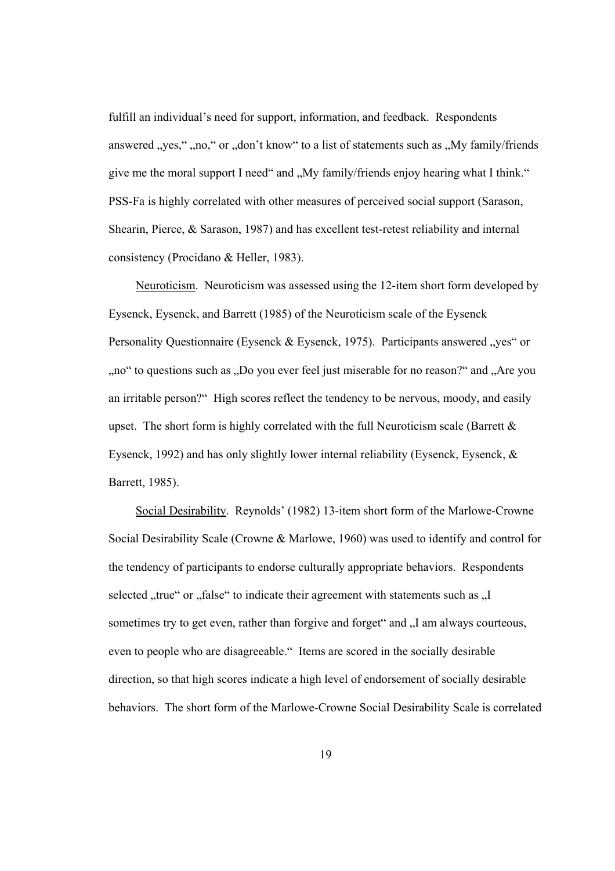fulfill an individual's need for support, information, and feedback. Respondents answered "yes," "no," or "don't know" to a list of statements such as "My family/friends give me the moral support I need" and "My family/friends enjoy hearing what I think." PSS-Fa is highly correlated with other measures of perceived social support (Sarason, Shearin, Pierce, & Sarason, 1987) and has excellent test-retest reliability and internal consistency (Procidano & Heller, 1983).

Neuroticism. Neuroticism was assessed using the 12-item short form developed by Eysenck, Eysenck, and Barrett (1985) of the Neuroticism scale of the Eysenck Personality Questionnaire (Eysenck & Eysenck, 1975). Participants answered "yes" or " no" to questions such as ".Do you ever feel just miserable for no reason?" and "Are you an irritable person?" High scores reflect the tendency to be nervous, moody, and easily upset. The short form is highly correlated with the full Neuroticism scale (Barrett  $\&$ Eysenck, 1992) and has only slightly lower internal reliability (Eysenck, Eysenck, & Barrett, 1985).

Social Desirability. Reynolds' (1982) 13-item short form of the Marlowe-Crowne Social Desirability Scale (Crowne & Marlowe, 1960) was used to identify and control for the tendency of participants to endorse culturally appropriate behaviors. Respondents selected "true" or "false" to indicate their agreement with statements such as "I sometimes try to get even, rather than forgive and forget" and "I am always courteous, even to people who are disagreeable." Items are scored in the socially desirable direction, so that high scores indicate a high level of endorsement of socially desirable behaviors. The short form of the Marlowe-Crowne Social Desirability Scale is correlated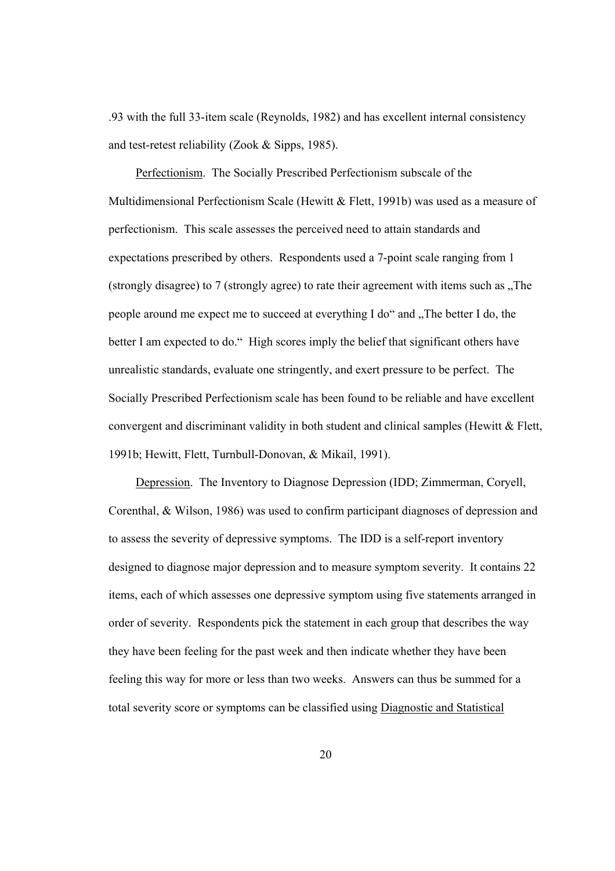.93 with the full 33-item scale (Reynolds, 1982) and has excellent internal consistency and test-retest reliability (Zook & Sipps, 1985).

Perfectionism. The Socially Prescribed Perfectionism subscale of the Multidimensional Perfectionism Scale (Hewitt & Flett, 1991b) was used as a measure of perfectionism. This scale assesses the perceived need to attain standards and expectations prescribed by others. Respondents used a 7-point scale ranging from 1 (strongly disagree) to 7 (strongly agree) to rate their agreement with items such as .The people around me expect me to succeed at everything I do" and "The better I do, the better I am expected to do." High scores imply the belief that significant others have unrealistic standards, evaluate one stringently, and exert pressure to be perfect. The Socially Prescribed Perfectionism scale has been found to be reliable and have excellent convergent and discriminant validity in both student and clinical samples (Hewitt & Flett, 1991b; Hewitt, Flett, Turnbull-Donovan, & Mikail, 1991).

Depression. The Inventory to Diagnose Depression (IDD; Zimmerman, Coryell, Corenthal, & Wilson, 1986) was used to confirm participant diagnoses of depression and to assess the severity of depressive symptoms. The IDD is a self-report inventory designed to diagnose major depression and to measure symptom severity. It contains 22 items, each of which assesses one depressive symptom using five statements arranged in order of severity. Respondents pick the statement in each group that describes the way they have been feeling for the past week and then indicate whether they have been feeling this way for more or less than two weeks. Answers can thus be summed for a total severity score or symptoms can be classified using Diagnostic and Statistical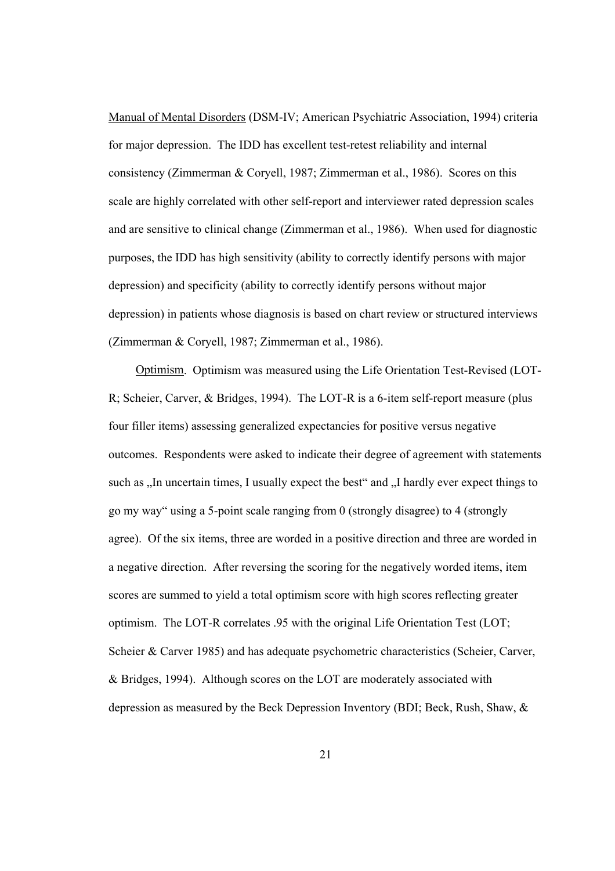Manual of Mental Disorders (DSM-IV; American Psychiatric Association, 1994) criteria for major depression. The IDD has excellent test-retest reliability and internal consistency (Zimmerman & Coryell, 1987; Zimmerman et al., 1986). Scores on this scale are highly correlated with other self-report and interviewer rated depression scales and are sensitive to clinical change (Zimmerman et al., 1986). When used for diagnostic purposes, the IDD has high sensitivity (ability to correctly identify persons with major depression) and specificity (ability to correctly identify persons without major depression) in patients whose diagnosis is based on chart review or structured interviews (Zimmerman & Coryell, 1987; Zimmerman et al., 1986).

Optimism. Optimism was measured using the Life Orientation Test-Revised (LOT-R; Scheier, Carver, & Bridges, 1994). The LOT-R is a 6-item self-report measure (plus four filler items) assessing generalized expectancies for positive versus negative outcomes. Respondents were asked to indicate their degree of agreement with statements such as ., In uncertain times, I usually expect the best" and ., I hardly ever expect things to go my way" using a 5-point scale ranging from 0 (strongly disagree) to 4 (strongly agree). Of the six items, three are worded in a positive direction and three are worded in a negative direction. After reversing the scoring for the negatively worded items, item scores are summed to yield a total optimism score with high scores reflecting greater optimism. The LOT-R correlates .95 with the original Life Orientation Test (LOT; Scheier & Carver 1985) and has adequate psychometric characteristics (Scheier, Carver, & Bridges, 1994). Although scores on the LOT are moderately associated with depression as measured by the Beck Depression Inventory (BDI; Beck, Rush, Shaw, &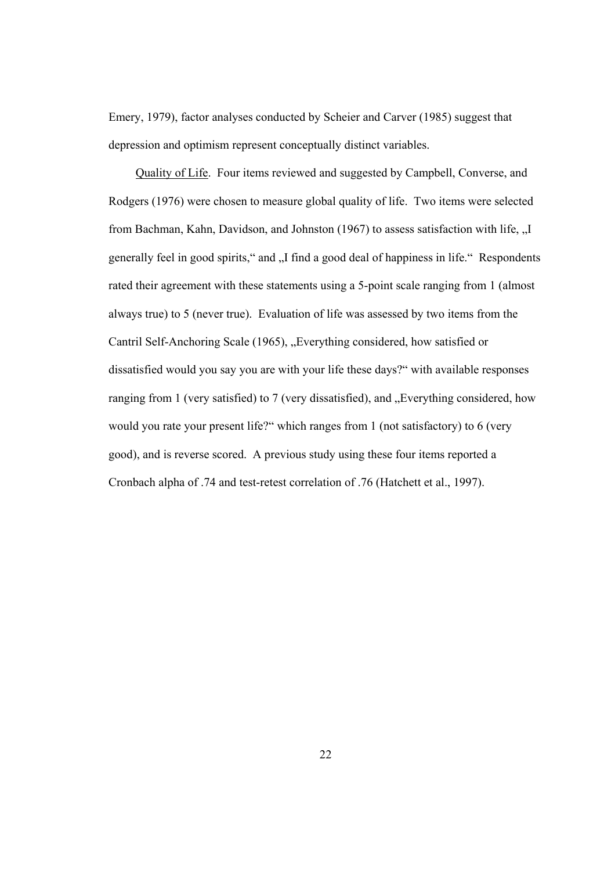Emery, 1979), factor analyses conducted by Scheier and Carver (1985) suggest that depression and optimism represent conceptually distinct variables.

Quality of Life. Four items reviewed and suggested by Campbell, Converse, and Rodgers (1976) were chosen to measure global quality of life. Two items were selected from Bachman, Kahn, Davidson, and Johnston (1967) to assess satisfaction with life,  $\overline{\mathbf{J}}$ . generally feel in good spirits," and "I find a good deal of happiness in life." Respondents rated their agreement with these statements using a 5-point scale ranging from 1 (almost always true) to 5 (never true). Evaluation of life was assessed by two items from the Cantril Self-Anchoring Scale (1965), "Everything considered, how satisfied or dissatisfied would you say you are with your life these days?" with available responses ranging from 1 (very satisfied) to 7 (very dissatisfied), and "Everything considered, how would you rate your present life?" which ranges from 1 (not satisfactory) to 6 (very good), and is reverse scored. A previous study using these four items reported a Cronbach alpha of .74 and test-retest correlation of .76 (Hatchett et al., 1997).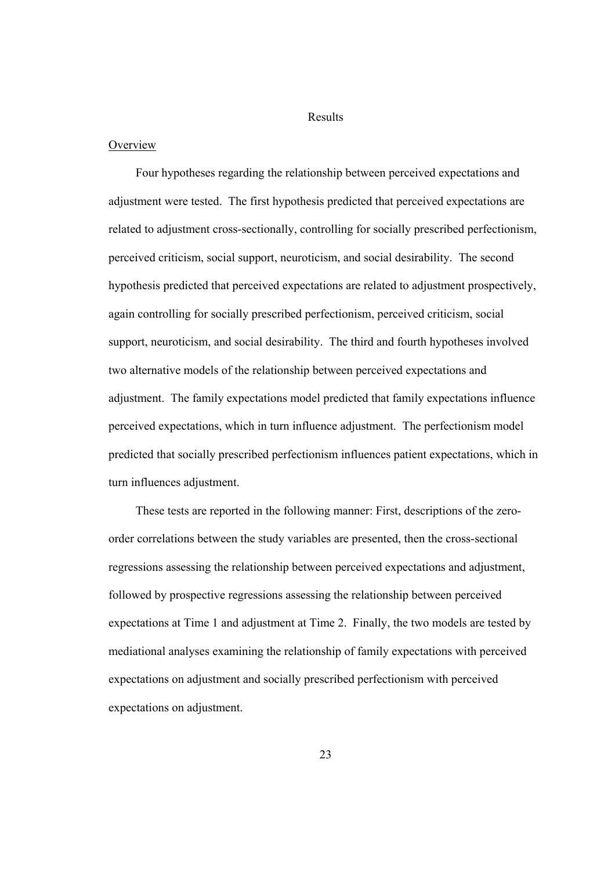### Results

### **Overview**

Four hypotheses regarding the relationship between perceived expectations and adjustment were tested. The first hypothesis predicted that perceived expectations are related to adjustment cross-sectionally, controlling for socially prescribed perfectionism, perceived criticism, social support, neuroticism, and social desirability. The second hypothesis predicted that perceived expectations are related to adjustment prospectively, again controlling for socially prescribed perfectionism, perceived criticism, social support, neuroticism, and social desirability. The third and fourth hypotheses involved two alternative models of the relationship between perceived expectations and adjustment. The family expectations model predicted that family expectations influence perceived expectations, which in turn influence adjustment. The perfectionism model predicted that socially prescribed perfectionism influences patient expectations, which in turn influences adjustment.

These tests are reported in the following manner: First, descriptions of the zeroorder correlations between the study variables are presented, then the cross-sectional regressions assessing the relationship between perceived expectations and adjustment, followed by prospective regressions assessing the relationship between perceived expectations at Time 1 and adjustment at Time 2. Finally, the two models are tested by mediational analyses examining the relationship of family expectations with perceived expectations on adjustment and socially prescribed perfectionism with perceived expectations on adjustment.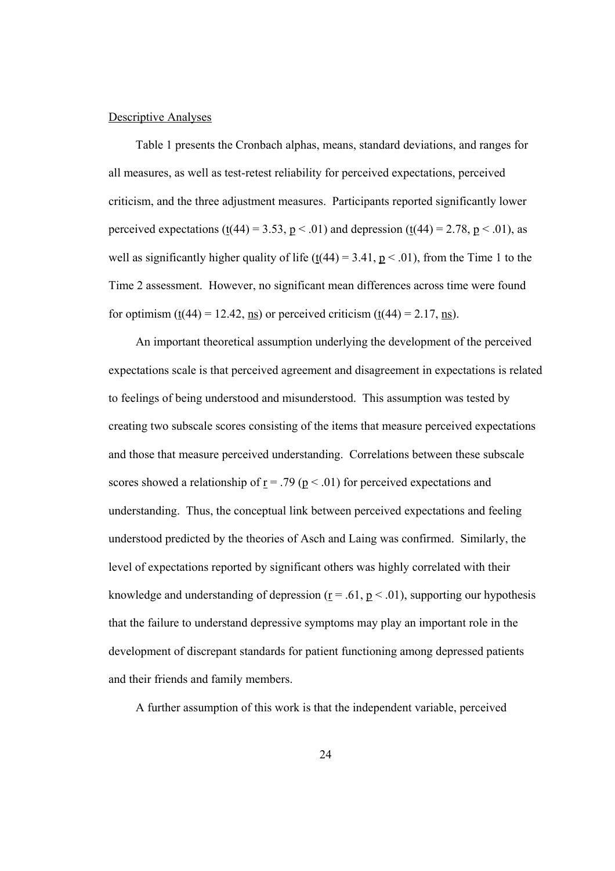#### Descriptive Analyses

Table 1 presents the Cronbach alphas, means, standard deviations, and ranges for all measures, as well as test-retest reliability for perceived expectations, perceived criticism, and the three adjustment measures. Participants reported significantly lower perceived expectations (t(44) = 3.53, p < .01) and depression (t(44) = 2.78, p < .01), as well as significantly higher quality of life (t(44) = 3.41,  $p < .01$ ), from the Time 1 to the Time 2 assessment. However, no significant mean differences across time were found for optimism  $(t(44) = 12.42$ , ns) or perceived criticism  $(t(44) = 2.17$ , ns).

An important theoretical assumption underlying the development of the perceived expectations scale is that perceived agreement and disagreement in expectations is related to feelings of being understood and misunderstood. This assumption was tested by creating two subscale scores consisting of the items that measure perceived expectations and those that measure perceived understanding. Correlations between these subscale scores showed a relationship of  $r = .79$  ( $p < .01$ ) for perceived expectations and understanding. Thus, the conceptual link between perceived expectations and feeling understood predicted by the theories of Asch and Laing was confirmed. Similarly, the level of expectations reported by significant others was highly correlated with their knowledge and understanding of depression ( $r = .61$ ,  $p < .01$ ), supporting our hypothesis that the failure to understand depressive symptoms may play an important role in the development of discrepant standards for patient functioning among depressed patients and their friends and family members.

A further assumption of this work is that the independent variable, perceived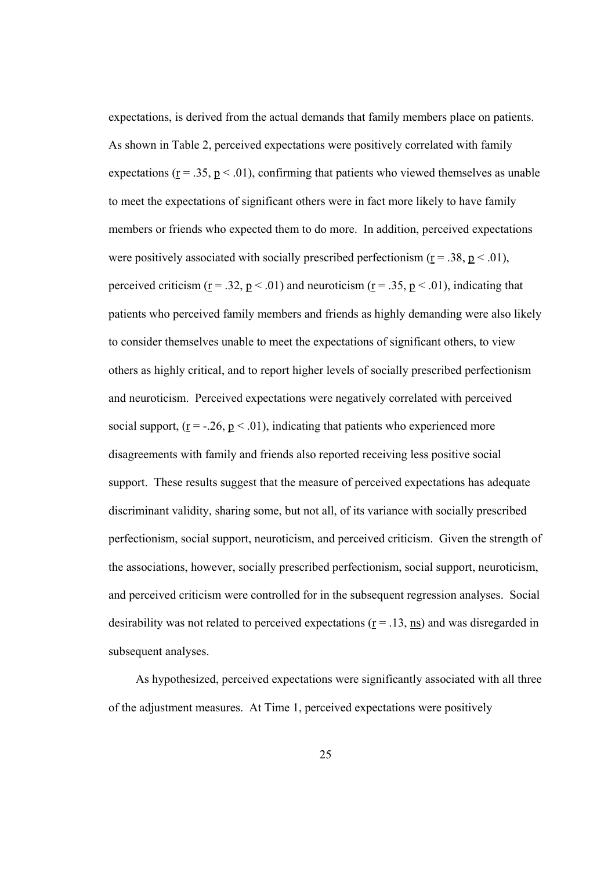expectations, is derived from the actual demands that family members place on patients. As shown in Table 2, perceived expectations were positively correlated with family expectations ( $\underline{r} = .35$ ,  $\underline{p} < .01$ ), confirming that patients who viewed themselves as unable to meet the expectations of significant others were in fact more likely to have family members or friends who expected them to do more. In addition, perceived expectations were positively associated with socially prescribed perfectionism ( $r = .38$ ,  $p < .01$ ), perceived criticism ( $\underline{r} = .32$ ,  $\underline{p} < .01$ ) and neuroticism ( $\underline{r} = .35$ ,  $\underline{p} < .01$ ), indicating that patients who perceived family members and friends as highly demanding were also likely to consider themselves unable to meet the expectations of significant others, to view others as highly critical, and to report higher levels of socially prescribed perfectionism and neuroticism. Perceived expectations were negatively correlated with perceived social support,  $(r = -.26, p < .01)$ , indicating that patients who experienced more disagreements with family and friends also reported receiving less positive social support. These results suggest that the measure of perceived expectations has adequate discriminant validity, sharing some, but not all, of its variance with socially prescribed perfectionism, social support, neuroticism, and perceived criticism. Given the strength of the associations, however, socially prescribed perfectionism, social support, neuroticism, and perceived criticism were controlled for in the subsequent regression analyses. Social desirability was not related to perceived expectations ( $r = .13$ , ns) and was disregarded in subsequent analyses.

As hypothesized, perceived expectations were significantly associated with all three of the adjustment measures. At Time 1, perceived expectations were positively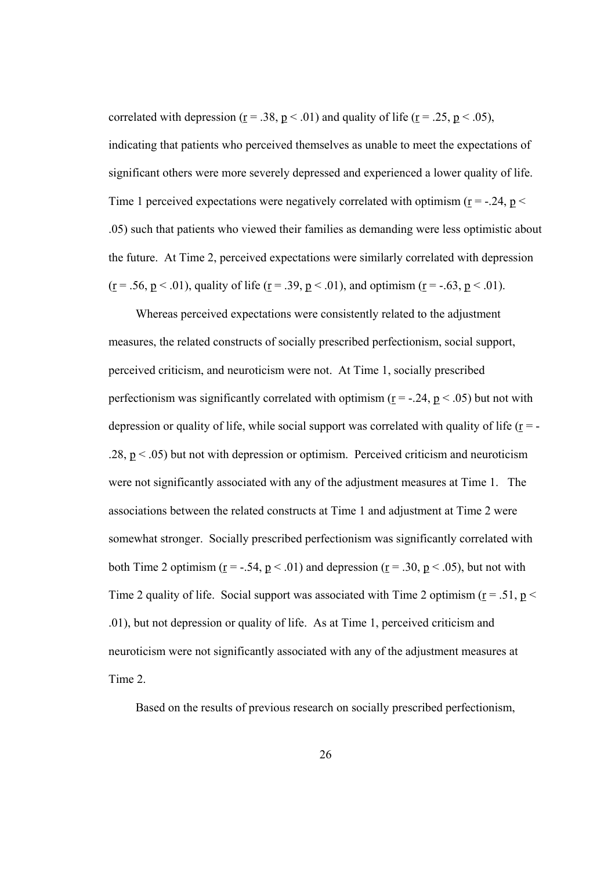correlated with depression ( $\underline{r} = .38$ ,  $\underline{p} < .01$ ) and quality of life ( $\underline{r} = .25$ ,  $\underline{p} < .05$ ), indicating that patients who perceived themselves as unable to meet the expectations of significant others were more severely depressed and experienced a lower quality of life. Time 1 perceived expectations were negatively correlated with optimism ( $r = -0.24$ ,  $p <$ .05) such that patients who viewed their families as demanding were less optimistic about the future. At Time 2, perceived expectations were similarly correlated with depression ( $\underline{r}$  = .56,  $\underline{p}$  < .01), quality of life ( $\underline{r}$  = .39,  $\underline{p}$  < .01), and optimism ( $\underline{r}$  = -.63,  $\underline{p}$  < .01).

Whereas perceived expectations were consistently related to the adjustment measures, the related constructs of socially prescribed perfectionism, social support, perceived criticism, and neuroticism were not. At Time 1, socially prescribed perfectionism was significantly correlated with optimism ( $r = -.24$ ,  $p < .05$ ) but not with depression or quality of life, while social support was correlated with quality of life ( $r = -$ .28,  $p < .05$ ) but not with depression or optimism. Perceived criticism and neuroticism were not significantly associated with any of the adjustment measures at Time 1. The associations between the related constructs at Time 1 and adjustment at Time 2 were somewhat stronger. Socially prescribed perfectionism was significantly correlated with both Time 2 optimism ( $r = -.54$ ,  $p < .01$ ) and depression ( $r = .30$ ,  $p < .05$ ), but not with Time 2 quality of life. Social support was associated with Time 2 optimism ( $r = .51$ ,  $p <$ .01), but not depression or quality of life. As at Time 1, perceived criticism and neuroticism were not significantly associated with any of the adjustment measures at Time 2.

Based on the results of previous research on socially prescribed perfectionism,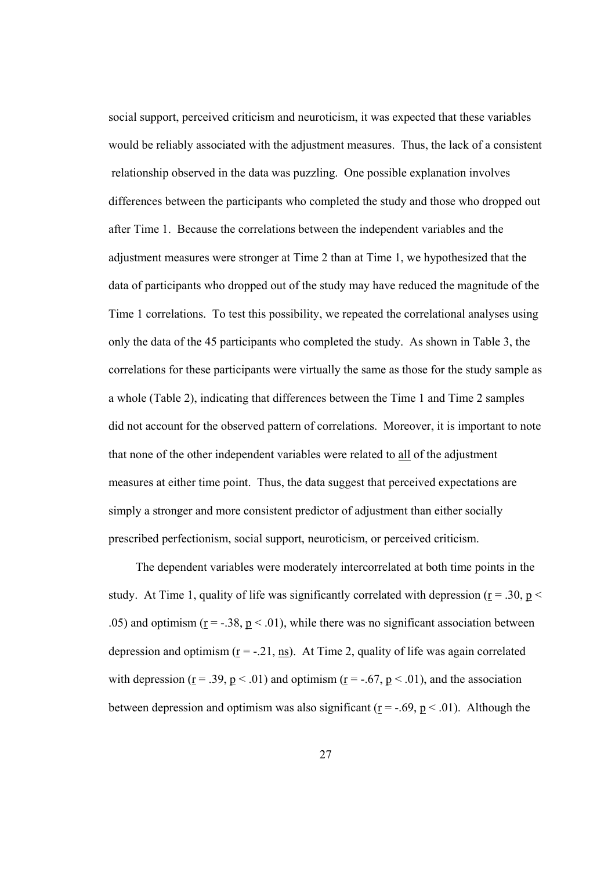social support, perceived criticism and neuroticism, it was expected that these variables would be reliably associated with the adjustment measures. Thus, the lack of a consistent relationship observed in the data was puzzling. One possible explanation involves differences between the participants who completed the study and those who dropped out after Time 1. Because the correlations between the independent variables and the adjustment measures were stronger at Time 2 than at Time 1, we hypothesized that the data of participants who dropped out of the study may have reduced the magnitude of the Time 1 correlations. To test this possibility, we repeated the correlational analyses using only the data of the 45 participants who completed the study. As shown in Table 3, the correlations for these participants were virtually the same as those for the study sample as a whole (Table 2), indicating that differences between the Time 1 and Time 2 samples did not account for the observed pattern of correlations. Moreover, it is important to note that none of the other independent variables were related to all of the adjustment measures at either time point. Thus, the data suggest that perceived expectations are simply a stronger and more consistent predictor of adjustment than either socially prescribed perfectionism, social support, neuroticism, or perceived criticism.

The dependent variables were moderately intercorrelated at both time points in the study. At Time 1, quality of life was significantly correlated with depression ( $r = .30$ ,  $p <$ .05) and optimism ( $\underline{r} = -.38$ ,  $\underline{p} < .01$ ), while there was no significant association between depression and optimism ( $r = -0.21$ , ns). At Time 2, quality of life was again correlated with depression ( $\underline{r} = .39$ ,  $\underline{p} < .01$ ) and optimism ( $\underline{r} = -.67$ ,  $\underline{p} < .01$ ), and the association between depression and optimism was also significant ( $r = -0.69$ ,  $p \le 0.01$ ). Although the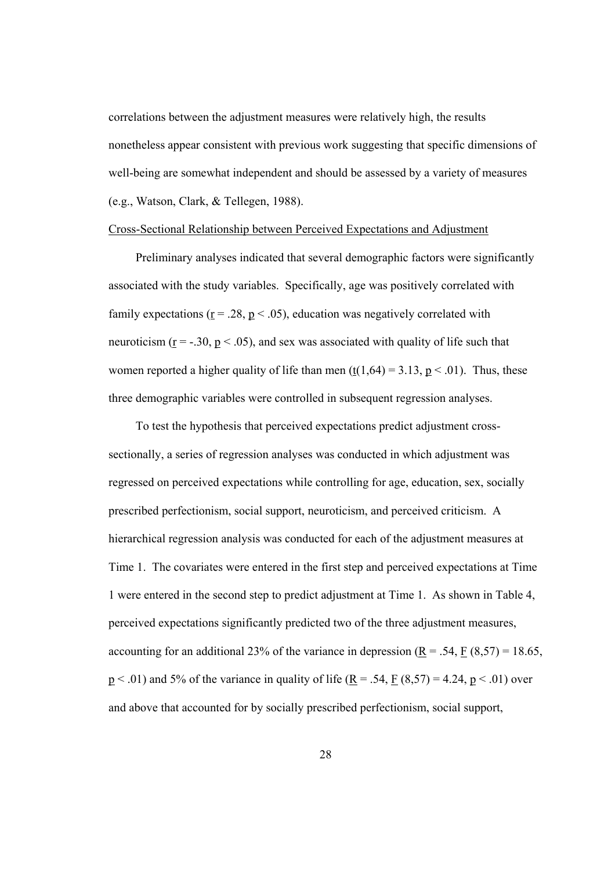correlations between the adjustment measures were relatively high, the results nonetheless appear consistent with previous work suggesting that specific dimensions of well-being are somewhat independent and should be assessed by a variety of measures (e.g., Watson, Clark, & Tellegen, 1988).

# Cross-Sectional Relationship between Perceived Expectations and Adjustment

 Preliminary analyses indicated that several demographic factors were significantly associated with the study variables. Specifically, age was positively correlated with family expectations ( $r = 0.28$ ,  $p < 0.05$ ), education was negatively correlated with neuroticism ( $r = -0.30$ ,  $p < 0.05$ ), and sex was associated with quality of life such that women reported a higher quality of life than men  $(t(1,64) = 3.13, p < .01)$ . Thus, these three demographic variables were controlled in subsequent regression analyses.

To test the hypothesis that perceived expectations predict adjustment crosssectionally, a series of regression analyses was conducted in which adjustment was regressed on perceived expectations while controlling for age, education, sex, socially prescribed perfectionism, social support, neuroticism, and perceived criticism. A hierarchical regression analysis was conducted for each of the adjustment measures at Time 1. The covariates were entered in the first step and perceived expectations at Time 1 were entered in the second step to predict adjustment at Time 1. As shown in Table 4, perceived expectations significantly predicted two of the three adjustment measures, accounting for an additional 23% of the variance in depression  $(R = .54, F(8.57) = 18.65,$  $p < .01$ ) and 5% of the variance in quality of life ( $\underline{R} = .54$ ,  $\underline{F}$  (8,57) = 4.24,  $\underline{p}$  < .01) over and above that accounted for by socially prescribed perfectionism, social support,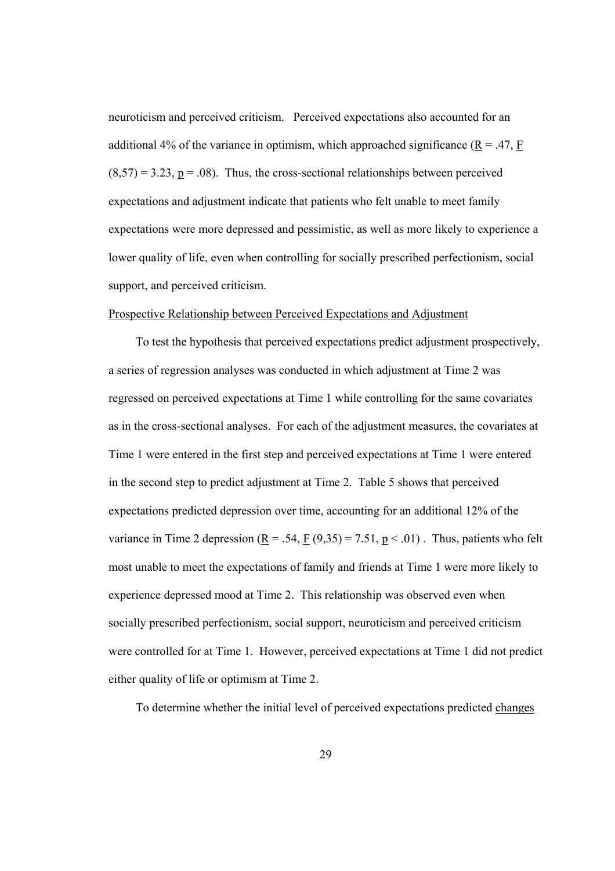neuroticism and perceived criticism. Perceived expectations also accounted for an additional 4% of the variance in optimism, which approached significance ( $\underline{R} = .47$ ,  $\underline{F}$  $(8,57) = 3.23$ ,  $p = .08$ ). Thus, the cross-sectional relationships between perceived expectations and adjustment indicate that patients who felt unable to meet family expectations were more depressed and pessimistic, as well as more likely to experience a lower quality of life, even when controlling for socially prescribed perfectionism, social support, and perceived criticism.

#### Prospective Relationship between Perceived Expectations and Adjustment

To test the hypothesis that perceived expectations predict adjustment prospectively, a series of regression analyses was conducted in which adjustment at Time 2 was regressed on perceived expectations at Time 1 while controlling for the same covariates as in the cross-sectional analyses. For each of the adjustment measures, the covariates at Time 1 were entered in the first step and perceived expectations at Time 1 were entered in the second step to predict adjustment at Time 2. Table 5 shows that perceived expectations predicted depression over time, accounting for an additional 12% of the variance in Time 2 depression  $(\underline{R} = .54, \underline{F} (9.35) = 7.51, \underline{p} < .01)$ . Thus, patients who felt most unable to meet the expectations of family and friends at Time 1 were more likely to experience depressed mood at Time 2. This relationship was observed even when socially prescribed perfectionism, social support, neuroticism and perceived criticism were controlled for at Time 1. However, perceived expectations at Time 1 did not predict either quality of life or optimism at Time 2.

To determine whether the initial level of perceived expectations predicted changes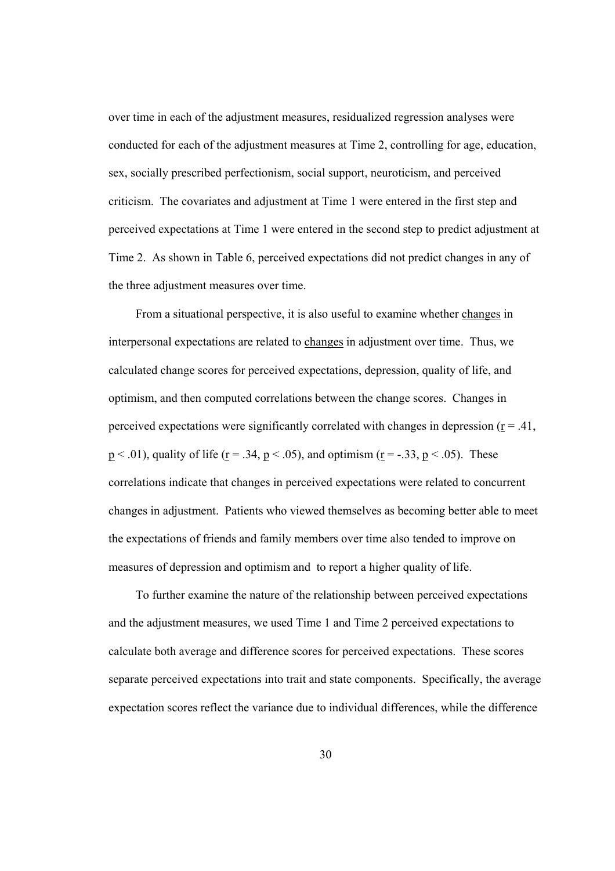over time in each of the adjustment measures, residualized regression analyses were conducted for each of the adjustment measures at Time 2, controlling for age, education, sex, socially prescribed perfectionism, social support, neuroticism, and perceived criticism. The covariates and adjustment at Time 1 were entered in the first step and perceived expectations at Time 1 were entered in the second step to predict adjustment at Time 2. As shown in Table 6, perceived expectations did not predict changes in any of the three adjustment measures over time.

From a situational perspective, it is also useful to examine whether changes in interpersonal expectations are related to changes in adjustment over time. Thus, we calculated change scores for perceived expectations, depression, quality of life, and optimism, and then computed correlations between the change scores. Changes in perceived expectations were significantly correlated with changes in depression ( $r = .41$ ,  $p < .01$ ), quality of life ( $r = .34$ ,  $p < .05$ ), and optimism ( $r = -.33$ ,  $p < .05$ ). These correlations indicate that changes in perceived expectations were related to concurrent changes in adjustment. Patients who viewed themselves as becoming better able to meet the expectations of friends and family members over time also tended to improve on measures of depression and optimism and to report a higher quality of life.

To further examine the nature of the relationship between perceived expectations and the adjustment measures, we used Time 1 and Time 2 perceived expectations to calculate both average and difference scores for perceived expectations. These scores separate perceived expectations into trait and state components. Specifically, the average expectation scores reflect the variance due to individual differences, while the difference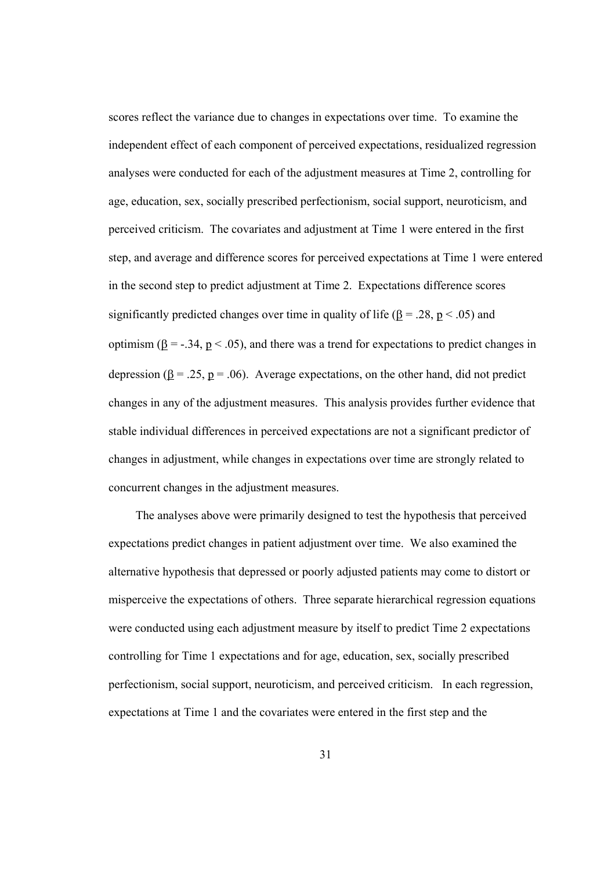scores reflect the variance due to changes in expectations over time. To examine the independent effect of each component of perceived expectations, residualized regression analyses were conducted for each of the adjustment measures at Time 2, controlling for age, education, sex, socially prescribed perfectionism, social support, neuroticism, and perceived criticism. The covariates and adjustment at Time 1 were entered in the first step, and average and difference scores for perceived expectations at Time 1 were entered in the second step to predict adjustment at Time 2. Expectations difference scores significantly predicted changes over time in quality of life ( $\beta$  = .28, p < .05) and optimism ( $\underline{\beta}$  = -.34,  $\underline{p}$  < .05), and there was a trend for expectations to predict changes in depression ( $\underline{\beta} = .25$ ,  $\underline{p} = .06$ ). Average expectations, on the other hand, did not predict changes in any of the adjustment measures. This analysis provides further evidence that stable individual differences in perceived expectations are not a significant predictor of changes in adjustment, while changes in expectations over time are strongly related to concurrent changes in the adjustment measures.

The analyses above were primarily designed to test the hypothesis that perceived expectations predict changes in patient adjustment over time. We also examined the alternative hypothesis that depressed or poorly adjusted patients may come to distort or misperceive the expectations of others. Three separate hierarchical regression equations were conducted using each adjustment measure by itself to predict Time 2 expectations controlling for Time 1 expectations and for age, education, sex, socially prescribed perfectionism, social support, neuroticism, and perceived criticism. In each regression, expectations at Time 1 and the covariates were entered in the first step and the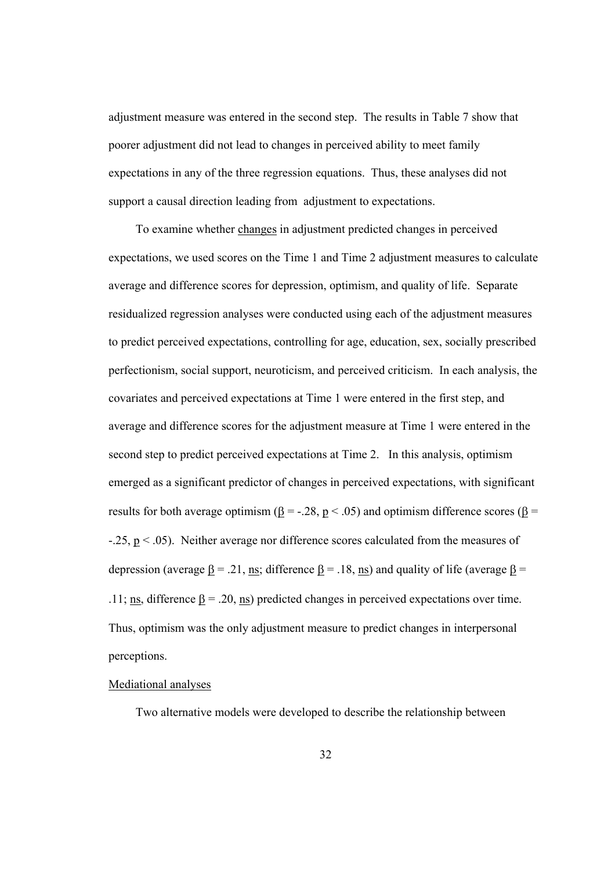adjustment measure was entered in the second step. The results in Table 7 show that poorer adjustment did not lead to changes in perceived ability to meet family expectations in any of the three regression equations. Thus, these analyses did not support a causal direction leading from adjustment to expectations.

To examine whether changes in adjustment predicted changes in perceived expectations, we used scores on the Time 1 and Time 2 adjustment measures to calculate average and difference scores for depression, optimism, and quality of life. Separate residualized regression analyses were conducted using each of the adjustment measures to predict perceived expectations, controlling for age, education, sex, socially prescribed perfectionism, social support, neuroticism, and perceived criticism. In each analysis, the covariates and perceived expectations at Time 1 were entered in the first step, and average and difference scores for the adjustment measure at Time 1 were entered in the second step to predict perceived expectations at Time 2. In this analysis, optimism emerged as a significant predictor of changes in perceived expectations, with significant results for both average optimism ( $\underline{\beta}$  = -.28,  $\underline{p}$  < .05) and optimism difference scores ( $\underline{\beta}$  =  $-25$ ,  $p < 0.05$ ). Neither average nor difference scores calculated from the measures of depression (average  $\underline{\beta} = .21$ , ns; difference  $\underline{\beta} = .18$ , ns) and quality of life (average  $\underline{\beta} =$ .11; ns, difference  $\underline{\beta} = .20$ , ns) predicted changes in perceived expectations over time. Thus, optimism was the only adjustment measure to predict changes in interpersonal perceptions.

### Mediational analyses

Two alternative models were developed to describe the relationship between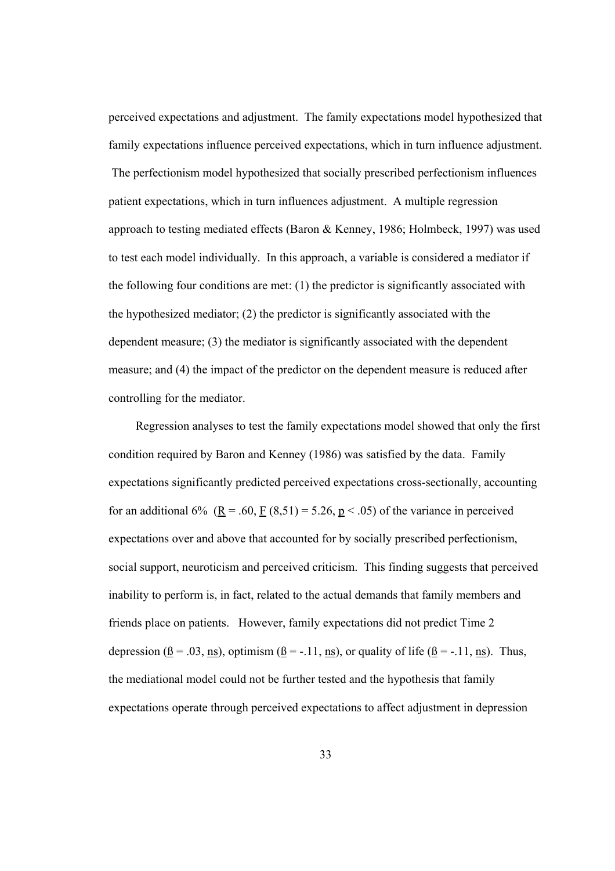perceived expectations and adjustment. The family expectations model hypothesized that family expectations influence perceived expectations, which in turn influence adjustment. The perfectionism model hypothesized that socially prescribed perfectionism influences patient expectations, which in turn influences adjustment. A multiple regression approach to testing mediated effects (Baron & Kenney, 1986; Holmbeck, 1997) was used to test each model individually. In this approach, a variable is considered a mediator if the following four conditions are met: (1) the predictor is significantly associated with the hypothesized mediator; (2) the predictor is significantly associated with the dependent measure; (3) the mediator is significantly associated with the dependent measure; and (4) the impact of the predictor on the dependent measure is reduced after controlling for the mediator.

Regression analyses to test the family expectations model showed that only the first condition required by Baron and Kenney (1986) was satisfied by the data. Family expectations significantly predicted perceived expectations cross-sectionally, accounting for an additional 6%  $\underline{(R = .60, \underline{F} (8,51) = 5.26, \underline{p} < .05)}$  of the variance in perceived expectations over and above that accounted for by socially prescribed perfectionism, social support, neuroticism and perceived criticism. This finding suggests that perceived inability to perform is, in fact, related to the actual demands that family members and friends place on patients. However, family expectations did not predict Time 2 depression ( $\underline{B} = .03$ ,  $\underline{ns}$ ), optimism ( $\underline{B} = -.11$ ,  $\underline{ns}$ ), or quality of life ( $\underline{B} = -.11$ , ns). Thus, the mediational model could not be further tested and the hypothesis that family expectations operate through perceived expectations to affect adjustment in depression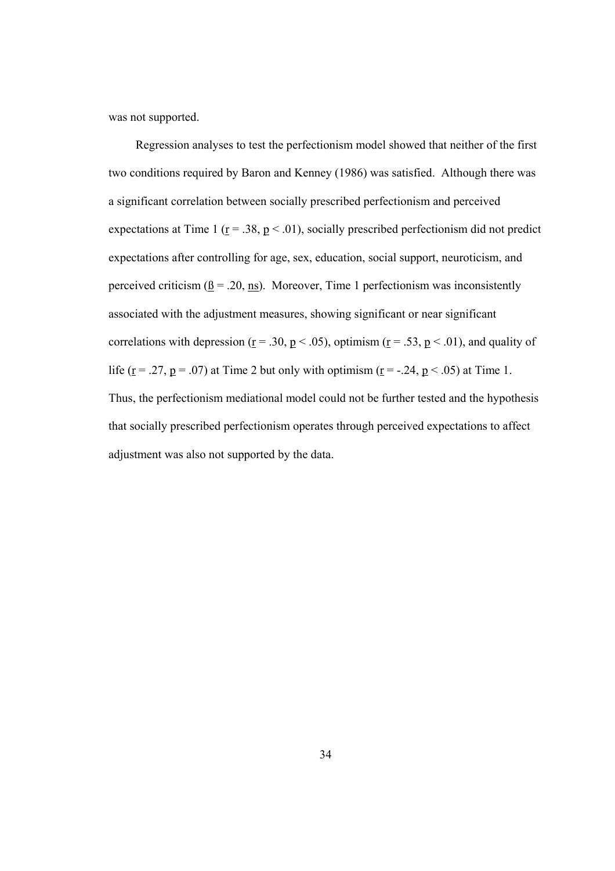was not supported.

Regression analyses to test the perfectionism model showed that neither of the first two conditions required by Baron and Kenney (1986) was satisfied. Although there was a significant correlation between socially prescribed perfectionism and perceived expectations at Time 1 ( $r = .38$ ,  $p < .01$ ), socially prescribed perfectionism did not predict expectations after controlling for age, sex, education, social support, neuroticism, and perceived criticism ( $\underline{B} = .20$ , ns). Moreover, Time 1 perfectionism was inconsistently associated with the adjustment measures, showing significant or near significant correlations with depression ( $\underline{r} = .30$ ,  $\underline{p} < .05$ ), optimism ( $\underline{r} = .53$ ,  $\underline{p} < .01$ ), and quality of life ( $\underline{r}$  = .27,  $\underline{p}$  = .07) at Time 2 but only with optimism ( $\underline{r}$  = -.24,  $\underline{p}$  < .05) at Time 1. Thus, the perfectionism mediational model could not be further tested and the hypothesis that socially prescribed perfectionism operates through perceived expectations to affect adjustment was also not supported by the data.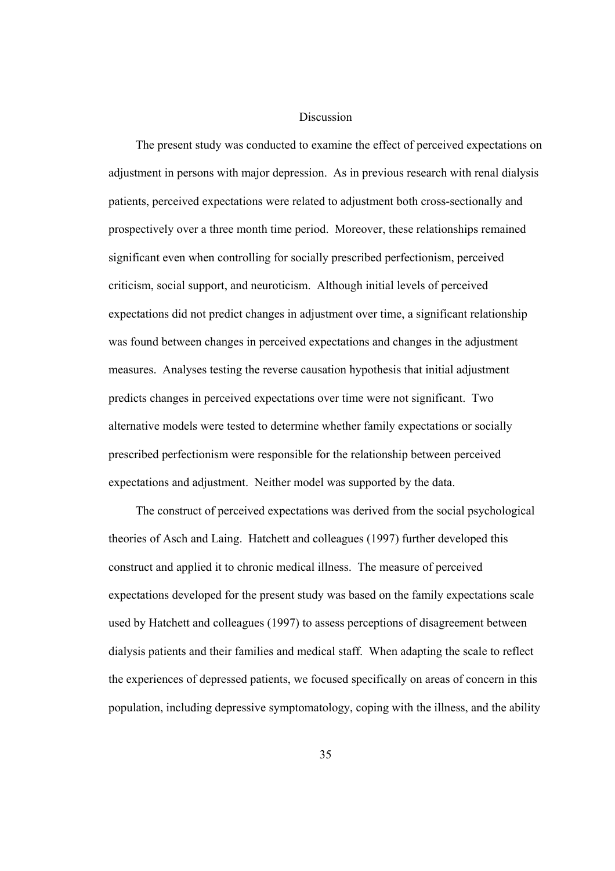### Discussion

The present study was conducted to examine the effect of perceived expectations on adjustment in persons with major depression. As in previous research with renal dialysis patients, perceived expectations were related to adjustment both cross-sectionally and prospectively over a three month time period. Moreover, these relationships remained significant even when controlling for socially prescribed perfectionism, perceived criticism, social support, and neuroticism. Although initial levels of perceived expectations did not predict changes in adjustment over time, a significant relationship was found between changes in perceived expectations and changes in the adjustment measures. Analyses testing the reverse causation hypothesis that initial adjustment predicts changes in perceived expectations over time were not significant. Two alternative models were tested to determine whether family expectations or socially prescribed perfectionism were responsible for the relationship between perceived expectations and adjustment. Neither model was supported by the data.

The construct of perceived expectations was derived from the social psychological theories of Asch and Laing. Hatchett and colleagues (1997) further developed this construct and applied it to chronic medical illness. The measure of perceived expectations developed for the present study was based on the family expectations scale used by Hatchett and colleagues (1997) to assess perceptions of disagreement between dialysis patients and their families and medical staff. When adapting the scale to reflect the experiences of depressed patients, we focused specifically on areas of concern in this population, including depressive symptomatology, coping with the illness, and the ability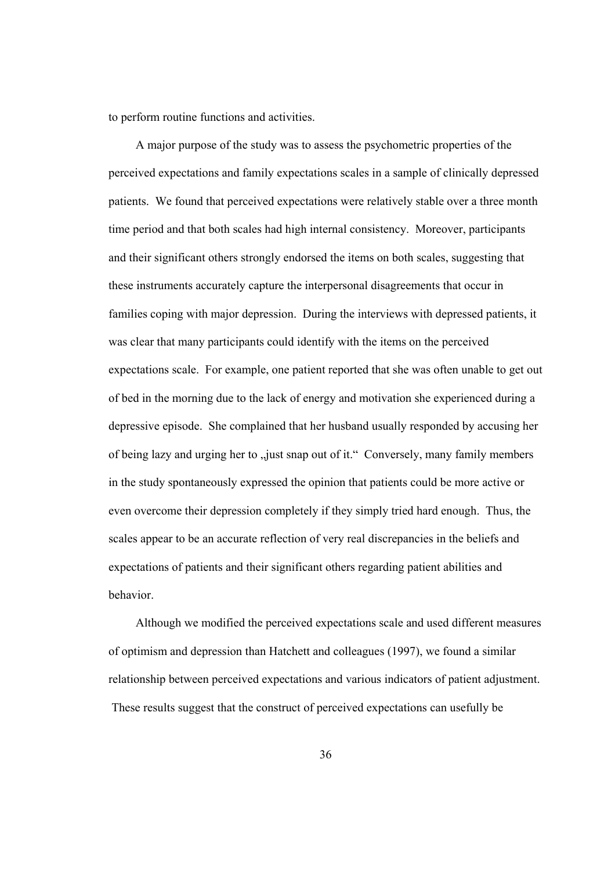to perform routine functions and activities.

A major purpose of the study was to assess the psychometric properties of the perceived expectations and family expectations scales in a sample of clinically depressed patients. We found that perceived expectations were relatively stable over a three month time period and that both scales had high internal consistency. Moreover, participants and their significant others strongly endorsed the items on both scales, suggesting that these instruments accurately capture the interpersonal disagreements that occur in families coping with major depression. During the interviews with depressed patients, it was clear that many participants could identify with the items on the perceived expectations scale. For example, one patient reported that she was often unable to get out of bed in the morning due to the lack of energy and motivation she experienced during a depressive episode. She complained that her husband usually responded by accusing her of being lazy and urging her to "just snap out of it." Conversely, many family members in the study spontaneously expressed the opinion that patients could be more active or even overcome their depression completely if they simply tried hard enough. Thus, the scales appear to be an accurate reflection of very real discrepancies in the beliefs and expectations of patients and their significant others regarding patient abilities and behavior.

Although we modified the perceived expectations scale and used different measures of optimism and depression than Hatchett and colleagues (1997), we found a similar relationship between perceived expectations and various indicators of patient adjustment. These results suggest that the construct of perceived expectations can usefully be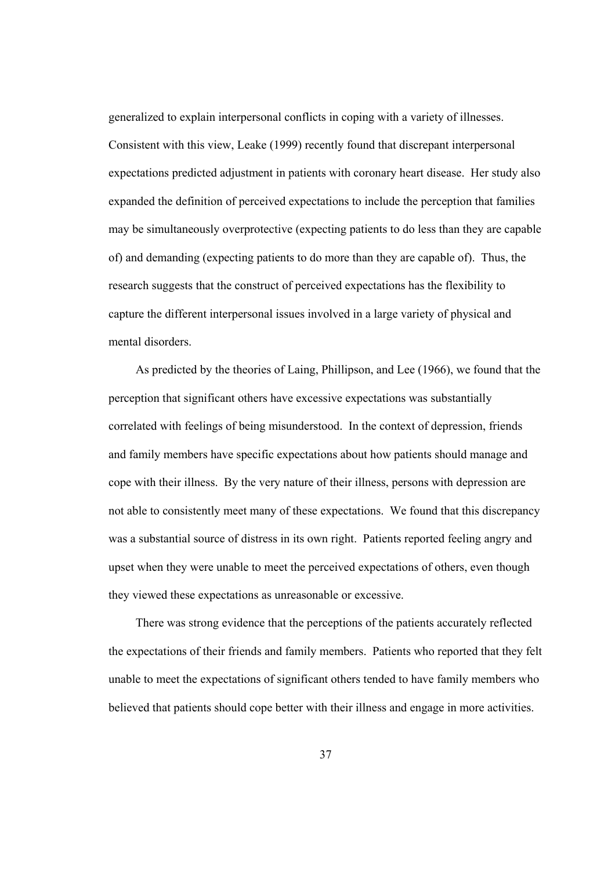generalized to explain interpersonal conflicts in coping with a variety of illnesses. Consistent with this view, Leake (1999) recently found that discrepant interpersonal expectations predicted adjustment in patients with coronary heart disease. Her study also expanded the definition of perceived expectations to include the perception that families may be simultaneously overprotective (expecting patients to do less than they are capable of) and demanding (expecting patients to do more than they are capable of). Thus, the research suggests that the construct of perceived expectations has the flexibility to capture the different interpersonal issues involved in a large variety of physical and mental disorders.

As predicted by the theories of Laing, Phillipson, and Lee (1966), we found that the perception that significant others have excessive expectations was substantially correlated with feelings of being misunderstood. In the context of depression, friends and family members have specific expectations about how patients should manage and cope with their illness. By the very nature of their illness, persons with depression are not able to consistently meet many of these expectations. We found that this discrepancy was a substantial source of distress in its own right. Patients reported feeling angry and upset when they were unable to meet the perceived expectations of others, even though they viewed these expectations as unreasonable or excessive.

There was strong evidence that the perceptions of the patients accurately reflected the expectations of their friends and family members. Patients who reported that they felt unable to meet the expectations of significant others tended to have family members who believed that patients should cope better with their illness and engage in more activities.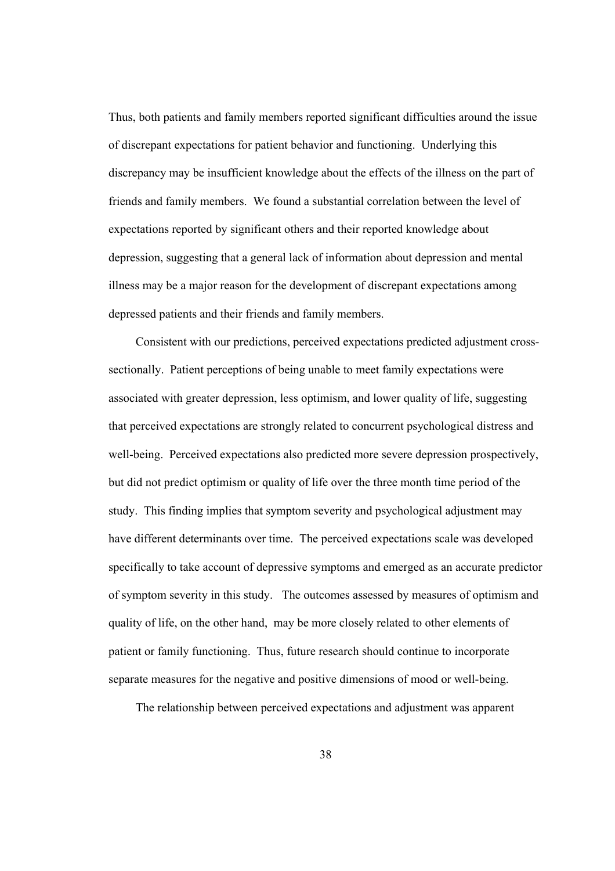Thus, both patients and family members reported significant difficulties around the issue of discrepant expectations for patient behavior and functioning. Underlying this discrepancy may be insufficient knowledge about the effects of the illness on the part of friends and family members. We found a substantial correlation between the level of expectations reported by significant others and their reported knowledge about depression, suggesting that a general lack of information about depression and mental illness may be a major reason for the development of discrepant expectations among depressed patients and their friends and family members.

Consistent with our predictions, perceived expectations predicted adjustment crosssectionally. Patient perceptions of being unable to meet family expectations were associated with greater depression, less optimism, and lower quality of life, suggesting that perceived expectations are strongly related to concurrent psychological distress and well-being. Perceived expectations also predicted more severe depression prospectively, but did not predict optimism or quality of life over the three month time period of the study. This finding implies that symptom severity and psychological adjustment may have different determinants over time. The perceived expectations scale was developed specifically to take account of depressive symptoms and emerged as an accurate predictor of symptom severity in this study. The outcomes assessed by measures of optimism and quality of life, on the other hand, may be more closely related to other elements of patient or family functioning. Thus, future research should continue to incorporate separate measures for the negative and positive dimensions of mood or well-being.

The relationship between perceived expectations and adjustment was apparent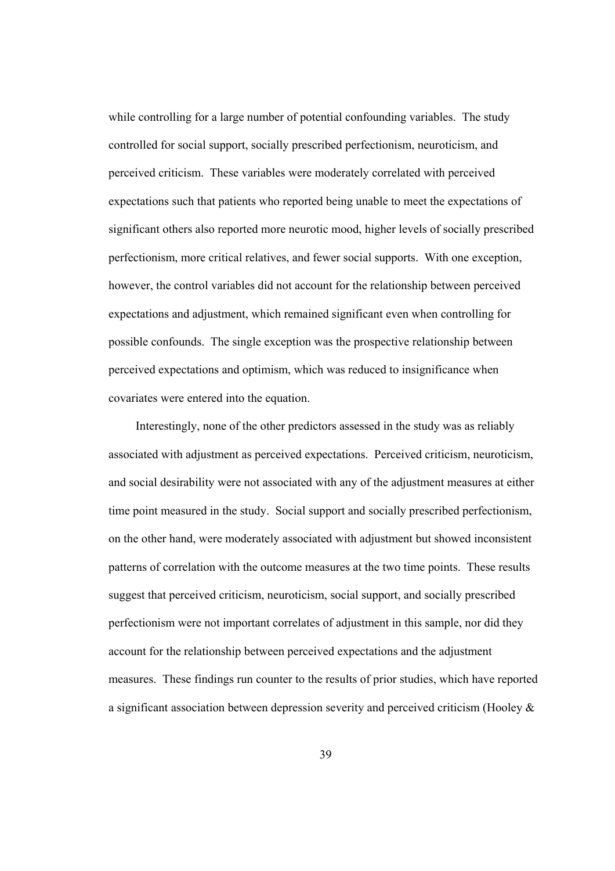while controlling for a large number of potential confounding variables. The study controlled for social support, socially prescribed perfectionism, neuroticism, and perceived criticism. These variables were moderately correlated with perceived expectations such that patients who reported being unable to meet the expectations of significant others also reported more neurotic mood, higher levels of socially prescribed perfectionism, more critical relatives, and fewer social supports. With one exception, however, the control variables did not account for the relationship between perceived expectations and adjustment, which remained significant even when controlling for possible confounds. The single exception was the prospective relationship between perceived expectations and optimism, which was reduced to insignificance when covariates were entered into the equation.

Interestingly, none of the other predictors assessed in the study was as reliably associated with adjustment as perceived expectations. Perceived criticism, neuroticism, and social desirability were not associated with any of the adjustment measures at either time point measured in the study. Social support and socially prescribed perfectionism, on the other hand, were moderately associated with adjustment but showed inconsistent patterns of correlation with the outcome measures at the two time points. These results suggest that perceived criticism, neuroticism, social support, and socially prescribed perfectionism were not important correlates of adjustment in this sample, nor did they account for the relationship between perceived expectations and the adjustment measures. These findings run counter to the results of prior studies, which have reported a significant association between depression severity and perceived criticism (Hooley &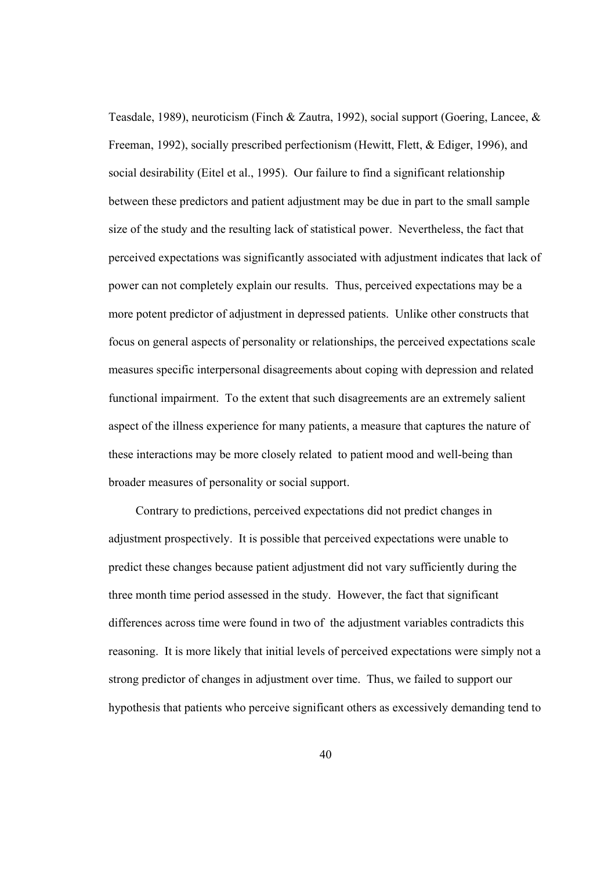Teasdale, 1989), neuroticism (Finch & Zautra, 1992), social support (Goering, Lancee, & Freeman, 1992), socially prescribed perfectionism (Hewitt, Flett, & Ediger, 1996), and social desirability (Eitel et al., 1995). Our failure to find a significant relationship between these predictors and patient adjustment may be due in part to the small sample size of the study and the resulting lack of statistical power. Nevertheless, the fact that perceived expectations was significantly associated with adjustment indicates that lack of power can not completely explain our results. Thus, perceived expectations may be a more potent predictor of adjustment in depressed patients. Unlike other constructs that focus on general aspects of personality or relationships, the perceived expectations scale measures specific interpersonal disagreements about coping with depression and related functional impairment. To the extent that such disagreements are an extremely salient aspect of the illness experience for many patients, a measure that captures the nature of these interactions may be more closely related to patient mood and well-being than broader measures of personality or social support.

Contrary to predictions, perceived expectations did not predict changes in adjustment prospectively. It is possible that perceived expectations were unable to predict these changes because patient adjustment did not vary sufficiently during the three month time period assessed in the study. However, the fact that significant differences across time were found in two of the adjustment variables contradicts this reasoning. It is more likely that initial levels of perceived expectations were simply not a strong predictor of changes in adjustment over time. Thus, we failed to support our hypothesis that patients who perceive significant others as excessively demanding tend to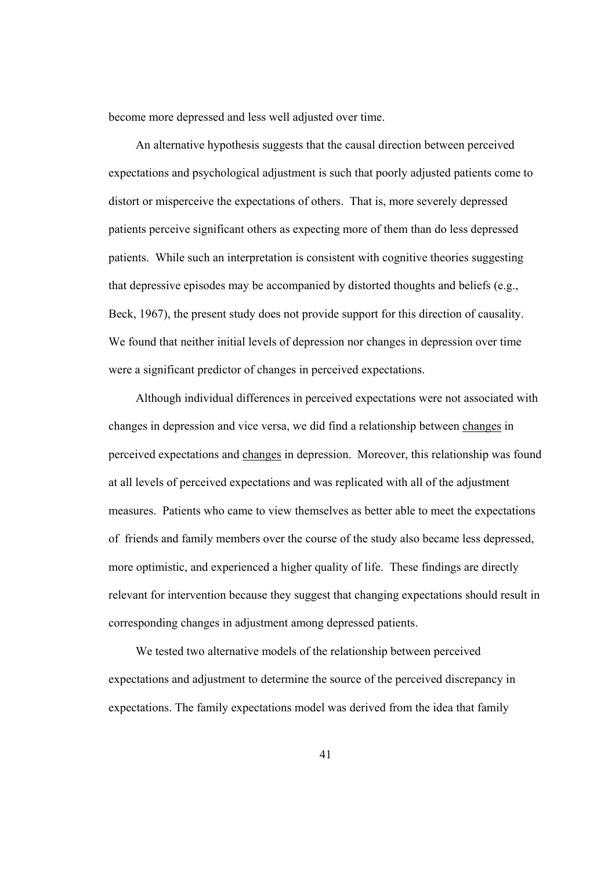become more depressed and less well adjusted over time.

An alternative hypothesis suggests that the causal direction between perceived expectations and psychological adjustment is such that poorly adjusted patients come to distort or misperceive the expectations of others. That is, more severely depressed patients perceive significant others as expecting more of them than do less depressed patients. While such an interpretation is consistent with cognitive theories suggesting that depressive episodes may be accompanied by distorted thoughts and beliefs (e.g., Beck, 1967), the present study does not provide support for this direction of causality. We found that neither initial levels of depression nor changes in depression over time were a significant predictor of changes in perceived expectations.

Although individual differences in perceived expectations were not associated with changes in depression and vice versa, we did find a relationship between changes in perceived expectations and changes in depression. Moreover, this relationship was found at all levels of perceived expectations and was replicated with all of the adjustment measures. Patients who came to view themselves as better able to meet the expectations of friends and family members over the course of the study also became less depressed, more optimistic, and experienced a higher quality of life. These findings are directly relevant for intervention because they suggest that changing expectations should result in corresponding changes in adjustment among depressed patients.

We tested two alternative models of the relationship between perceived expectations and adjustment to determine the source of the perceived discrepancy in expectations. The family expectations model was derived from the idea that family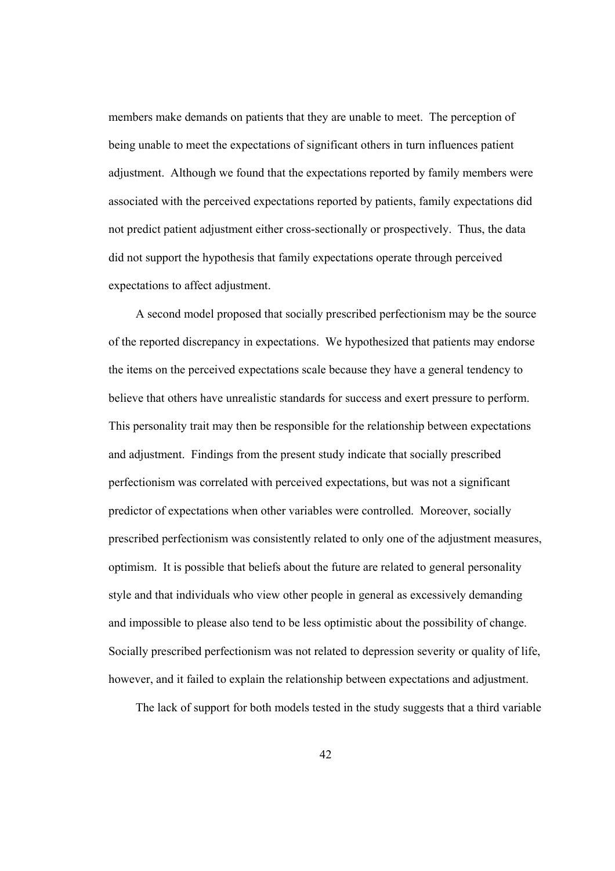members make demands on patients that they are unable to meet. The perception of being unable to meet the expectations of significant others in turn influences patient adjustment. Although we found that the expectations reported by family members were associated with the perceived expectations reported by patients, family expectations did not predict patient adjustment either cross-sectionally or prospectively. Thus, the data did not support the hypothesis that family expectations operate through perceived expectations to affect adjustment.

A second model proposed that socially prescribed perfectionism may be the source of the reported discrepancy in expectations. We hypothesized that patients may endorse the items on the perceived expectations scale because they have a general tendency to believe that others have unrealistic standards for success and exert pressure to perform. This personality trait may then be responsible for the relationship between expectations and adjustment. Findings from the present study indicate that socially prescribed perfectionism was correlated with perceived expectations, but was not a significant predictor of expectations when other variables were controlled. Moreover, socially prescribed perfectionism was consistently related to only one of the adjustment measures, optimism. It is possible that beliefs about the future are related to general personality style and that individuals who view other people in general as excessively demanding and impossible to please also tend to be less optimistic about the possibility of change. Socially prescribed perfectionism was not related to depression severity or quality of life, however, and it failed to explain the relationship between expectations and adjustment.

The lack of support for both models tested in the study suggests that a third variable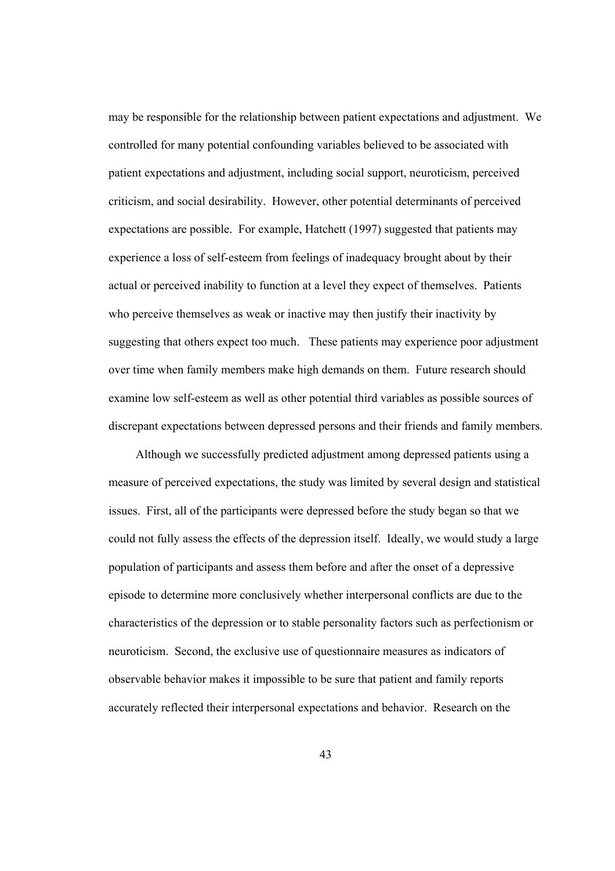may be responsible for the relationship between patient expectations and adjustment. We controlled for many potential confounding variables believed to be associated with patient expectations and adjustment, including social support, neuroticism, perceived criticism, and social desirability. However, other potential determinants of perceived expectations are possible. For example, Hatchett (1997) suggested that patients may experience a loss of self-esteem from feelings of inadequacy brought about by their actual or perceived inability to function at a level they expect of themselves. Patients who perceive themselves as weak or inactive may then justify their inactivity by suggesting that others expect too much. These patients may experience poor adjustment over time when family members make high demands on them. Future research should examine low self-esteem as well as other potential third variables as possible sources of discrepant expectations between depressed persons and their friends and family members.

Although we successfully predicted adjustment among depressed patients using a measure of perceived expectations, the study was limited by several design and statistical issues. First, all of the participants were depressed before the study began so that we could not fully assess the effects of the depression itself. Ideally, we would study a large population of participants and assess them before and after the onset of a depressive episode to determine more conclusively whether interpersonal conflicts are due to the characteristics of the depression or to stable personality factors such as perfectionism or neuroticism. Second, the exclusive use of questionnaire measures as indicators of observable behavior makes it impossible to be sure that patient and family reports accurately reflected their interpersonal expectations and behavior. Research on the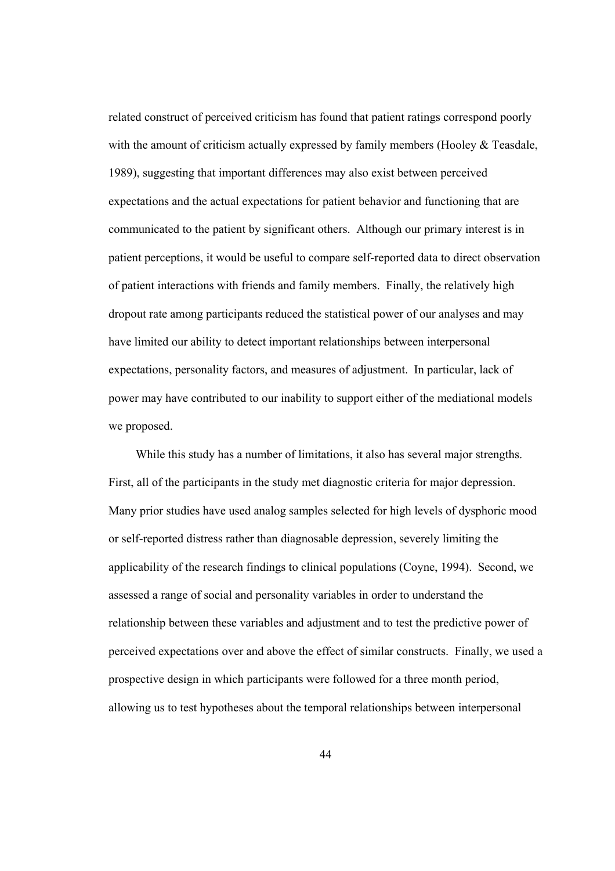related construct of perceived criticism has found that patient ratings correspond poorly with the amount of criticism actually expressed by family members (Hooley & Teasdale, 1989), suggesting that important differences may also exist between perceived expectations and the actual expectations for patient behavior and functioning that are communicated to the patient by significant others. Although our primary interest is in patient perceptions, it would be useful to compare self-reported data to direct observation of patient interactions with friends and family members. Finally, the relatively high dropout rate among participants reduced the statistical power of our analyses and may have limited our ability to detect important relationships between interpersonal expectations, personality factors, and measures of adjustment. In particular, lack of power may have contributed to our inability to support either of the mediational models we proposed.

While this study has a number of limitations, it also has several major strengths. First, all of the participants in the study met diagnostic criteria for major depression. Many prior studies have used analog samples selected for high levels of dysphoric mood or self-reported distress rather than diagnosable depression, severely limiting the applicability of the research findings to clinical populations (Coyne, 1994). Second, we assessed a range of social and personality variables in order to understand the relationship between these variables and adjustment and to test the predictive power of perceived expectations over and above the effect of similar constructs. Finally, we used a prospective design in which participants were followed for a three month period, allowing us to test hypotheses about the temporal relationships between interpersonal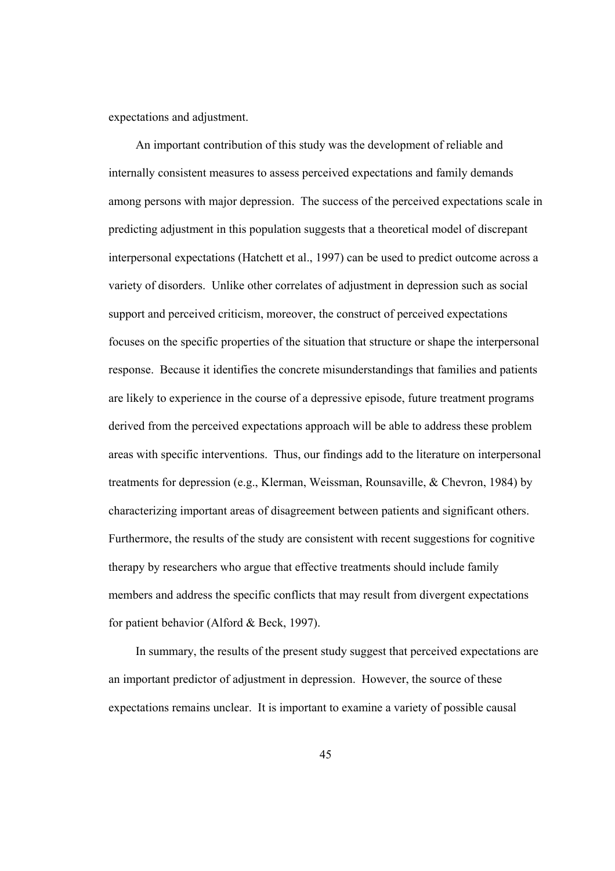expectations and adjustment.

An important contribution of this study was the development of reliable and internally consistent measures to assess perceived expectations and family demands among persons with major depression. The success of the perceived expectations scale in predicting adjustment in this population suggests that a theoretical model of discrepant interpersonal expectations (Hatchett et al., 1997) can be used to predict outcome across a variety of disorders. Unlike other correlates of adjustment in depression such as social support and perceived criticism, moreover, the construct of perceived expectations focuses on the specific properties of the situation that structure or shape the interpersonal response. Because it identifies the concrete misunderstandings that families and patients are likely to experience in the course of a depressive episode, future treatment programs derived from the perceived expectations approach will be able to address these problem areas with specific interventions. Thus, our findings add to the literature on interpersonal treatments for depression (e.g., Klerman, Weissman, Rounsaville, & Chevron, 1984) by characterizing important areas of disagreement between patients and significant others. Furthermore, the results of the study are consistent with recent suggestions for cognitive therapy by researchers who argue that effective treatments should include family members and address the specific conflicts that may result from divergent expectations for patient behavior (Alford & Beck, 1997).

In summary, the results of the present study suggest that perceived expectations are an important predictor of adjustment in depression. However, the source of these expectations remains unclear. It is important to examine a variety of possible causal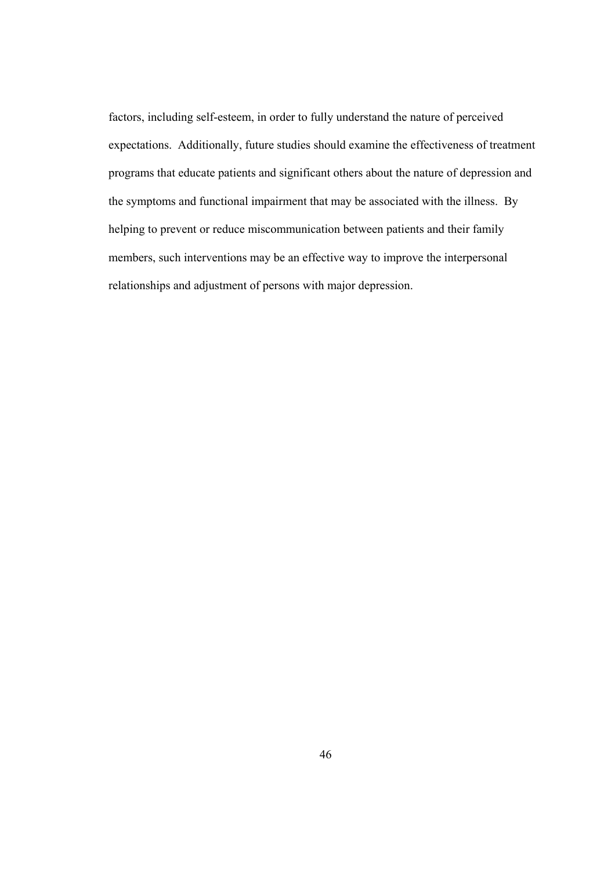factors, including self-esteem, in order to fully understand the nature of perceived expectations. Additionally, future studies should examine the effectiveness of treatment programs that educate patients and significant others about the nature of depression and the symptoms and functional impairment that may be associated with the illness. By helping to prevent or reduce miscommunication between patients and their family members, such interventions may be an effective way to improve the interpersonal relationships and adjustment of persons with major depression.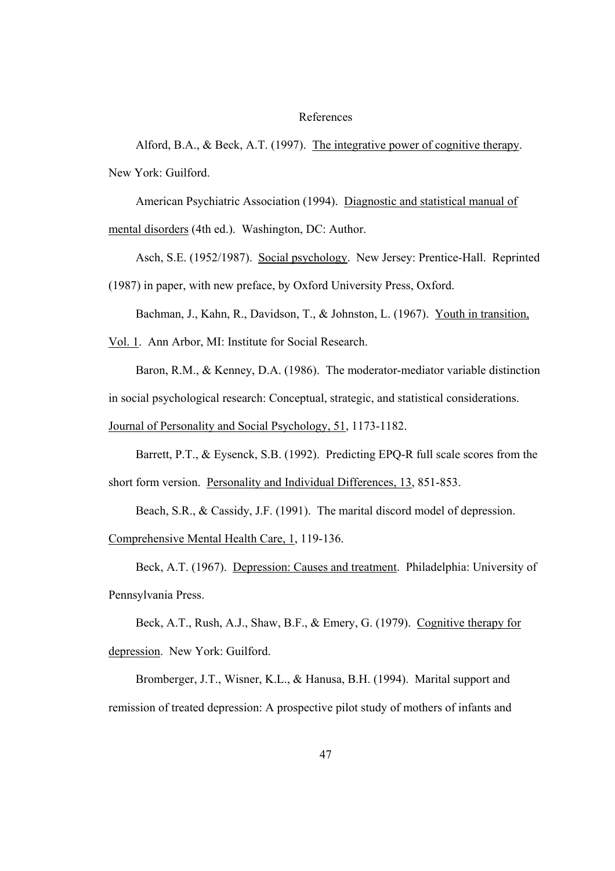### References

Alford, B.A., & Beck, A.T. (1997). The integrative power of cognitive therapy. New York: Guilford.

American Psychiatric Association (1994). Diagnostic and statistical manual of

mental disorders (4th ed.). Washington, DC: Author.

Asch, S.E. (1952/1987). Social psychology. New Jersey: Prentice-Hall. Reprinted (1987) in paper, with new preface, by Oxford University Press, Oxford.

Bachman, J., Kahn, R., Davidson, T., & Johnston, L. (1967). Youth in transition,

Vol. 1. Ann Arbor, MI: Institute for Social Research.

Baron, R.M., & Kenney, D.A. (1986). The moderator-mediator variable distinction

in social psychological research: Conceptual, strategic, and statistical considerations.

Journal of Personality and Social Psychology, 51, 1173-1182.

Barrett, P.T., & Eysenck, S.B. (1992). Predicting EPQ-R full scale scores from the

short form version. Personality and Individual Differences, 13, 851-853.

Beach, S.R., & Cassidy, J.F. (1991). The marital discord model of depression.

Comprehensive Mental Health Care, 1, 119-136.

Beck, A.T. (1967). Depression: Causes and treatment. Philadelphia: University of Pennsylvania Press.

Beck, A.T., Rush, A.J., Shaw, B.F., & Emery, G. (1979). Cognitive therapy for depression. New York: Guilford.

Bromberger, J.T., Wisner, K.L., & Hanusa, B.H. (1994). Marital support and remission of treated depression: A prospective pilot study of mothers of infants and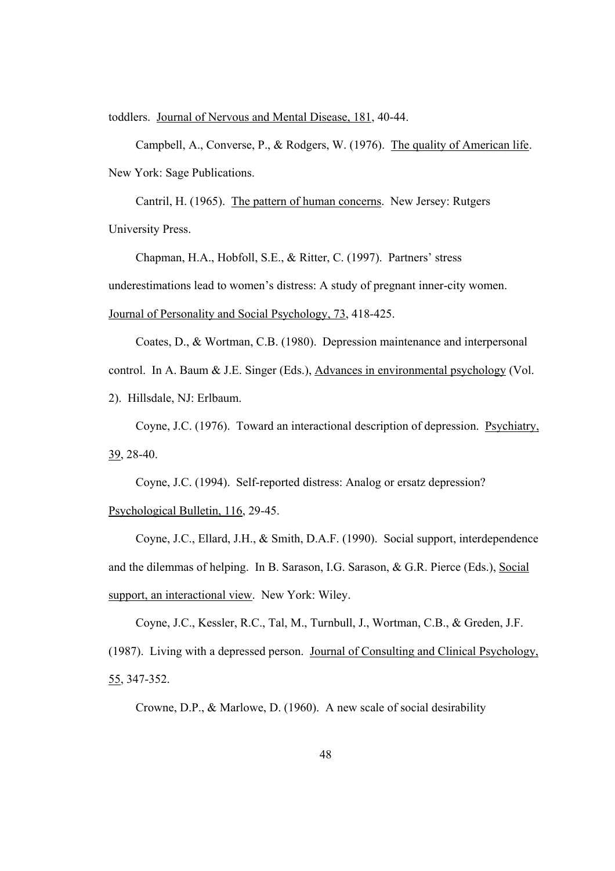toddlers. Journal of Nervous and Mental Disease, 181, 40-44.

Campbell, A., Converse, P., & Rodgers, W. (1976). The quality of American life. New York: Sage Publications.

Cantril, H. (1965). The pattern of human concerns. New Jersey: Rutgers University Press.

Chapman, H.A., Hobfoll, S.E., & Ritter, C. (1997). Partners' stress

underestimations lead to women's distress: A study of pregnant inner-city women.

Journal of Personality and Social Psychology, 73, 418-425.

Coates, D., & Wortman, C.B. (1980). Depression maintenance and interpersonal control. In A. Baum & J.E. Singer (Eds.), Advances in environmental psychology (Vol. 2). Hillsdale, NJ: Erlbaum.

Coyne, J.C. (1976). Toward an interactional description of depression. Psychiatry, 39, 28-40.

Coyne, J.C. (1994). Self-reported distress: Analog or ersatz depression? Psychological Bulletin, 116, 29-45.

Coyne, J.C., Ellard, J.H., & Smith, D.A.F. (1990). Social support, interdependence and the dilemmas of helping. In B. Sarason, I.G. Sarason, & G.R. Pierce (Eds.), Social support, an interactional view. New York: Wiley.

Coyne, J.C., Kessler, R.C., Tal, M., Turnbull, J., Wortman, C.B., & Greden, J.F. (1987). Living with a depressed person. Journal of Consulting and Clinical Psychology, 55, 347-352.

Crowne, D.P., & Marlowe, D. (1960). A new scale of social desirability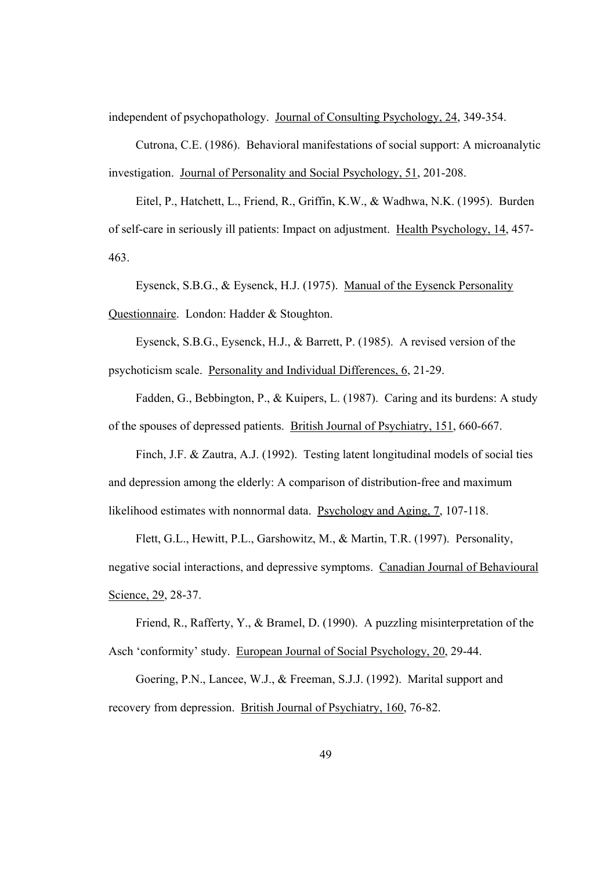independent of psychopathology. Journal of Consulting Psychology, 24, 349-354.

Cutrona, C.E. (1986). Behavioral manifestations of social support: A microanalytic investigation. Journal of Personality and Social Psychology, 51, 201-208.

Eitel, P., Hatchett, L., Friend, R., Griffin, K.W., & Wadhwa, N.K. (1995). Burden of self-care in seriously ill patients: Impact on adjustment. Health Psychology, 14, 457- 463.

Eysenck, S.B.G., & Eysenck, H.J. (1975). Manual of the Eysenck Personality Questionnaire. London: Hadder & Stoughton.

Eysenck, S.B.G., Eysenck, H.J., & Barrett, P. (1985). A revised version of the psychoticism scale. Personality and Individual Differences, 6, 21-29.

Fadden, G., Bebbington, P., & Kuipers, L. (1987). Caring and its burdens: A study of the spouses of depressed patients. British Journal of Psychiatry, 151, 660-667.

Finch, J.F. & Zautra, A.J. (1992). Testing latent longitudinal models of social ties and depression among the elderly: A comparison of distribution-free and maximum likelihood estimates with nonnormal data. Psychology and Aging, 7, 107-118.

Flett, G.L., Hewitt, P.L., Garshowitz, M., & Martin, T.R. (1997). Personality, negative social interactions, and depressive symptoms. Canadian Journal of Behavioural Science, 29, 28-37.

Friend, R., Rafferty, Y., & Bramel, D. (1990). A puzzling misinterpretation of the Asch 'conformity' study. European Journal of Social Psychology, 20, 29-44.

Goering, P.N., Lancee, W.J., & Freeman, S.J.J. (1992). Marital support and recovery from depression. British Journal of Psychiatry, 160, 76-82.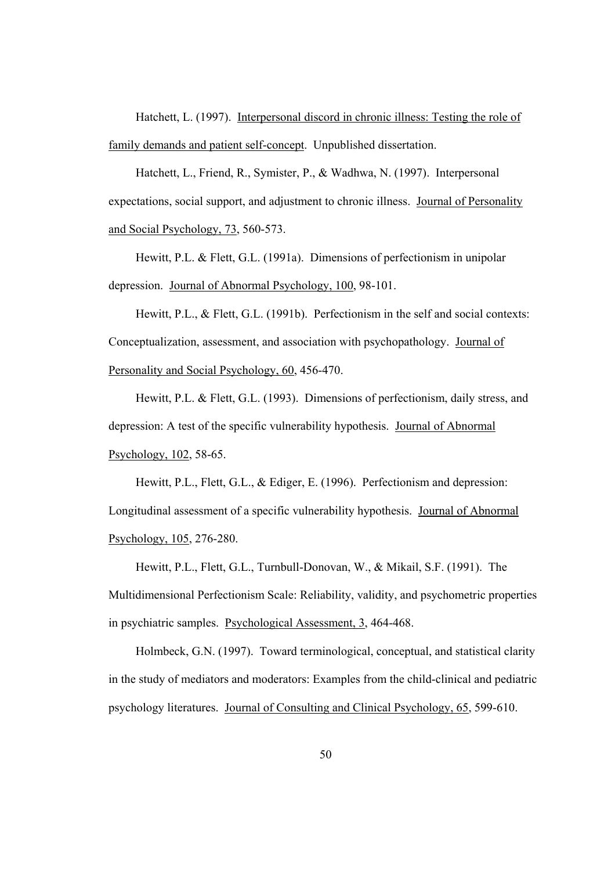Hatchett, L. (1997). Interpersonal discord in chronic illness: Testing the role of family demands and patient self-concept. Unpublished dissertation.

Hatchett, L., Friend, R., Symister, P., & Wadhwa, N. (1997). Interpersonal expectations, social support, and adjustment to chronic illness. Journal of Personality and Social Psychology, 73, 560-573.

Hewitt, P.L. & Flett, G.L. (1991a). Dimensions of perfectionism in unipolar depression. Journal of Abnormal Psychology, 100, 98-101.

Hewitt, P.L., & Flett, G.L. (1991b). Perfectionism in the self and social contexts: Conceptualization, assessment, and association with psychopathology. Journal of Personality and Social Psychology, 60, 456-470.

Hewitt, P.L. & Flett, G.L. (1993). Dimensions of perfectionism, daily stress, and depression: A test of the specific vulnerability hypothesis. Journal of Abnormal Psychology, 102, 58-65.

Hewitt, P.L., Flett, G.L., & Ediger, E. (1996). Perfectionism and depression: Longitudinal assessment of a specific vulnerability hypothesis. Journal of Abnormal Psychology, 105, 276-280.

Hewitt, P.L., Flett, G.L., Turnbull-Donovan, W., & Mikail, S.F. (1991). The Multidimensional Perfectionism Scale: Reliability, validity, and psychometric properties in psychiatric samples. Psychological Assessment, 3, 464-468.

Holmbeck, G.N. (1997). Toward terminological, conceptual, and statistical clarity in the study of mediators and moderators: Examples from the child-clinical and pediatric psychology literatures. Journal of Consulting and Clinical Psychology, 65, 599-610.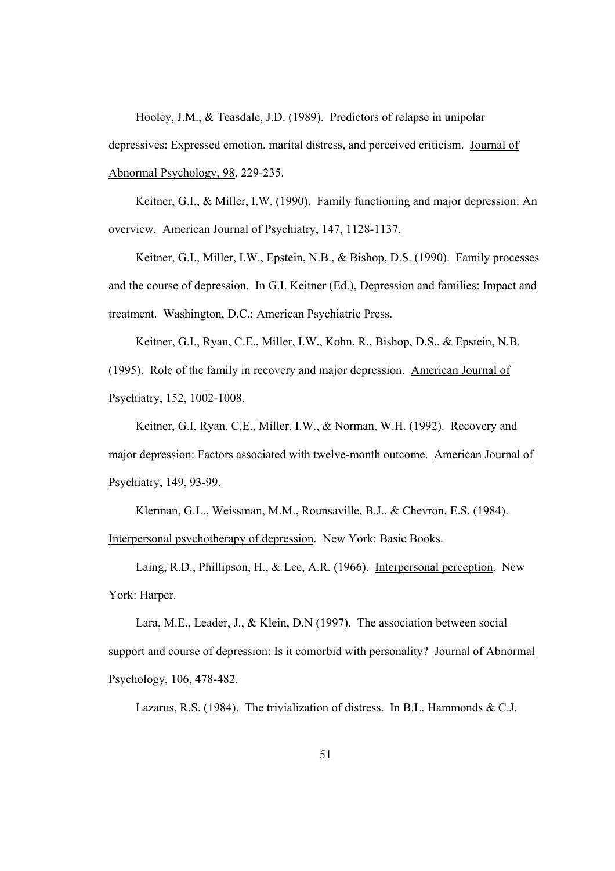Hooley, J.M., & Teasdale, J.D. (1989). Predictors of relapse in unipolar

depressives: Expressed emotion, marital distress, and perceived criticism. Journal of Abnormal Psychology, 98, 229-235.

Keitner, G.I., & Miller, I.W. (1990). Family functioning and major depression: An overview. American Journal of Psychiatry, 147, 1128-1137.

Keitner, G.I., Miller, I.W., Epstein, N.B., & Bishop, D.S. (1990). Family processes and the course of depression. In G.I. Keitner (Ed.), Depression and families: Impact and treatment. Washington, D.C.: American Psychiatric Press.

Keitner, G.I., Ryan, C.E., Miller, I.W., Kohn, R., Bishop, D.S., & Epstein, N.B. (1995). Role of the family in recovery and major depression. American Journal of Psychiatry, 152, 1002-1008.

Keitner, G.I, Ryan, C.E., Miller, I.W., & Norman, W.H. (1992). Recovery and major depression: Factors associated with twelve-month outcome. American Journal of Psychiatry, 149, 93-99.

Klerman, G.L., Weissman, M.M., Rounsaville, B.J., & Chevron, E.S. (1984).

Interpersonal psychotherapy of depression. New York: Basic Books.

Laing, R.D., Phillipson, H., & Lee, A.R. (1966). Interpersonal perception. New York: Harper.

Lara, M.E., Leader, J., & Klein, D.N (1997). The association between social support and course of depression: Is it comorbid with personality? Journal of Abnormal Psychology, 106, 478-482.

Lazarus, R.S. (1984). The trivialization of distress. In B.L. Hammonds & C.J.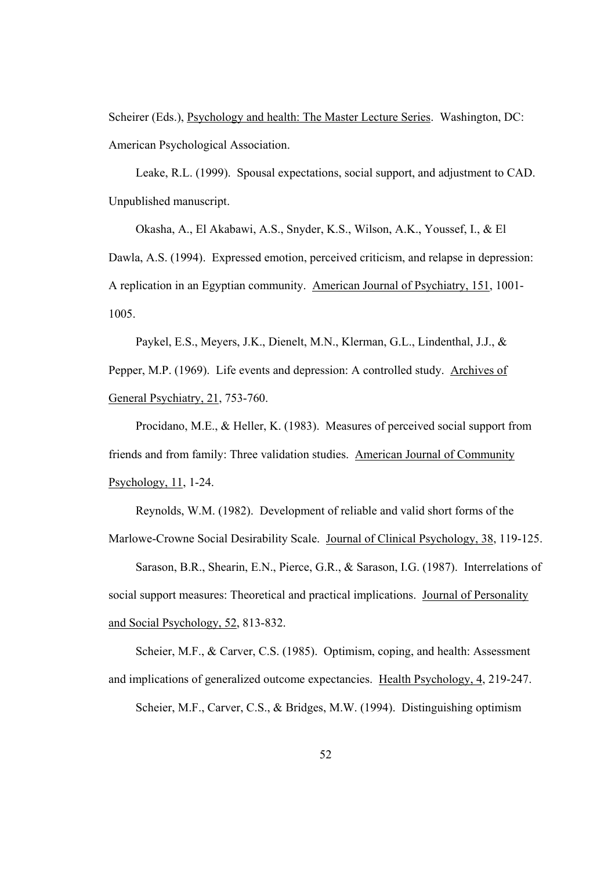Scheirer (Eds.), Psychology and health: The Master Lecture Series. Washington, DC: American Psychological Association.

Leake, R.L. (1999). Spousal expectations, social support, and adjustment to CAD. Unpublished manuscript.

Okasha, A., El Akabawi, A.S., Snyder, K.S., Wilson, A.K., Youssef, I., & El Dawla, A.S. (1994). Expressed emotion, perceived criticism, and relapse in depression: A replication in an Egyptian community. American Journal of Psychiatry, 151, 1001- 1005.

Paykel, E.S., Meyers, J.K., Dienelt, M.N., Klerman, G.L., Lindenthal, J.J., & Pepper, M.P. (1969). Life events and depression: A controlled study. Archives of General Psychiatry, 21, 753-760.

Procidano, M.E., & Heller, K. (1983). Measures of perceived social support from friends and from family: Three validation studies. American Journal of Community Psychology, 11, 1-24.

Reynolds, W.M. (1982). Development of reliable and valid short forms of the

Marlowe-Crowne Social Desirability Scale. Journal of Clinical Psychology, 38, 119-125.

Sarason, B.R., Shearin, E.N., Pierce, G.R., & Sarason, I.G. (1987). Interrelations of social support measures: Theoretical and practical implications. Journal of Personality and Social Psychology, 52, 813-832.

Scheier, M.F., & Carver, C.S. (1985). Optimism, coping, and health: Assessment and implications of generalized outcome expectancies. Health Psychology, 4, 219-247.

Scheier, M.F., Carver, C.S., & Bridges, M.W. (1994). Distinguishing optimism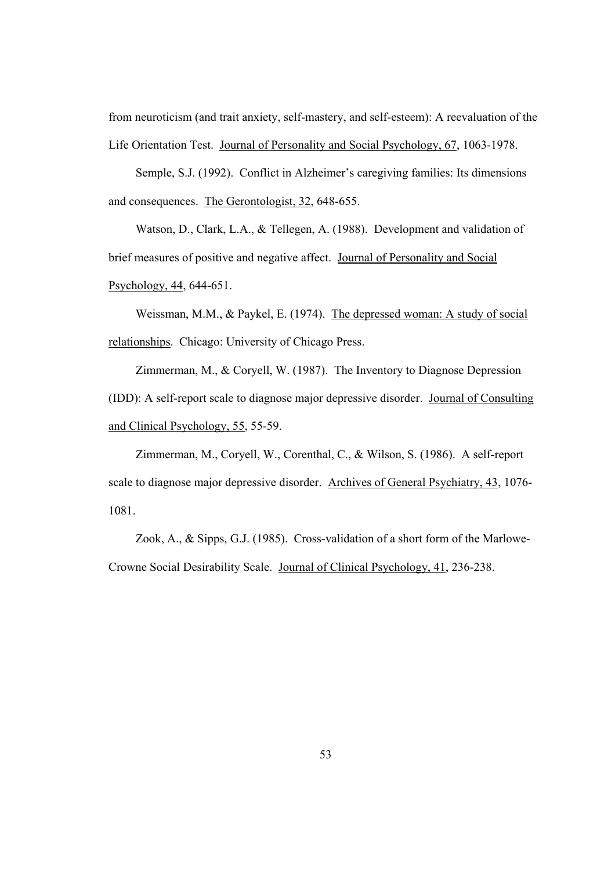from neuroticism (and trait anxiety, self-mastery, and self-esteem): A reevaluation of the Life Orientation Test. Journal of Personality and Social Psychology, 67, 1063-1978.

Semple, S.J. (1992). Conflict in Alzheimer's caregiving families: Its dimensions and consequences. The Gerontologist, 32, 648-655.

Watson, D., Clark, L.A., & Tellegen, A. (1988). Development and validation of brief measures of positive and negative affect. Journal of Personality and Social Psychology, 44, 644-651.

Weissman, M.M., & Paykel, E. (1974). The depressed woman: A study of social relationships. Chicago: University of Chicago Press.

Zimmerman, M., & Coryell, W. (1987). The Inventory to Diagnose Depression (IDD): A self-report scale to diagnose major depressive disorder. Journal of Consulting and Clinical Psychology, 55, 55-59.

Zimmerman, M., Coryell, W., Corenthal, C., & Wilson, S. (1986). A self-report scale to diagnose major depressive disorder. Archives of General Psychiatry, 43, 1076- 1081.

Zook, A., & Sipps, G.J. (1985). Cross-validation of a short form of the Marlowe-Crowne Social Desirability Scale. Journal of Clinical Psychology, 41, 236-238.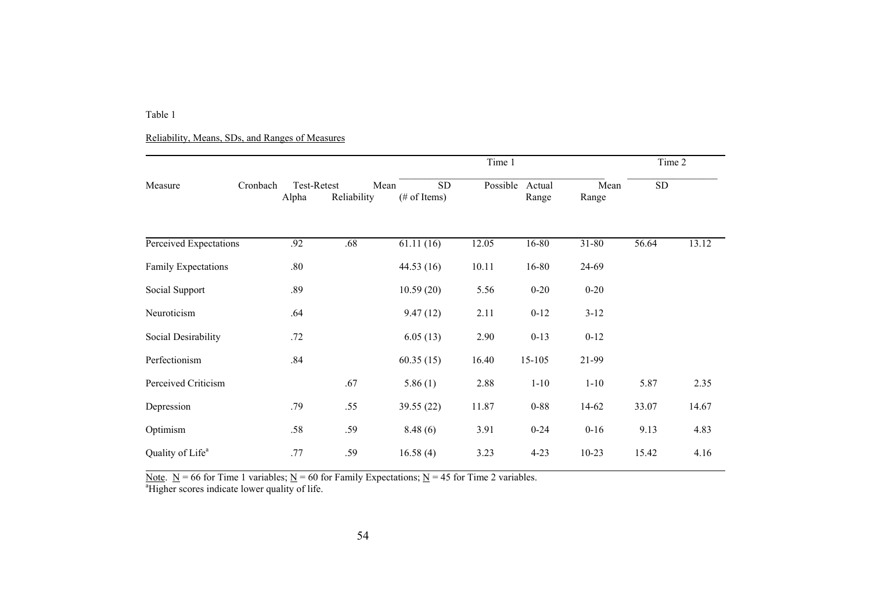Reliability, Means, SDs, and Ranges of Measures

|                              |          | Time 1               |                     |                                      |          |                 |               |            | Time 2 |
|------------------------------|----------|----------------------|---------------------|--------------------------------------|----------|-----------------|---------------|------------|--------|
| Measure                      | Cronbach | Test-Retest<br>Alpha | Mean<br>Reliability | <b>SD</b><br>$(\# \text{ of items})$ | Possible | Actual<br>Range | Mean<br>Range | ${\rm SD}$ |        |
| Perceived Expectations       |          | .92                  | .68                 | 61.11(16)                            | 12.05    | $16 - 80$       | $31 - 80$     | 56.64      | 13.12  |
| Family Expectations          |          | .80                  |                     | 44.53 (16)                           | 10.11    | 16-80           | 24-69         |            |        |
| Social Support               |          | .89                  |                     | 10.59(20)                            | 5.56     | $0 - 20$        | $0 - 20$      |            |        |
| Neuroticism                  |          | .64                  |                     | 9.47(12)                             | 2.11     | $0 - 12$        | $3 - 12$      |            |        |
| Social Desirability          |          | .72                  |                     | 6.05(13)                             | 2.90     | $0-13$          | $0 - 12$      |            |        |
| Perfectionism                |          | .84                  |                     | 60.35(15)                            | 16.40    | 15-105          | 21-99         |            |        |
| Perceived Criticism          |          |                      | .67                 | 5.86(1)                              | 2.88     | $1 - 10$        | $1 - 10$      | 5.87       | 2.35   |
| Depression                   |          | .79                  | .55                 | 39.55 (22)                           | 11.87    | $0 - 88$        | 14-62         | 33.07      | 14.67  |
| Optimism                     |          | .58                  | .59                 | 8.48(6)                              | 3.91     | $0 - 24$        | $0 - 16$      | 9.13       | 4.83   |
| Quality of Life <sup>a</sup> |          | .77                  | .59                 | 16.58(4)                             | 3.23     | $4 - 23$        | $10 - 23$     | 15.42      | 4.16   |

Note.  $N = 66$  for Time 1 variables;  $N = 60$  for Family Expectations;  $N = 45$  for Time 2 variables.

<sup>a</sup>Higher scores indicate lower quality of life.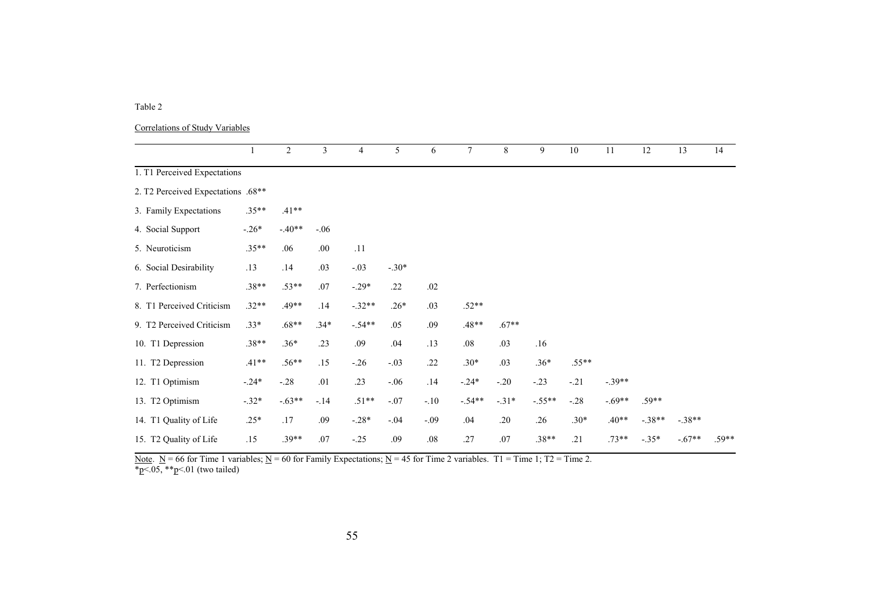| Correlations of Study Variables |  |  |
|---------------------------------|--|--|
|                                 |  |  |

|                                    | 1       | 2        | 3      | $\overline{4}$ | 5       | 6      | $\tau$   | 8       | 9        | 10      | 11       | $\overline{12}$ | $\overline{13}$ | 14      |
|------------------------------------|---------|----------|--------|----------------|---------|--------|----------|---------|----------|---------|----------|-----------------|-----------------|---------|
| 1. T1 Perceived Expectations       |         |          |        |                |         |        |          |         |          |         |          |                 |                 |         |
| 2. T2 Perceived Expectations .68** |         |          |        |                |         |        |          |         |          |         |          |                 |                 |         |
| 3. Family Expectations             | $.35**$ | $.41**$  |        |                |         |        |          |         |          |         |          |                 |                 |         |
| 4. Social Support                  | $-.26*$ | $-.40**$ | $-.06$ |                |         |        |          |         |          |         |          |                 |                 |         |
| 5. Neuroticism                     | $.35**$ | .06      | .00    | .11            |         |        |          |         |          |         |          |                 |                 |         |
| 6. Social Desirability             | .13     | .14      | .03    | $-.03$         | $-.30*$ |        |          |         |          |         |          |                 |                 |         |
| 7. Perfectionism                   | $.38**$ | $.53**$  | .07    | $-.29*$        | .22     | .02    |          |         |          |         |          |                 |                 |         |
| 8. T1 Perceived Criticism          | $.32**$ | $.49**$  | .14    | $-.32**$       | $.26*$  | .03    | $.52**$  |         |          |         |          |                 |                 |         |
| 9. T2 Perceived Criticism          | $.33*$  | $.68**$  | $.34*$ | $-.54**$       | .05     | .09    | $.48**$  | $.67**$ |          |         |          |                 |                 |         |
| 10. T1 Depression                  | $.38**$ | $.36*$   | .23    | .09            | .04     | .13    | .08      | .03     | .16      |         |          |                 |                 |         |
| 11. T2 Depression                  | $.41**$ | $.56**$  | .15    | $-.26$         | $-.03$  | .22    | $.30*$   | .03     | $.36*$   | $.55**$ |          |                 |                 |         |
| 12. T1 Optimism                    | $-.24*$ | $-.28$   | .01    | .23            | $-.06$  | .14    | $-.24*$  | $-.20$  | $-.23$   | $-.21$  | $-.39**$ |                 |                 |         |
| 13. T2 Optimism                    | $-.32*$ | $-.63**$ | $-14$  | $.51**$        | $-.07$  | $-.10$ | $-.54**$ | $-.31*$ | $-.55**$ | $-.28$  | $-.69**$ | $.59**$         |                 |         |
| 14. T1 Quality of Life             | $.25*$  | .17      | .09    | $-.28*$        | $-.04$  | $-.09$ | .04      | .20     | .26      | $.30*$  | $.40**$  | $-.38**$        | $-.38**$        |         |
| 15. T2 Quality of Life             | .15     | $.39**$  | .07    | $-.25$         | .09     | .08    | .27      | .07     | $.38**$  | .21     | $.73**$  | $-.35*$         | $-.67**$        | $.59**$ |

Note.  $N = 66$  for Time 1 variables;  $N = 60$  for Family Expectations;  $N = 45$  for Time 2 variables. T1 = Time 1; T2 = Time 2.  $p<05$ ,  $*^{p}<01$  (two tailed)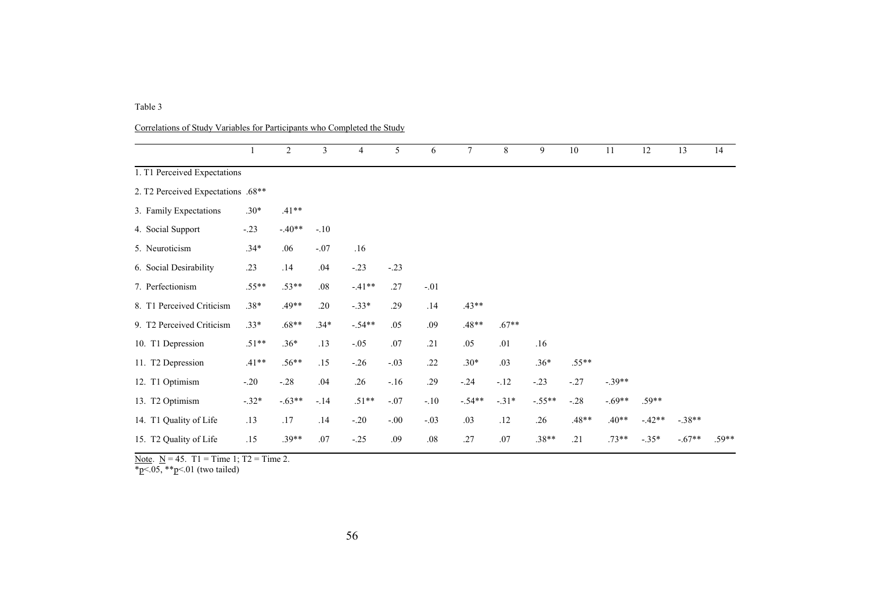Correlations of Study Variables for Participants who Completed the Study

|                                    |         | 2        | 3      | $\overline{4}$ | 5       | 6      | $\tau$   | 8       | 9        | 10      | 11       | 12       | 13       | 14      |
|------------------------------------|---------|----------|--------|----------------|---------|--------|----------|---------|----------|---------|----------|----------|----------|---------|
| 1. T1 Perceived Expectations       |         |          |        |                |         |        |          |         |          |         |          |          |          |         |
| 2. T2 Perceived Expectations .68** |         |          |        |                |         |        |          |         |          |         |          |          |          |         |
| 3. Family Expectations             | $.30*$  | $.41**$  |        |                |         |        |          |         |          |         |          |          |          |         |
| 4. Social Support                  | $-.23$  | $-.40**$ | $-.10$ |                |         |        |          |         |          |         |          |          |          |         |
| 5. Neuroticism                     | $.34*$  | .06      | $-.07$ | .16            |         |        |          |         |          |         |          |          |          |         |
| 6. Social Desirability             | .23     | .14      | .04    | $-.23$         | $-.23$  |        |          |         |          |         |          |          |          |         |
| 7. Perfectionism                   | $.55**$ | $.53**$  | .08    | $-.41**$       | .27     | $-.01$ |          |         |          |         |          |          |          |         |
| 8. T1 Perceived Criticism          | $.38*$  | .49**    | .20    | $-.33*$        | .29     | .14    | $.43**$  |         |          |         |          |          |          |         |
| 9. T2 Perceived Criticism          | $.33*$  | $.68**$  | $.34*$ | $-.54**$       | .05     | .09    | $.48**$  | $.67**$ |          |         |          |          |          |         |
| 10. T1 Depression                  | $.51**$ | $.36*$   | .13    | $-.05$         | .07     | .21    | .05      | .01     | .16      |         |          |          |          |         |
| 11. T2 Depression                  | $.41**$ | $.56**$  | .15    | $-.26$         | $-.03$  | .22    | $.30*$   | .03     | $.36*$   | $.55**$ |          |          |          |         |
| 12. T1 Optimism                    | $-.20$  | $-.28$   | .04    | .26            | $-.16$  | .29    | $-.24$   | $-.12$  | $-.23$   | $-.27$  | $-.39**$ |          |          |         |
| 13. T <sub>2</sub> Optimism        | $-.32*$ | $-.63**$ | $-.14$ | $.51**$        | $-.07$  | $-.10$ | $-.54**$ | $-.31*$ | $-.55**$ | $-.28$  | $-.69**$ | $.59**$  |          |         |
| 14. T1 Quality of Life             | .13     | .17      | .14    | $-.20$         | $-0.00$ | $-.03$ | .03      | .12     | .26      | $.48**$ | $.40**$  | $-.42**$ | $-.38**$ |         |
| 15. T2 Quality of Life             | .15     | $.39**$  | .07    | $-.25$         | .09     | .08    | .27      | .07     | $.38**$  | .21     | $.73**$  | $-.35*$  | $-.67**$ | $.59**$ |

Note.  $N = 45$ . T1 = Time 1; T2 = Time 2.

\*p<.05, \*\*p<.01 (two tailed)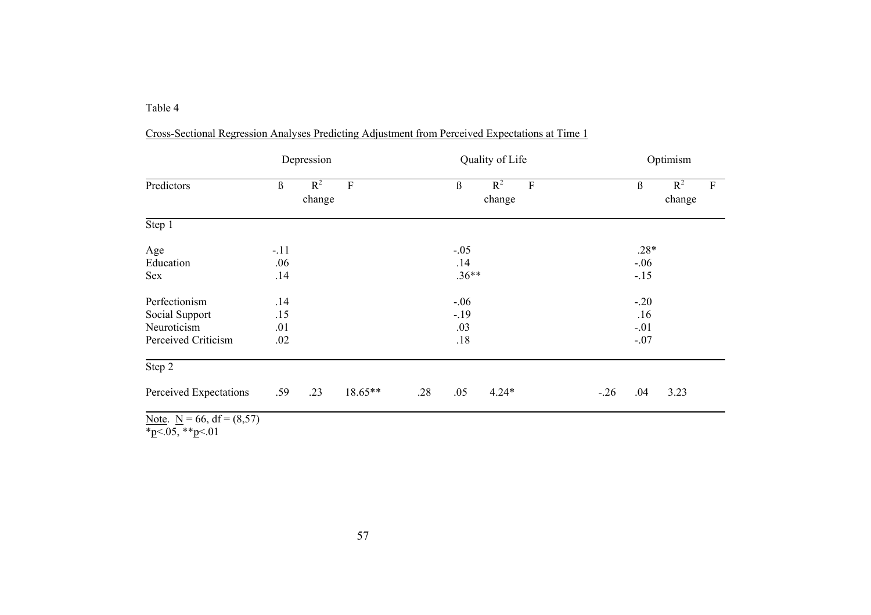|                              |        | Depression                   |         |     | Quality of Life |                                | Optimism |         |                 |                           |  |  |
|------------------------------|--------|------------------------------|---------|-----|-----------------|--------------------------------|----------|---------|-----------------|---------------------------|--|--|
| Predictors                   | ß      | $R^2$<br>${\bf F}$<br>change |         |     | ß               | $R^2$<br>$\mathbf F$<br>change |          | $\beta$ | $R^2$<br>change | $\boldsymbol{\mathrm{F}}$ |  |  |
| Step 1                       |        |                              |         |     |                 |                                |          |         |                 |                           |  |  |
| Age                          | $-.11$ |                              |         |     | $-.05$          |                                |          | $.28*$  |                 |                           |  |  |
| Education                    | .06    |                              |         |     | .14             |                                |          | $-.06$  |                 |                           |  |  |
| Sex                          | .14    |                              |         |     | $.36**$         |                                |          | $-.15$  |                 |                           |  |  |
| Perfectionism                | .14    |                              |         |     | $-.06$          |                                |          | $-.20$  |                 |                           |  |  |
| Social Support               | .15    |                              |         |     | $-.19$          |                                |          | .16     |                 |                           |  |  |
| Neuroticism                  | .01    |                              |         |     | .03             |                                |          | $-.01$  |                 |                           |  |  |
| Perceived Criticism          | .02    |                              |         |     | .18             |                                |          | $-.07$  |                 |                           |  |  |
| Step 2                       |        |                              |         |     |                 |                                |          |         |                 |                           |  |  |
| Perceived Expectations       | .59    | .23                          | 18.65** | .28 | .05             | $4.24*$                        | $-26$    | .04     | 3.23            |                           |  |  |
| Note $N = 66$ df = $(8, 57)$ |        |                              |         |     |                 |                                |          |         |                 |                           |  |  |

Cross-Sectional Regression Analyses Predicting Adjustment from Perceived Expectations at Time 1

Note.  $N = 66$ , df = (8,57)

\*p<.05, \*\*p<.01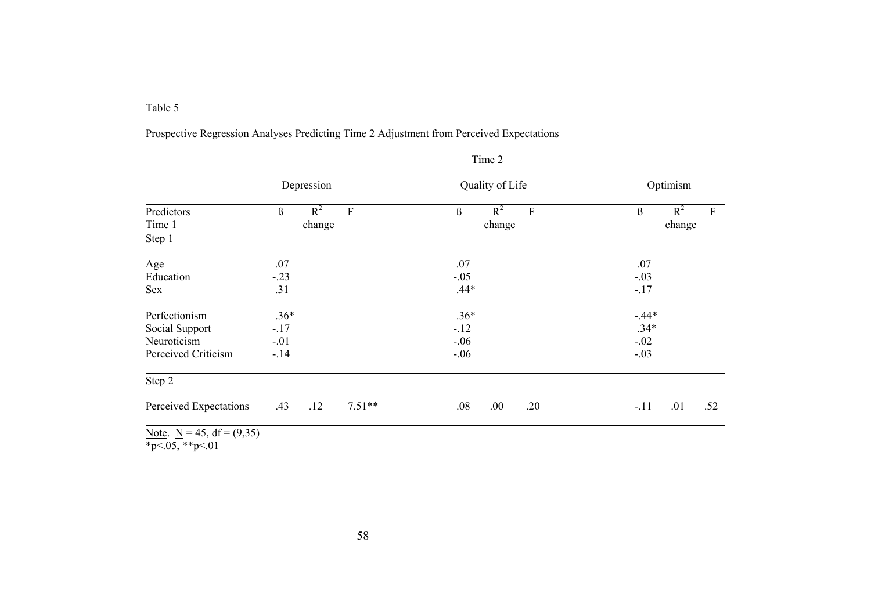### Prospective Regression Analyses Predicting Time 2 Adjustment from Perceived Expectations

|                                                                                            | Depression                    | Quality of Life                               | Optimism                           |  |  |  |  |  |
|--------------------------------------------------------------------------------------------|-------------------------------|-----------------------------------------------|------------------------------------|--|--|--|--|--|
| Predictors                                                                                 | $R^2$<br>$\beta$<br>${\bf F}$ | $R^2$<br>$\boldsymbol{\beta}$<br>$\mathbf{F}$ | $R^2$<br>$\boldsymbol{\beta}$<br>F |  |  |  |  |  |
| Time 1                                                                                     | change                        | change                                        | change                             |  |  |  |  |  |
| Step 1                                                                                     |                               |                                               |                                    |  |  |  |  |  |
| Age                                                                                        | .07                           | .07                                           | .07                                |  |  |  |  |  |
| Education                                                                                  | $-.23$                        | $-.05$                                        | $-.03$                             |  |  |  |  |  |
| <b>Sex</b>                                                                                 | .31                           | $.44*$                                        | $-.17$                             |  |  |  |  |  |
| Perfectionism                                                                              | $.36*$                        | $.36*$                                        | $-.44*$                            |  |  |  |  |  |
| Social Support                                                                             | $-.17$                        | $-.12$                                        | $.34*$                             |  |  |  |  |  |
| Neuroticism                                                                                | $-.01$                        | $-.06$                                        | $-.02$                             |  |  |  |  |  |
| Perceived Criticism                                                                        | $-14$                         | $-.06$                                        | $-.03$                             |  |  |  |  |  |
| Step 2                                                                                     |                               |                                               |                                    |  |  |  |  |  |
| Perceived Expectations                                                                     | $7.51**$<br>.43<br>.12        | .00.<br>.08<br>.20                            | .01<br>.52<br>$-.11$               |  |  |  |  |  |
| $\mathbf{M}$ $\mathbf{M}$ $\mathbf{M}$ $\mathbf{M}$ $\mathbf{M}$ $\mathbf{M}$ $\mathbf{M}$ |                               |                                               |                                    |  |  |  |  |  |

| rr |  |
|----|--|

Note.  $N = 45$ , df = (9,35)

\*p<.05, \*\*p<.01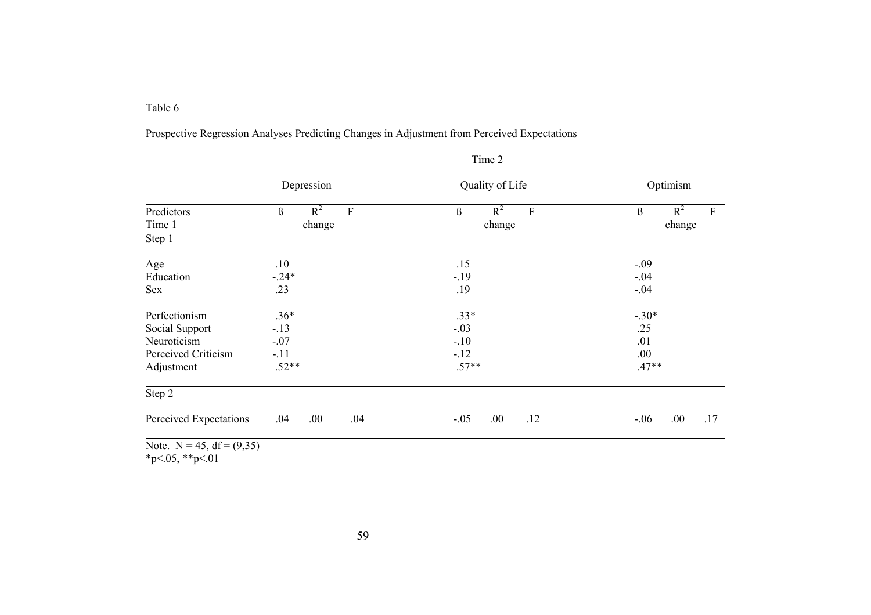## Prospective Regression Analyses Predicting Changes in Adjustment from Perceived Expectations

|                                | Depression              | Quality of Life       | Optimism                                      |  |  |  |  |  |
|--------------------------------|-------------------------|-----------------------|-----------------------------------------------|--|--|--|--|--|
| Predictors                     | $R^2$<br>${\bf F}$<br>ß | $R^2$<br>$\rm F$<br>ß | $R^2$<br>$\boldsymbol{\mathrm{F}}$<br>$\beta$ |  |  |  |  |  |
| Time 1                         | change                  | change                | change                                        |  |  |  |  |  |
| Step 1                         |                         |                       |                                               |  |  |  |  |  |
| Age                            | .10                     | .15                   | $-.09$                                        |  |  |  |  |  |
| Education                      | $-.24*$                 | $-.19$                | $-.04$                                        |  |  |  |  |  |
| Sex                            | .23                     | .19                   | $-.04$                                        |  |  |  |  |  |
| Perfectionism                  | $.36*$                  | $.33*$                | $-.30*$                                       |  |  |  |  |  |
| Social Support                 | $-13$                   | $-.03$                | .25                                           |  |  |  |  |  |
| Neuroticism                    | $-.07$                  | $-.10$                | .01                                           |  |  |  |  |  |
| Perceived Criticism            | $-.11$                  | $-12$                 | .00.                                          |  |  |  |  |  |
| Adjustment                     | $.52**$                 | $.57**$               | $.47**$                                       |  |  |  |  |  |
| Step 2                         |                         |                       |                                               |  |  |  |  |  |
| Perceived Expectations         | .00<br>.04<br>.04       | .00.<br>.12<br>$-.05$ | .00<br>.17<br>$-.06$                          |  |  |  |  |  |
| Note, $N = 45$ , $df = (9.35)$ |                         |                       |                                               |  |  |  |  |  |

Note.  $N = 45$ , df = (9,35) \*p<.05, \*\*p<.01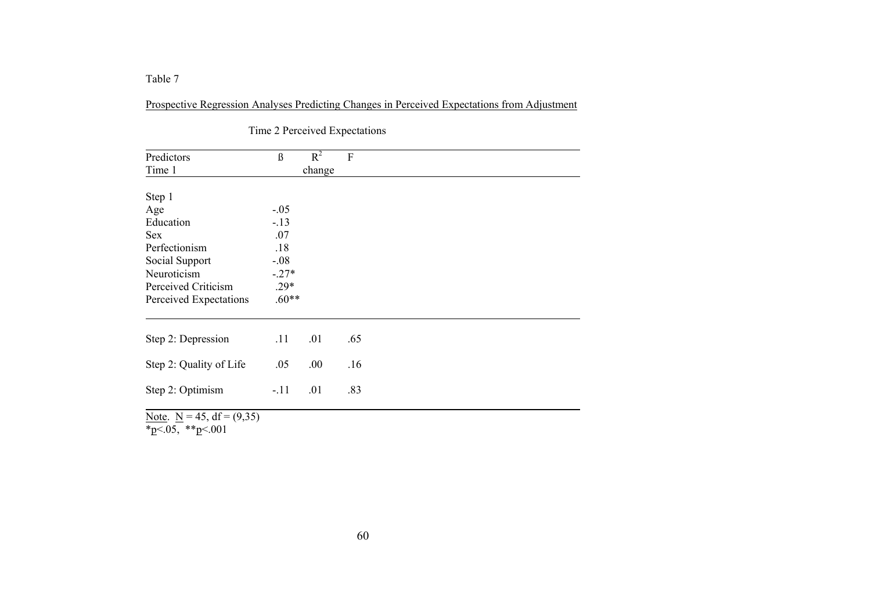Prospective Regression Analyses Predicting Changes in Perceived Expectations from Adjustment

| Predictors                   | $\beta$ | $R^2$  | F   |
|------------------------------|---------|--------|-----|
| Time 1                       |         | change |     |
|                              |         |        |     |
| Step 1                       |         |        |     |
| Age                          | $-.05$  |        |     |
| Education                    | $-13$   |        |     |
| <b>Sex</b>                   | .07     |        |     |
| Perfectionism                | .18     |        |     |
| Social Support               | $-.08$  |        |     |
| Neuroticism                  | $-.27*$ |        |     |
| Perceived Criticism          | $.29*$  |        |     |
| Perceived Expectations       | $.60**$ |        |     |
|                              |         |        |     |
| Step 2: Depression           | .11     | .01    | .65 |
| Step 2: Quality of Life      | .05     | .00.   | .16 |
| Step 2: Optimism             | $-.11$  | .01    | .83 |
| Note. $N = 45$ , df = (9.35) |         |        |     |

Time 2 Perceived Expectations

Note.  $N = 45$ , df = (9,35)

 $~^*\text{p}$ <.05,  $~^*\text{p}$ <.001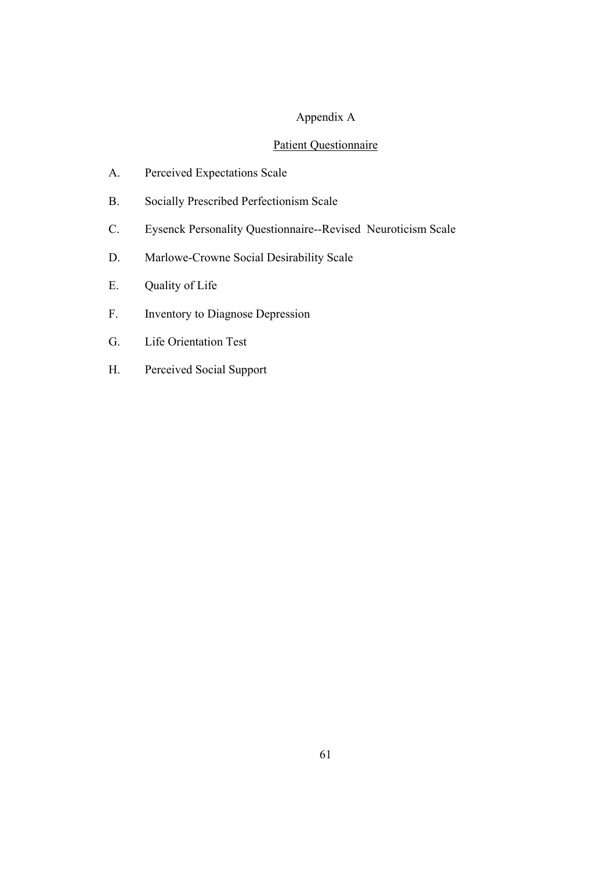# Appendix A

# Patient Questionnaire

- A. Perceived Expectations Scale
- B. Socially Prescribed Perfectionism Scale
- C. Eysenck Personality Questionnaire--Revised Neuroticism Scale
- D. Marlowe-Crowne Social Desirability Scale
- E. Quality of Life
- F. Inventory to Diagnose Depression
- G. Life Orientation Test
- H. Perceived Social Support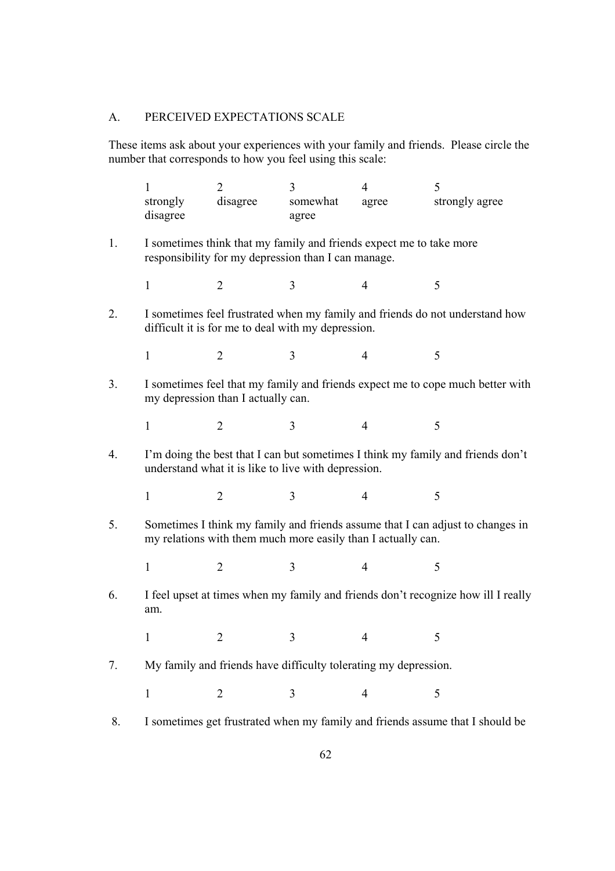# A. PERCEIVED EXPECTATIONS SCALE

These items ask about your experiences with your family and friends. Please circle the number that corresponds to how you feel using this scale:

|    | 1<br>strongly<br>disagree                                                                                                              | $\overline{2}$<br>disagree                                                                                                 | 3<br>somewhat<br>agree | $\overline{4}$<br>agree | 5<br>strongly agree                                                               |  |  |  |  |  |  |  |
|----|----------------------------------------------------------------------------------------------------------------------------------------|----------------------------------------------------------------------------------------------------------------------------|------------------------|-------------------------|-----------------------------------------------------------------------------------|--|--|--|--|--|--|--|
| 1. |                                                                                                                                        | I sometimes think that my family and friends expect me to take more<br>responsibility for my depression than I can manage. |                        |                         |                                                                                   |  |  |  |  |  |  |  |
|    | $\mathbf{1}$                                                                                                                           | $\overline{2}$                                                                                                             | 3                      | $\overline{4}$          | 5                                                                                 |  |  |  |  |  |  |  |
| 2. | I sometimes feel frustrated when my family and friends do not understand how<br>difficult it is for me to deal with my depression.     |                                                                                                                            |                        |                         |                                                                                   |  |  |  |  |  |  |  |
|    | 1                                                                                                                                      | $\overline{2}$                                                                                                             | 3                      | 4                       | 5                                                                                 |  |  |  |  |  |  |  |
| 3. | I sometimes feel that my family and friends expect me to cope much better with<br>my depression than I actually can.                   |                                                                                                                            |                        |                         |                                                                                   |  |  |  |  |  |  |  |
|    | $\mathbf{1}$                                                                                                                           | $\overline{2}$                                                                                                             | 3                      | $\overline{4}$          | 5                                                                                 |  |  |  |  |  |  |  |
| 4. | I'm doing the best that I can but sometimes I think my family and friends don't<br>understand what it is like to live with depression. |                                                                                                                            |                        |                         |                                                                                   |  |  |  |  |  |  |  |
|    | 1                                                                                                                                      | $\overline{2}$                                                                                                             | 3                      | $\overline{4}$          | 5                                                                                 |  |  |  |  |  |  |  |
| 5. |                                                                                                                                        | my relations with them much more easily than I actually can.                                                               |                        |                         | Sometimes I think my family and friends assume that I can adjust to changes in    |  |  |  |  |  |  |  |
|    | 1                                                                                                                                      | $\overline{2}$                                                                                                             | 3                      | 4                       | 5                                                                                 |  |  |  |  |  |  |  |
| 6. | am.                                                                                                                                    |                                                                                                                            |                        |                         | I feel upset at times when my family and friends don't recognize how ill I really |  |  |  |  |  |  |  |
|    | 1                                                                                                                                      | 2                                                                                                                          | 3                      | 4                       | 5                                                                                 |  |  |  |  |  |  |  |
| 7. |                                                                                                                                        | My family and friends have difficulty tolerating my depression.                                                            |                        |                         |                                                                                   |  |  |  |  |  |  |  |
|    | $\mathbf{1}$                                                                                                                           | $\overline{2}$                                                                                                             | 3                      | $\overline{4}$          | 5                                                                                 |  |  |  |  |  |  |  |
| 8. |                                                                                                                                        |                                                                                                                            |                        |                         | I sometimes get frustrated when my family and friends assume that I should be     |  |  |  |  |  |  |  |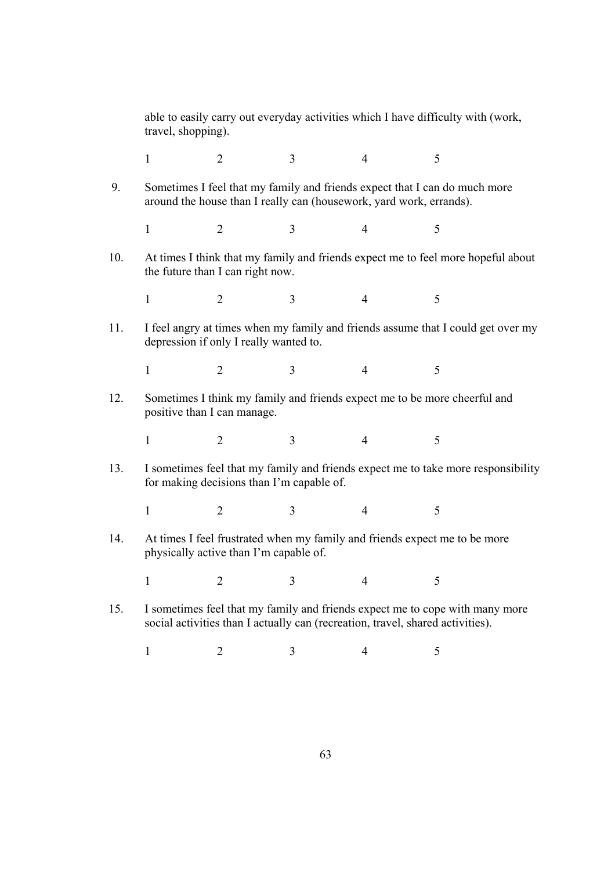able to easily carry out everyday activities which I have difficulty with (work, travel, shopping).

 $1 2 3 4 5$ 

 9. Sometimes I feel that my family and friends expect that I can do much more around the house than I really can (housework, yard work, errands).

 $1 2 3 4 5$ 

10. At times I think that my family and friends expect me to feel more hopeful about the future than I can right now.

 $1 2 3 4 5$ 

11. I feel angry at times when my family and friends assume that I could get over my depression if only I really wanted to.

 $1 2 3 4 5$ 

12. Sometimes I think my family and friends expect me to be more cheerful and positive than I can manage.

 $1 2 3 4 5$ 

13. I sometimes feel that my family and friends expect me to take more responsibility for making decisions than I'm capable of.

 $1 2 3 4 5$ 

14. At times I feel frustrated when my family and friends expect me to be more physically active than I'm capable of.

 $1 2 3 4 5$ 

- 15. I sometimes feel that my family and friends expect me to cope with many more social activities than I actually can (recreation, travel, shared activities).
	- $1 2 3 4 5$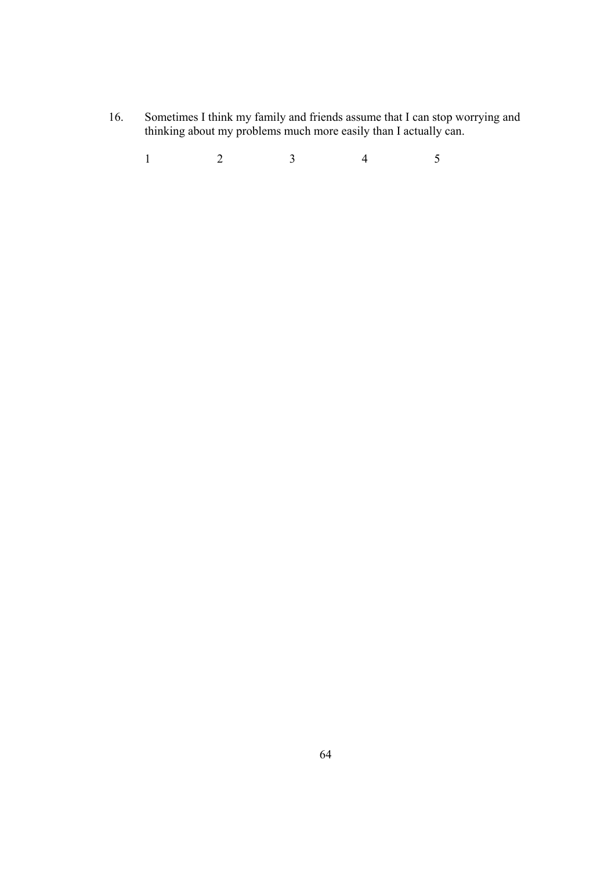16. Sometimes I think my family and friends assume that I can stop worrying and thinking about my problems much more easily than I actually can.

 $1 2 3 4 5$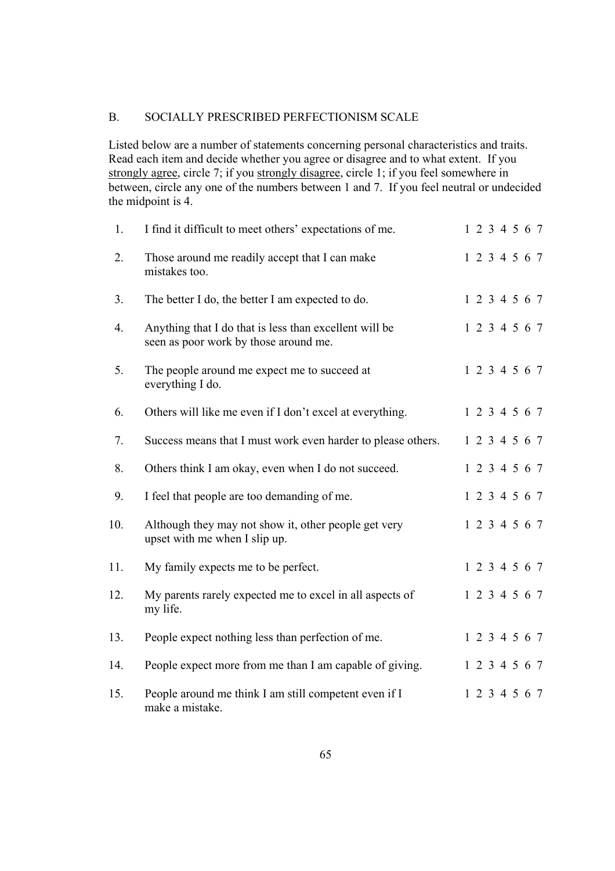### B. SOCIALLY PRESCRIBED PERFECTIONISM SCALE

Listed below are a number of statements concerning personal characteristics and traits. Read each item and decide whether you agree or disagree and to what extent. If you strongly agree, circle 7; if you strongly disagree, circle 1; if you feel somewhere in between, circle any one of the numbers between 1 and 7. If you feel neutral or undecided the midpoint is 4.

| 1.  | I find it difficult to meet others' expectations of me.                                         | 1 2 3 4 5 6 7 |  |               |  |
|-----|-------------------------------------------------------------------------------------------------|---------------|--|---------------|--|
| 2.  | Those around me readily accept that I can make<br>mistakes too.                                 |               |  | 1 2 3 4 5 6 7 |  |
| 3.  | The better I do, the better I am expected to do.                                                |               |  | 1 2 3 4 5 6 7 |  |
| 4.  | Anything that I do that is less than excellent will be<br>seen as poor work by those around me. |               |  | 1 2 3 4 5 6 7 |  |
| 5.  | The people around me expect me to succeed at<br>everything I do.                                |               |  | 1 2 3 4 5 6 7 |  |
| 6.  | Others will like me even if I don't excel at everything.                                        |               |  | 1 2 3 4 5 6 7 |  |
| 7.  | Success means that I must work even harder to please others.                                    |               |  | 1 2 3 4 5 6 7 |  |
| 8.  | Others think I am okay, even when I do not succeed.                                             |               |  | 1 2 3 4 5 6 7 |  |
| 9.  | I feel that people are too demanding of me.                                                     |               |  | 1 2 3 4 5 6 7 |  |
| 10. | Although they may not show it, other people get very<br>upset with me when I slip up.           |               |  | 1 2 3 4 5 6 7 |  |
| 11. | My family expects me to be perfect.                                                             |               |  | 1 2 3 4 5 6 7 |  |
| 12. | My parents rarely expected me to excel in all aspects of<br>my life.                            |               |  | 1 2 3 4 5 6 7 |  |
| 13. | People expect nothing less than perfection of me.                                               |               |  | 1 2 3 4 5 6 7 |  |
| 14. | People expect more from me than I am capable of giving.                                         |               |  | 1 2 3 4 5 6 7 |  |
| 15. | People around me think I am still competent even if I<br>make a mistake.                        |               |  | 1 2 3 4 5 6 7 |  |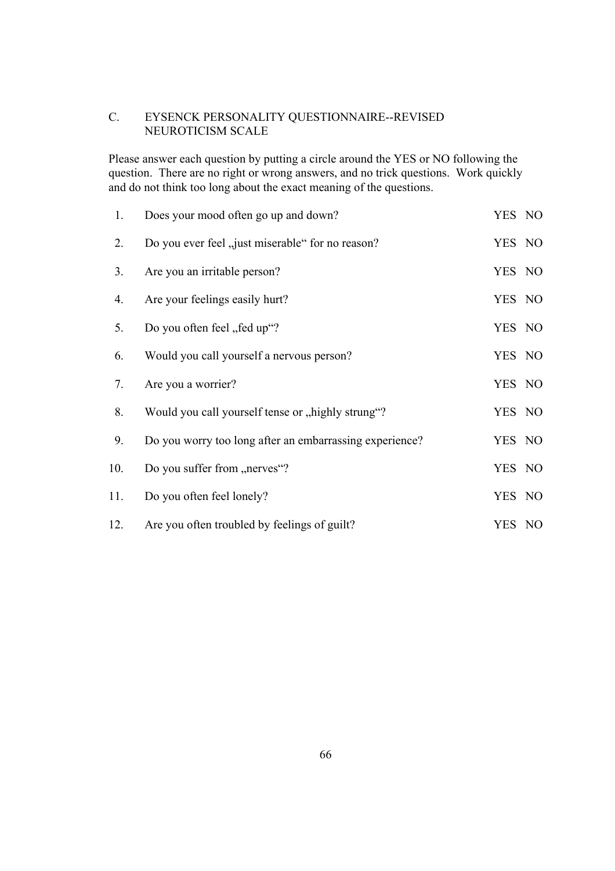## C. EYSENCK PERSONALITY QUESTIONNAIRE--REVISED NEUROTICISM SCALE

Please answer each question by putting a circle around the YES or NO following the question. There are no right or wrong answers, and no trick questions. Work quickly and do not think too long about the exact meaning of the questions.

| 1.  | Does your mood often go up and down?                    | YES NO |  |
|-----|---------------------------------------------------------|--------|--|
| 2.  | Do you ever feel "just miserable" for no reason?        | YES NO |  |
| 3.  | Are you an irritable person?                            | YES NO |  |
| 4.  | Are your feelings easily hurt?                          | YES NO |  |
| 5.  | Do you often feel "fed up"?                             | YES NO |  |
| 6.  | Would you call yourself a nervous person?               | YES NO |  |
| 7.  | Are you a worrier?                                      | YES NO |  |
| 8.  | Would you call yourself tense or "highly strung"?       | YES NO |  |
| 9.  | Do you worry too long after an embarrassing experience? | YES NO |  |
| 10. | Do you suffer from "nerves"?                            | YES NO |  |
| 11. | Do you often feel lonely?                               | YES NO |  |
| 12. | Are you often troubled by feelings of guilt?            | YES NO |  |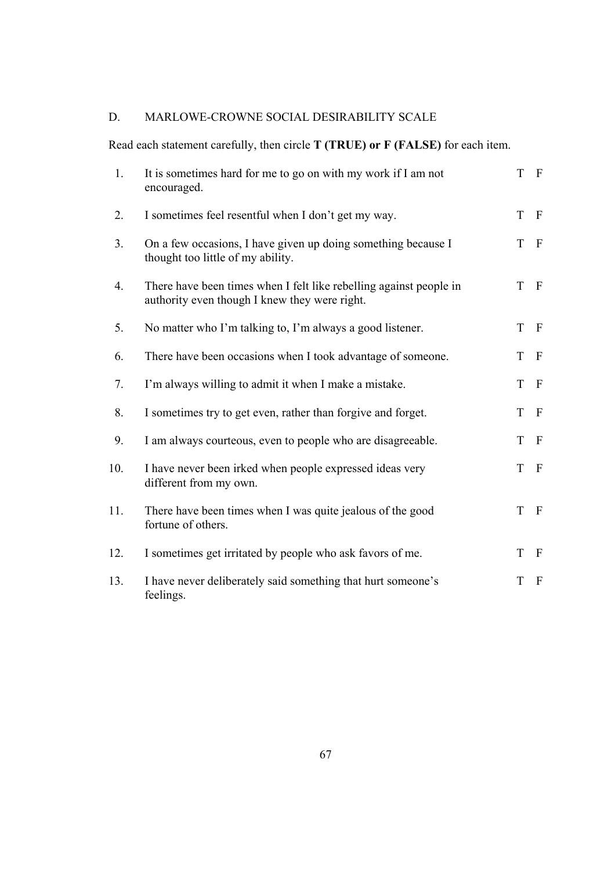# D. MARLOWE-CROWNE SOCIAL DESIRABILITY SCALE

Read each statement carefully, then circle **T (TRUE) or F (FALSE)** for each item.

| 1.             | It is sometimes hard for me to go on with my work if I am not<br>encouraged.                                        | T | $\mathbf{F}$   |
|----------------|---------------------------------------------------------------------------------------------------------------------|---|----------------|
| 2.             | I sometimes feel resentful when I don't get my way.                                                                 | T | $\mathbf{F}$   |
| 3 <sub>1</sub> | On a few occasions, I have given up doing something because I<br>thought too little of my ability.                  | T | $\mathbf{F}$   |
| 4.             | There have been times when I felt like rebelling against people in<br>authority even though I knew they were right. | T | $\mathbf{F}$   |
| 5.             | No matter who I'm talking to, I'm always a good listener.                                                           | T | $\mathbf{F}$   |
| 6.             | There have been occasions when I took advantage of someone.                                                         | T | $\mathbf{F}$   |
| 7.             | I'm always willing to admit it when I make a mistake.                                                               | T | $\overline{F}$ |
| 8.             | I sometimes try to get even, rather than forgive and forget.                                                        | T | $\mathbf{F}$   |
| 9.             | I am always courteous, even to people who are disagreeable.                                                         | T | $\mathbf{F}$   |
| 10.            | I have never been irked when people expressed ideas very<br>different from my own.                                  | T | $\overline{F}$ |
| 11.            | There have been times when I was quite jealous of the good<br>fortune of others.                                    | T | $\mathbf{F}$   |
| 12.            | I sometimes get irritated by people who ask favors of me.                                                           | T | $\mathbf{F}$   |
| 13.            | I have never deliberately said something that hurt someone's<br>feelings.                                           | T | $\mathbf{F}$   |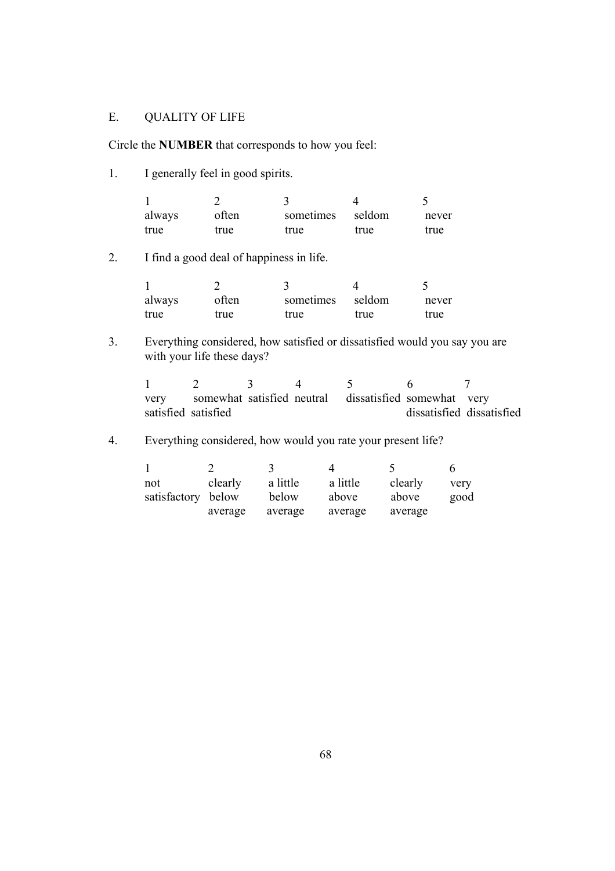#### E. QUALITY OF LIFE

Circle the **NUMBER** that corresponds to how you feel:

1. I generally feel in good spirits.

| always | often | sometimes | seldom | never |
|--------|-------|-----------|--------|-------|
| true   | true  | true      | true   | true  |

2. I find a good deal of happiness in life.

| always | often | sometimes | seldom | never |
|--------|-------|-----------|--------|-------|
| true   | true  | true      | true   | true  |

3. Everything considered, how satisfied or dissatisfied would you say you are with your life these days?

1 2 3 4 5 6 7 very somewhat satisfied neutral dissatisfied somewhat very satisfied satisfied dissatisfied dissatisfied dissatisfied

4. Everything considered, how would you rate your present life?

|                    |         |          |          |         | h    |
|--------------------|---------|----------|----------|---------|------|
| not                | clearly | a little | a little | clearly | very |
| satisfactory below |         | below    | above    | above   | good |
|                    | average | average  | average  | average |      |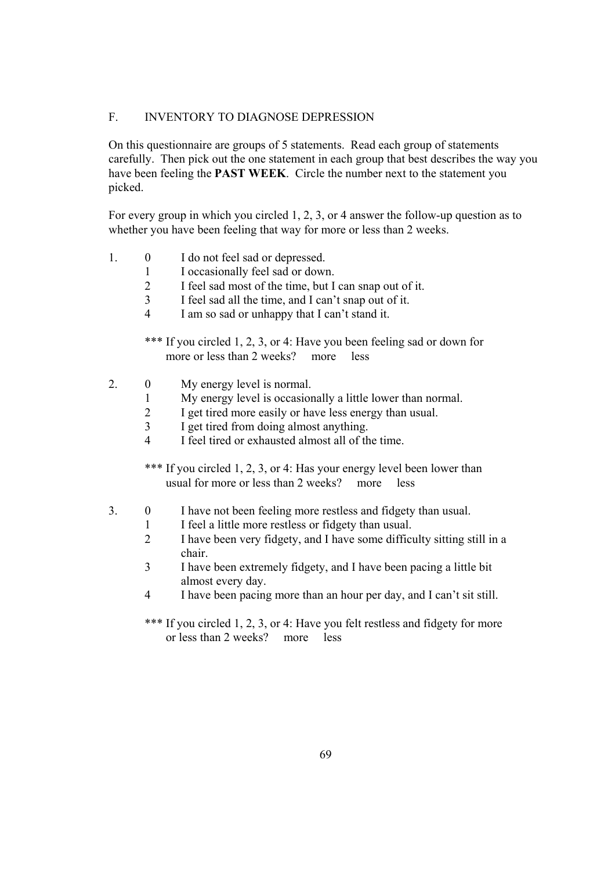#### F. INVENTORY TO DIAGNOSE DEPRESSION

On this questionnaire are groups of 5 statements. Read each group of statements carefully. Then pick out the one statement in each group that best describes the way you have been feeling the **PAST WEEK**. Circle the number next to the statement you picked.

For every group in which you circled 1, 2, 3, or 4 answer the follow-up question as to whether you have been feeling that way for more or less than 2 weeks.

- 1. 0 I do not feel sad or depressed.
	- 1 I occasionally feel sad or down.
		- 2 I feel sad most of the time, but I can snap out of it.
		- 3 I feel sad all the time, and I can't snap out of it.
		- 4 I am so sad or unhappy that I can't stand it.

\*\*\* If you circled 1, 2, 3, or 4: Have you been feeling sad or down for more or less than 2 weeks? more less

- 2. 0 My energy level is normal.
	- 1 My energy level is occasionally a little lower than normal.
	- 2 I get tired more easily or have less energy than usual.
	- 3 I get tired from doing almost anything.
	- 4 I feel tired or exhausted almost all of the time.

\*\*\* If you circled 1, 2, 3, or 4: Has your energy level been lower than usual for more or less than 2 weeks? more less

- 3. 0 I have not been feeling more restless and fidgety than usual.
	- 1 I feel a little more restless or fidgety than usual.
	- 2 I have been very fidgety, and I have some difficulty sitting still in a chair.
	- 3 I have been extremely fidgety, and I have been pacing a little bit almost every day.
	- 4 I have been pacing more than an hour per day, and I can't sit still.

\*\*\* If you circled 1, 2, 3, or 4: Have you felt restless and fidgety for more or less than 2 weeks? more less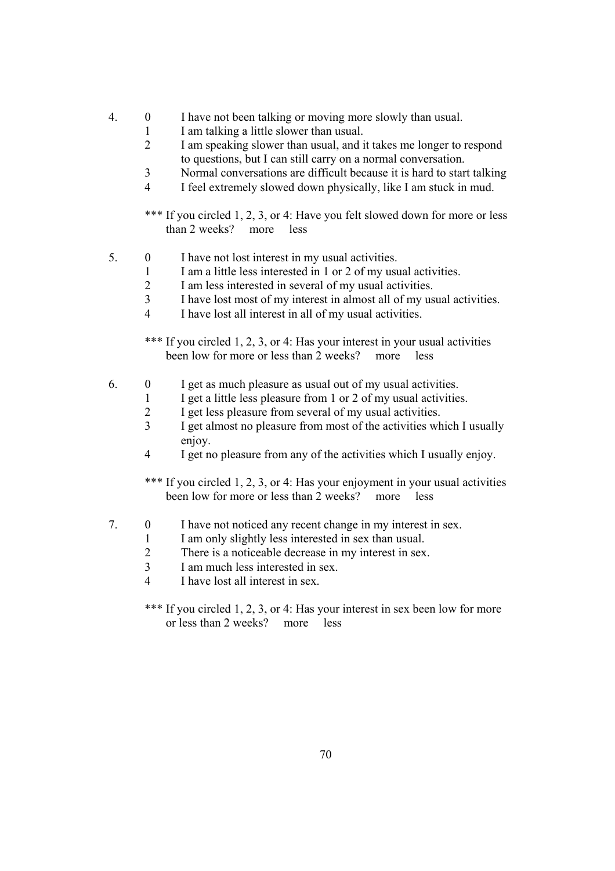- 4. 0 I have not been talking or moving more slowly than usual.
	- 1 I am talking a little slower than usual.
		- 2 I am speaking slower than usual, and it takes me longer to respond to questions, but I can still carry on a normal conversation.
		- 3 Normal conversations are difficult because it is hard to start talking
		- 4 I feel extremely slowed down physically, like I am stuck in mud.

\*\*\* If you circled 1, 2, 3, or 4: Have you felt slowed down for more or less than 2 weeks? more less

- 5. 0 I have not lost interest in my usual activities.
	- 1 I am a little less interested in 1 or 2 of my usual activities.
	- 2 I am less interested in several of my usual activities.
	- 3 I have lost most of my interest in almost all of my usual activities.
	- 4 I have lost all interest in all of my usual activities.

\*\*\* If you circled 1, 2, 3, or 4: Has your interest in your usual activities been low for more or less than 2 weeks? more less

- 6. 0 I get as much pleasure as usual out of my usual activities.
	- 1 I get a little less pleasure from 1 or 2 of my usual activities.
	- 2 I get less pleasure from several of my usual activities.
	- 3 I get almost no pleasure from most of the activities which I usually enjoy.
	- 4 I get no pleasure from any of the activities which I usually enjoy.

\*\*\* If you circled 1, 2, 3, or 4: Has your enjoyment in your usual activities been low for more or less than 2 weeks? more less

- 7. 0 I have not noticed any recent change in my interest in sex.
	- 1 I am only slightly less interested in sex than usual.
	- 2 There is a noticeable decrease in my interest in sex.
	- 3 I am much less interested in sex.
	- 4 I have lost all interest in sex.

\*\*\* If you circled 1, 2, 3, or 4: Has your interest in sex been low for more or less than 2 weeks? more less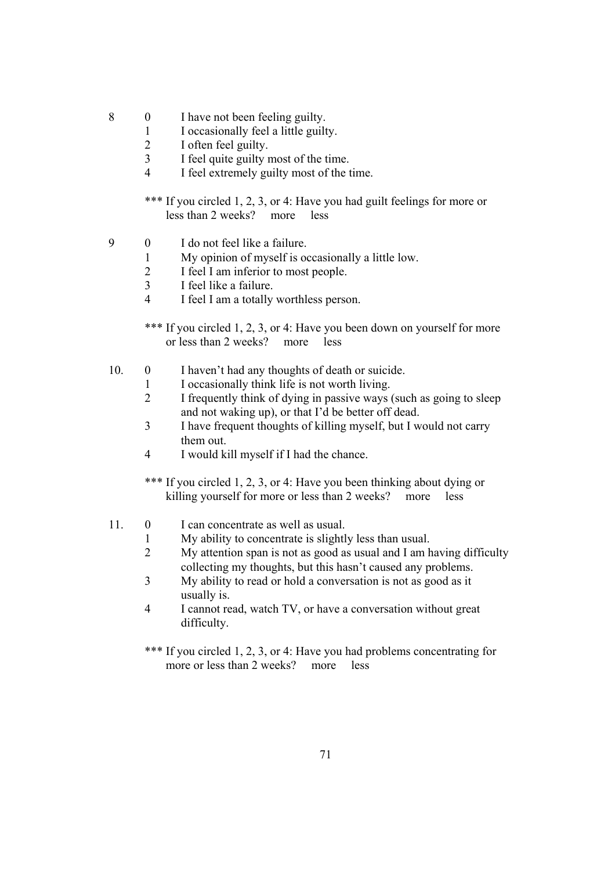- 8 0 I have not been feeling guilty.
	- 1 I occasionally feel a little guilty.
	- 2 I often feel guilty.
	- 3 I feel quite guilty most of the time.
	- 4 I feel extremely guilty most of the time.

\*\*\* If you circled 1, 2, 3, or 4: Have you had guilt feelings for more or less than 2 weeks? more less

- 9 0 I do not feel like a failure.
	- 1 My opinion of myself is occasionally a little low.
	- 2 I feel I am inferior to most people.
	- 3 I feel like a failure.
	- 4 I feel I am a totally worthless person.

\*\*\* If you circled 1, 2, 3, or 4: Have you been down on yourself for more or less than 2 weeks? more less

- 10. 0 I haven't had any thoughts of death or suicide.
	- 1 I occasionally think life is not worth living.
	- 2 I frequently think of dying in passive ways (such as going to sleep and not waking up), or that I'd be better off dead.
	- 3 I have frequent thoughts of killing myself, but I would not carry them out.
	- 4 I would kill myself if I had the chance.

\*\*\* If you circled 1, 2, 3, or 4: Have you been thinking about dying or killing yourself for more or less than 2 weeks? more less

- 11. 0 I can concentrate as well as usual.
	- 1 My ability to concentrate is slightly less than usual.
	- 2 My attention span is not as good as usual and I am having difficulty collecting my thoughts, but this hasn't caused any problems.
	- 3 My ability to read or hold a conversation is not as good as it usually is.
	- 4 I cannot read, watch TV, or have a conversation without great difficulty.
	- \*\*\* If you circled 1, 2, 3, or 4: Have you had problems concentrating for more or less than 2 weeks? more less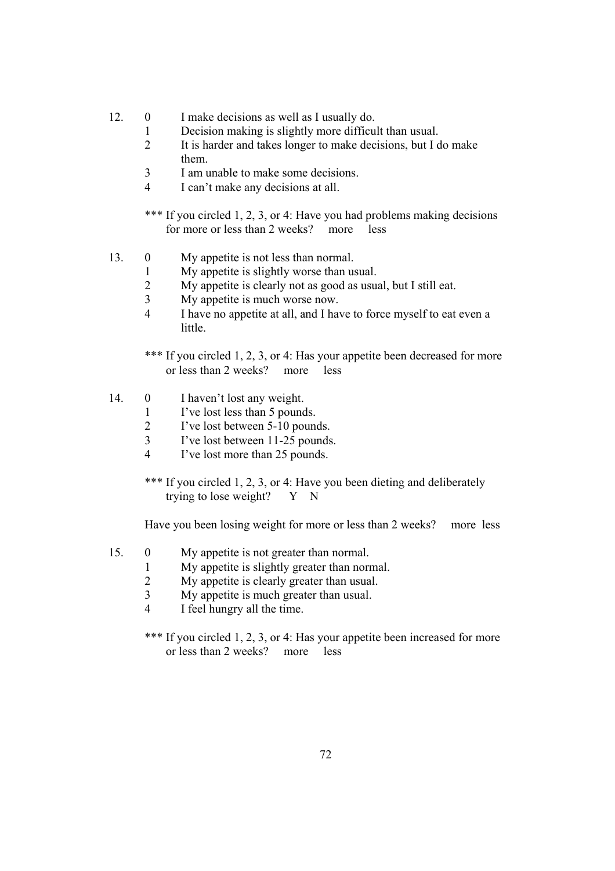- 12. 0 I make decisions as well as I usually do.
	- 1 Decision making is slightly more difficult than usual.
	- 2 It is harder and takes longer to make decisions, but I do make them.
	- 3 I am unable to make some decisions.
	- 4 I can't make any decisions at all.

\*\*\* If you circled 1, 2, 3, or 4: Have you had problems making decisions for more or less than 2 weeks? more less

- 13. 0 My appetite is not less than normal.
	- 1 My appetite is slightly worse than usual.
		- 2 My appetite is clearly not as good as usual, but I still eat.
		- 3 My appetite is much worse now.
		- 4 I have no appetite at all, and I have to force myself to eat even a little.
		- \*\*\* If you circled 1, 2, 3, or 4: Has your appetite been decreased for more or less than 2 weeks? more less
- 14. 0 I haven't lost any weight.
	- 1 I've lost less than 5 pounds.
	- 2 I've lost between 5-10 pounds.
	- 3 I've lost between 11-25 pounds.
	- 4 I've lost more than 25 pounds.
	- \*\*\* If you circled 1, 2, 3, or 4: Have you been dieting and deliberately trying to lose weight?  $Y \times N$

Have you been losing weight for more or less than 2 weeks? more less

- 15. 0 My appetite is not greater than normal.
	- 1 My appetite is slightly greater than normal.
	- 2 My appetite is clearly greater than usual.
	- 3 My appetite is much greater than usual.
	- 4 I feel hungry all the time.
	- \*\*\* If you circled 1, 2, 3, or 4: Has your appetite been increased for more or less than 2 weeks? more less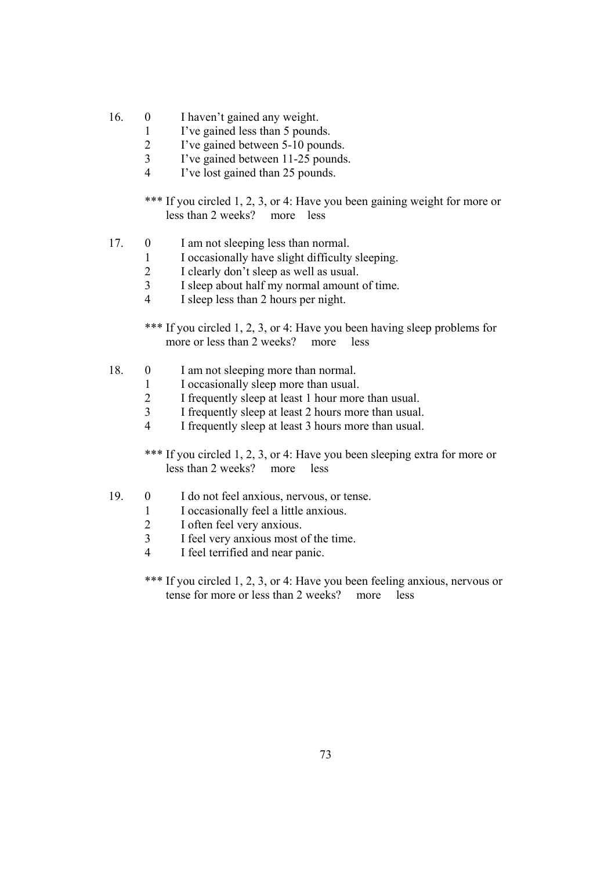- 16. 0 I haven't gained any weight.
	- 1 I've gained less than 5 pounds.
	- 2 I've gained between 5-10 pounds.
	- 3 I've gained between 11-25 pounds.
	- 4 I've lost gained than 25 pounds.

\*\*\* If you circled 1, 2, 3, or 4: Have you been gaining weight for more or less than 2 weeks? more less

- 17. 0 I am not sleeping less than normal.
	- 1 I occasionally have slight difficulty sleeping.
	- 2 I clearly don't sleep as well as usual.
	- 3 I sleep about half my normal amount of time.
	- 4 I sleep less than 2 hours per night.

\*\*\* If you circled 1, 2, 3, or 4: Have you been having sleep problems for more or less than 2 weeks? more less

- 18. 0 I am not sleeping more than normal.
	- 1 I occasionally sleep more than usual.<br>2 I frequently sleep at least 1 hour more
		- I frequently sleep at least 1 hour more than usual.
	- 3 I frequently sleep at least 2 hours more than usual.
	- 4 I frequently sleep at least 3 hours more than usual.

\*\*\* If you circled 1, 2, 3, or 4: Have you been sleeping extra for more or less than 2 weeks? more less

- 19. 0 I do not feel anxious, nervous, or tense.
	- 1 I occasionally feel a little anxious.
	- 2 I often feel very anxious.
	- 3 I feel very anxious most of the time.
	- 4 I feel terrified and near panic.
	- \*\*\* If you circled 1, 2, 3, or 4: Have you been feeling anxious, nervous or tense for more or less than 2 weeks? more less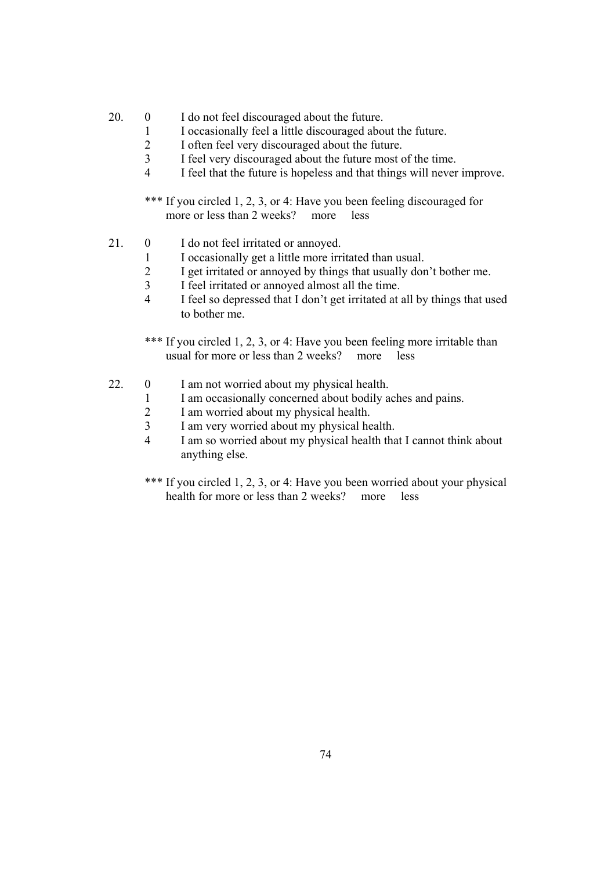- 20. 0 I do not feel discouraged about the future.
	- 1 I occasionally feel a little discouraged about the future.
	- 2 I often feel very discouraged about the future.
	- 3 I feel very discouraged about the future most of the time.
	- 4 I feel that the future is hopeless and that things will never improve.

\*\*\* If you circled 1, 2, 3, or 4: Have you been feeling discouraged for more or less than 2 weeks? more less

- 21. 0 I do not feel irritated or annoved.
	- 1 I occasionally get a little more irritated than usual.
	- 2 I get irritated or annoyed by things that usually don't bother me.
	- 3 I feel irritated or annoyed almost all the time.
	- 4 I feel so depressed that I don't get irritated at all by things that used to bother me.

\*\*\* If you circled 1, 2, 3, or 4: Have you been feeling more irritable than usual for more or less than 2 weeks? more less

- 22. 0 I am not worried about my physical health.
	- 1 I am occasionally concerned about bodily aches and pains.
	- 2 I am worried about my physical health.
	- 3 I am very worried about my physical health.
	- 4 I am so worried about my physical health that I cannot think about anything else.
	- \*\*\* If you circled 1, 2, 3, or 4: Have you been worried about your physical health for more or less than 2 weeks? more less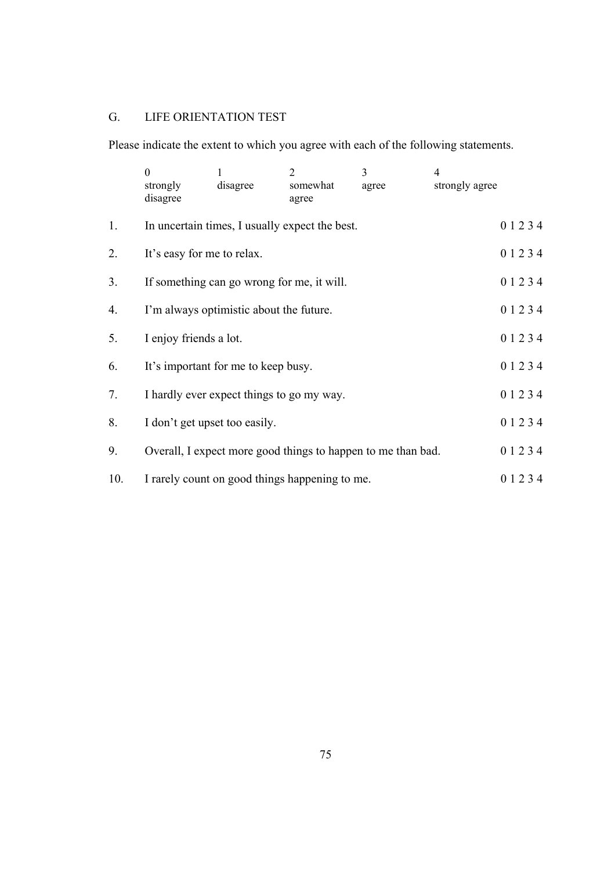# G. LIFE ORIENTATION TEST

Please indicate the extent to which you agree with each of the following statements.

|                | $\overline{0}$<br>strongly<br>disagree                       | 1<br>disagree                              | 2<br>somewhat<br>agree                         | 3<br>agree | 4<br>strongly agree |           |  |  |
|----------------|--------------------------------------------------------------|--------------------------------------------|------------------------------------------------|------------|---------------------|-----------|--|--|
| 1.             |                                                              |                                            | In uncertain times, I usually expect the best. |            |                     | 0 1 2 3 4 |  |  |
| 2.             | It's easy for me to relax.                                   |                                            |                                                |            |                     |           |  |  |
| 3 <sub>1</sub> |                                                              | If something can go wrong for me, it will. |                                                |            |                     | 01234     |  |  |
| 4.             | I'm always optimistic about the future.                      |                                            | 01234                                          |            |                     |           |  |  |
| 5.             | I enjoy friends a lot.                                       |                                            | 0 1 2 3 4                                      |            |                     |           |  |  |
| 6.             | It's important for me to keep busy.                          |                                            | 01234                                          |            |                     |           |  |  |
| 7.             | I hardly ever expect things to go my way.                    |                                            | 0 1 2 3 4                                      |            |                     |           |  |  |
| 8.             | I don't get upset too easily.                                |                                            |                                                |            |                     | 0 1 2 3 4 |  |  |
| 9.             | Overall, I expect more good things to happen to me than bad. |                                            | 01234                                          |            |                     |           |  |  |
| 10.            |                                                              |                                            | I rarely count on good things happening to me. |            |                     | 0 1 2 3 4 |  |  |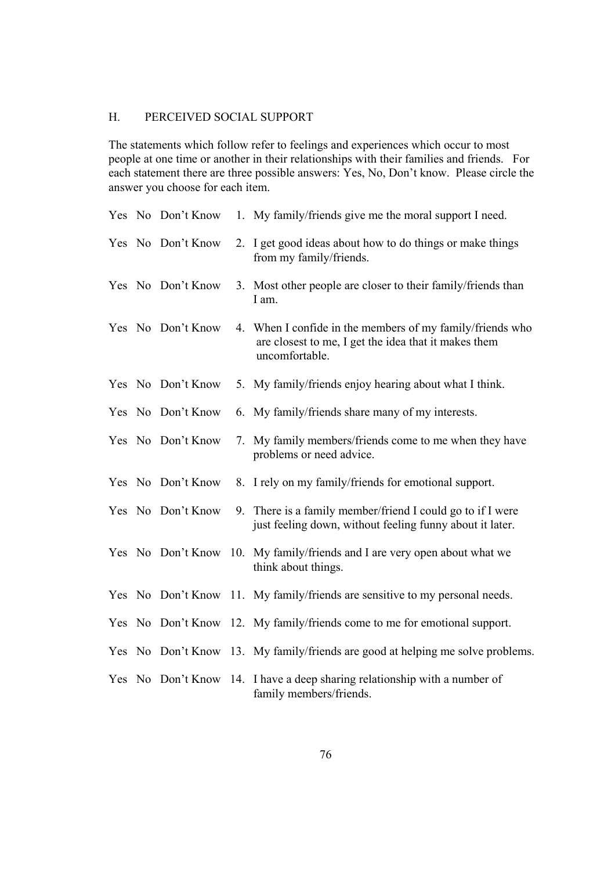#### H. PERCEIVED SOCIAL SUPPORT

The statements which follow refer to feelings and experiences which occur to most people at one time or another in their relationships with their families and friends. For each statement there are three possible answers: Yes, No, Don't know. Please circle the answer you choose for each item.

|  | Yes No Don't Know | 1. My family/friends give me the moral support I need.                                                                              |
|--|-------------------|-------------------------------------------------------------------------------------------------------------------------------------|
|  | Yes No Don't Know | 2. I get good ideas about how to do things or make things<br>from my family/friends.                                                |
|  | Yes No Don't Know | 3. Most other people are closer to their family/friends than<br>I am.                                                               |
|  | Yes No Don't Know | 4. When I confide in the members of my family/friends who<br>are closest to me, I get the idea that it makes them<br>uncomfortable. |
|  | Yes No Don't Know | 5. My family/friends enjoy hearing about what I think.                                                                              |
|  | Yes No Don't Know | 6. My family/friends share many of my interests.                                                                                    |
|  | Yes No Don't Know | 7. My family members/friends come to me when they have<br>problems or need advice.                                                  |
|  | Yes No Don't Know | 8. I rely on my family/friends for emotional support.                                                                               |
|  | Yes No Don't Know | 9. There is a family member/friend I could go to if I were<br>just feeling down, without feeling funny about it later.              |
|  |                   | Yes No Don't Know 10. My family/friends and I are very open about what we<br>think about things.                                    |
|  |                   | Yes No Don't Know 11. My family/friends are sensitive to my personal needs.                                                         |
|  |                   | Yes No Don't Know 12. My family/friends come to me for emotional support.                                                           |
|  |                   | Yes No Don't Know 13. My family/friends are good at helping me solve problems.                                                      |
|  |                   | Yes No Don't Know 14. I have a deep sharing relationship with a number of<br>family members/friends.                                |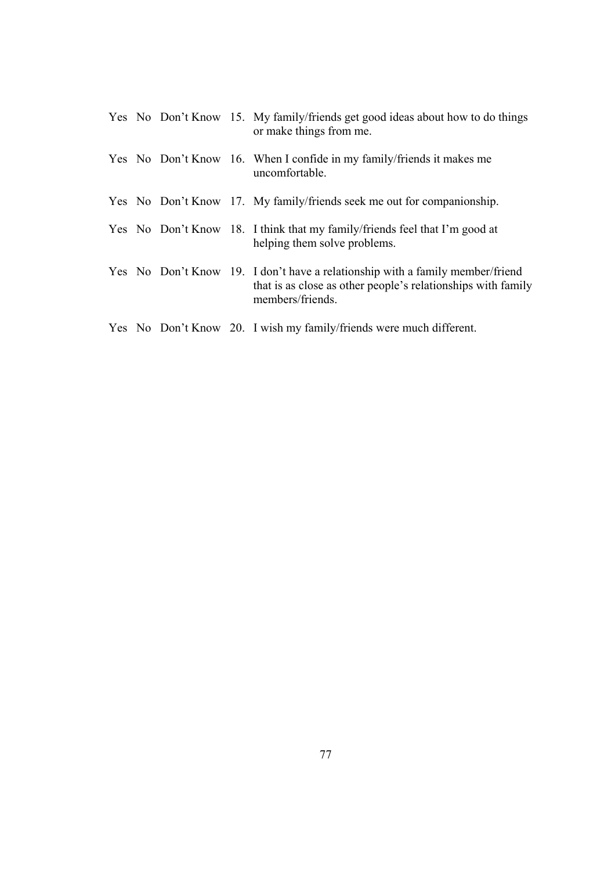|  |  | Yes No Don't Know 15. My family/friends get good ideas about how to do things<br>or make things from me.                                                          |
|--|--|-------------------------------------------------------------------------------------------------------------------------------------------------------------------|
|  |  | Yes No Don't Know 16. When I confide in my family/friends it makes me<br>uncomfortable.                                                                           |
|  |  | Yes No Don't Know 17. My family/friends seek me out for companionship.                                                                                            |
|  |  | Yes No Don't Know 18. I think that my family/friends feel that I'm good at<br>helping them solve problems.                                                        |
|  |  | Yes No Don't Know 19. I don't have a relationship with a family member/friend<br>that is as close as other people's relationships with family<br>members/friends. |
|  |  | Yes No Don't Know 20. I wish my family/friends were much different.                                                                                               |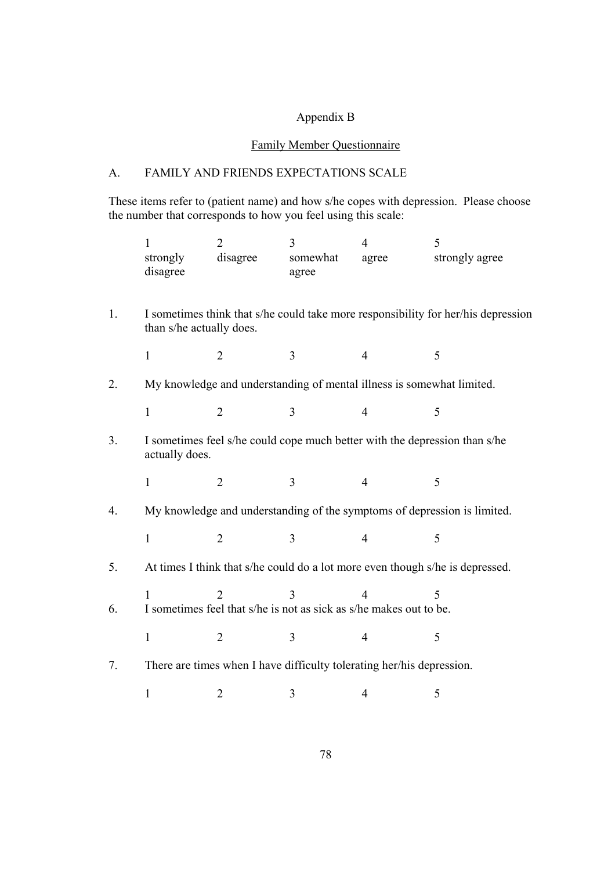### Appendix B

# Family Member Questionnaire

#### A. FAMILY AND FRIENDS EXPECTATIONS SCALE

These items refer to (patient name) and how s/he copes with depression. Please choose the number that corresponds to how you feel using this scale:

|    | 1<br>strongly<br>disagree | $\overline{2}$<br>disagree                                                           | 3<br>somewhat<br>agree | $\overline{4}$<br>agree | 5<br>strongly agree                                                               |
|----|---------------------------|--------------------------------------------------------------------------------------|------------------------|-------------------------|-----------------------------------------------------------------------------------|
| 1. | than s/he actually does.  |                                                                                      |                        |                         | I sometimes think that s/he could take more responsibility for her/his depression |
|    | $\mathbf{1}$              | $\overline{2}$                                                                       | 3                      | $\overline{4}$          | 5                                                                                 |
| 2. |                           | My knowledge and understanding of mental illness is somewhat limited.                |                        |                         |                                                                                   |
|    | $\mathbf{1}$              | $\overline{2}$                                                                       | 3                      | $\overline{4}$          | 5                                                                                 |
| 3. | actually does.            |                                                                                      |                        |                         | I sometimes feel s/he could cope much better with the depression than s/he        |
|    | $\mathbf{1}$              | $\overline{2}$                                                                       | 3                      | $\overline{4}$          | 5                                                                                 |
| 4. |                           |                                                                                      |                        |                         | My knowledge and understanding of the symptoms of depression is limited.          |
|    | $\mathbf{1}$              | $\overline{2}$                                                                       | 3                      | $\overline{4}$          | 5                                                                                 |
| 5. |                           |                                                                                      |                        |                         | At times I think that s/he could do a lot more even though s/he is depressed.     |
| 6. | 1                         | $\mathfrak{D}$<br>I sometimes feel that s/he is not as sick as s/he makes out to be. | 3                      | 4                       | 5                                                                                 |
|    | $\mathbf{1}$              | $\overline{2}$                                                                       | 3                      | $\overline{4}$          | 5                                                                                 |
| 7. |                           | There are times when I have difficulty tolerating her/his depression.                |                        |                         |                                                                                   |
|    | $\mathbf{1}$              | 2                                                                                    | 3                      | 4                       | 5                                                                                 |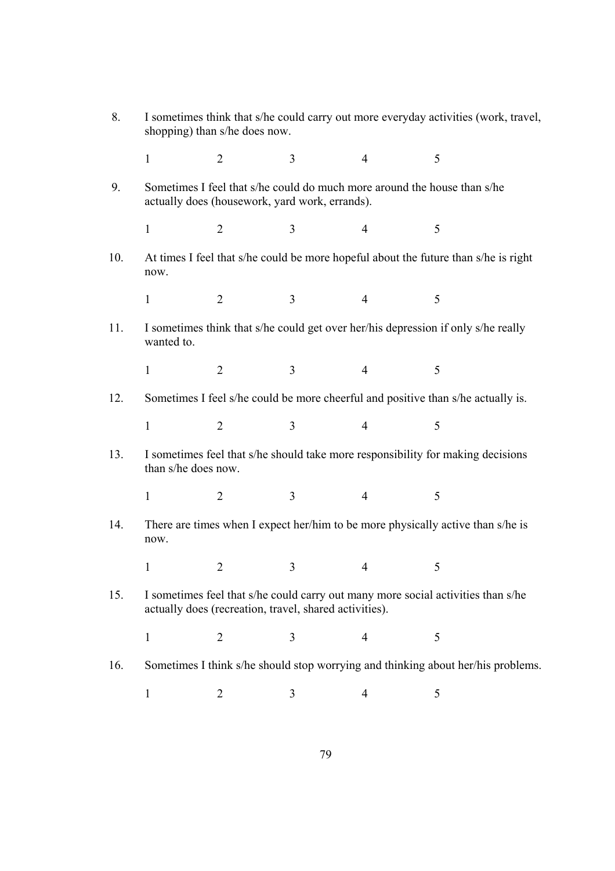| 8.  | I sometimes think that s/he could carry out more everyday activities (work, travel,<br>shopping) than s/he does now.                       |                                                |                |                |                                                                                     |  |  |
|-----|--------------------------------------------------------------------------------------------------------------------------------------------|------------------------------------------------|----------------|----------------|-------------------------------------------------------------------------------------|--|--|
|     | $\mathbf{1}$                                                                                                                               | $\overline{2}$                                 | 3              | $\overline{4}$ | 5                                                                                   |  |  |
| 9.  |                                                                                                                                            | actually does (housework, yard work, errands). |                |                | Sometimes I feel that s/he could do much more around the house than s/he            |  |  |
|     | $\mathbf{1}$                                                                                                                               | $\overline{2}$                                 | $\overline{3}$ | 4              | 5                                                                                   |  |  |
| 10. | now.                                                                                                                                       |                                                |                |                | At times I feel that s/he could be more hopeful about the future than s/he is right |  |  |
|     | $\mathbf{1}$                                                                                                                               | $\overline{2}$                                 | $\overline{3}$ | $\overline{4}$ | 5                                                                                   |  |  |
| 11. | wanted to.                                                                                                                                 |                                                |                |                | I sometimes think that s/he could get over her/his depression if only s/he really   |  |  |
|     | $\mathbf{1}$                                                                                                                               | $\overline{2}$                                 | $\overline{3}$ | $\overline{4}$ | 5                                                                                   |  |  |
| 12. |                                                                                                                                            |                                                |                |                | Sometimes I feel s/he could be more cheerful and positive than s/he actually is.    |  |  |
|     | $\mathbf{1}$                                                                                                                               | $\overline{2}$                                 | 3              | $\overline{4}$ | 5                                                                                   |  |  |
| 13. | than s/he does now.                                                                                                                        |                                                |                |                | I sometimes feel that s/he should take more responsibility for making decisions     |  |  |
|     | $\mathbf{1}$                                                                                                                               | $\overline{2}$                                 | $\overline{3}$ | $\overline{4}$ | 5                                                                                   |  |  |
| 14. | There are times when I expect her/him to be more physically active than s/he is<br>now.                                                    |                                                |                |                |                                                                                     |  |  |
|     |                                                                                                                                            |                                                |                |                |                                                                                     |  |  |
| 15. | I sometimes feel that s/he could carry out many more social activities than s/he<br>actually does (recreation, travel, shared activities). |                                                |                |                |                                                                                     |  |  |
|     | 1                                                                                                                                          | 2                                              | 3              | 4              | 5                                                                                   |  |  |
| 16. |                                                                                                                                            |                                                |                |                | Sometimes I think s/he should stop worrying and thinking about her/his problems.    |  |  |
|     | $\mathbf 1$                                                                                                                                | 2                                              | 3              | 4              | 5                                                                                   |  |  |